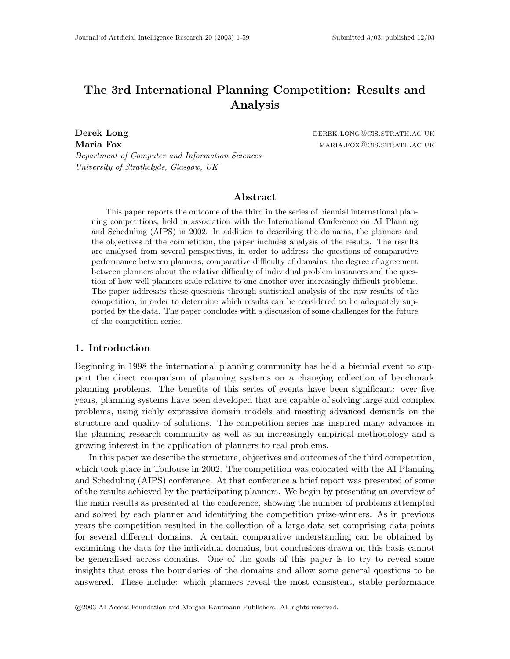# The 3rd International Planning Competition: Results and Analysis

Derek Long derek. Long derek. Long derek. Long derek. Long derek. Long derek Long derek Long derek Long derek Maria Fox married to the matrix of the matrix matrix matrix matrix matrix matrix matrix matrix matrix matrix m

Department of Computer and Information Sciences University of Strathclyde, Glasgow, UK

## Abstract

This paper reports the outcome of the third in the series of biennial international planning competitions, held in association with the International Conference on AI Planning and Scheduling (AIPS) in 2002. In addition to describing the domains, the planners and the objectives of the competition, the paper includes analysis of the results. The results are analysed from several perspectives, in order to address the questions of comparative performance between planners, comparative difficulty of domains, the degree of agreement between planners about the relative difficulty of individual problem instances and the question of how well planners scale relative to one another over increasingly difficult problems. The paper addresses these questions through statistical analysis of the raw results of the competition, in order to determine which results can be considered to be adequately supported by the data. The paper concludes with a discussion of some challenges for the future of the competition series.

## 1. Introduction

Beginning in 1998 the international planning community has held a biennial event to support the direct comparison of planning systems on a changing collection of benchmark planning problems. The benefits of this series of events have been significant: over five years, planning systems have been developed that are capable of solving large and complex problems, using richly expressive domain models and meeting advanced demands on the structure and quality of solutions. The competition series has inspired many advances in the planning research community as well as an increasingly empirical methodology and a growing interest in the application of planners to real problems.

In this paper we describe the structure, objectives and outcomes of the third competition, which took place in Toulouse in 2002. The competition was colocated with the AI Planning and Scheduling (AIPS) conference. At that conference a brief report was presented of some of the results achieved by the participating planners. We begin by presenting an overview of the main results as presented at the conference, showing the number of problems attempted and solved by each planner and identifying the competition prize-winners. As in previous years the competition resulted in the collection of a large data set comprising data points for several different domains. A certain comparative understanding can be obtained by examining the data for the individual domains, but conclusions drawn on this basis cannot be generalised across domains. One of the goals of this paper is to try to reveal some insights that cross the boundaries of the domains and allow some general questions to be answered. These include: which planners reveal the most consistent, stable performance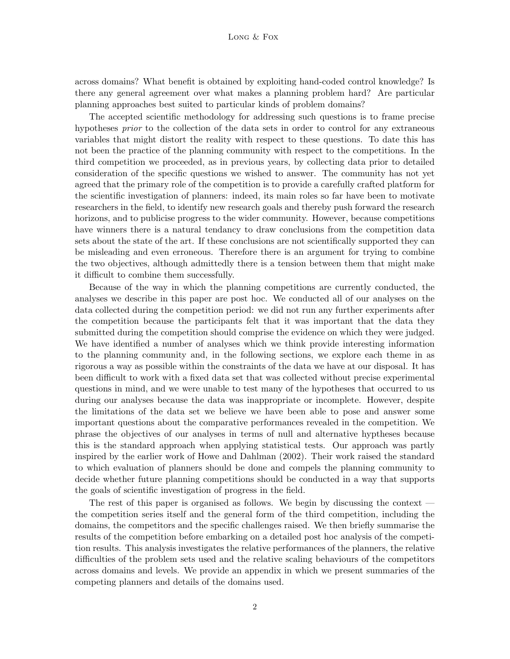across domains? What benefit is obtained by exploiting hand-coded control knowledge? Is there any general agreement over what makes a planning problem hard? Are particular planning approaches best suited to particular kinds of problem domains?

The accepted scientific methodology for addressing such questions is to frame precise hypotheses *prior* to the collection of the data sets in order to control for any extraneous variables that might distort the reality with respect to these questions. To date this has not been the practice of the planning community with respect to the competitions. In the third competition we proceeded, as in previous years, by collecting data prior to detailed consideration of the specific questions we wished to answer. The community has not yet agreed that the primary role of the competition is to provide a carefully crafted platform for the scientific investigation of planners: indeed, its main roles so far have been to motivate researchers in the field, to identify new research goals and thereby push forward the research horizons, and to publicise progress to the wider community. However, because competitions have winners there is a natural tendancy to draw conclusions from the competition data sets about the state of the art. If these conclusions are not scientifically supported they can be misleading and even erroneous. Therefore there is an argument for trying to combine the two objectives, although admittedly there is a tension between them that might make it difficult to combine them successfully.

Because of the way in which the planning competitions are currently conducted, the analyses we describe in this paper are post hoc. We conducted all of our analyses on the data collected during the competition period: we did not run any further experiments after the competition because the participants felt that it was important that the data they submitted during the competition should comprise the evidence on which they were judged. We have identified a number of analyses which we think provide interesting information to the planning community and, in the following sections, we explore each theme in as rigorous a way as possible within the constraints of the data we have at our disposal. It has been difficult to work with a fixed data set that was collected without precise experimental questions in mind, and we were unable to test many of the hypotheses that occurred to us during our analyses because the data was inappropriate or incomplete. However, despite the limitations of the data set we believe we have been able to pose and answer some important questions about the comparative performances revealed in the competition. We phrase the objectives of our analyses in terms of null and alternative hyptheses because this is the standard approach when applying statistical tests. Our approach was partly inspired by the earlier work of Howe and Dahlman (2002). Their work raised the standard to which evaluation of planners should be done and compels the planning community to decide whether future planning competitions should be conducted in a way that supports the goals of scientific investigation of progress in the field.

The rest of this paper is organised as follows. We begin by discussing the context the competition series itself and the general form of the third competition, including the domains, the competitors and the specific challenges raised. We then briefly summarise the results of the competition before embarking on a detailed post hoc analysis of the competition results. This analysis investigates the relative performances of the planners, the relative difficulties of the problem sets used and the relative scaling behaviours of the competitors across domains and levels. We provide an appendix in which we present summaries of the competing planners and details of the domains used.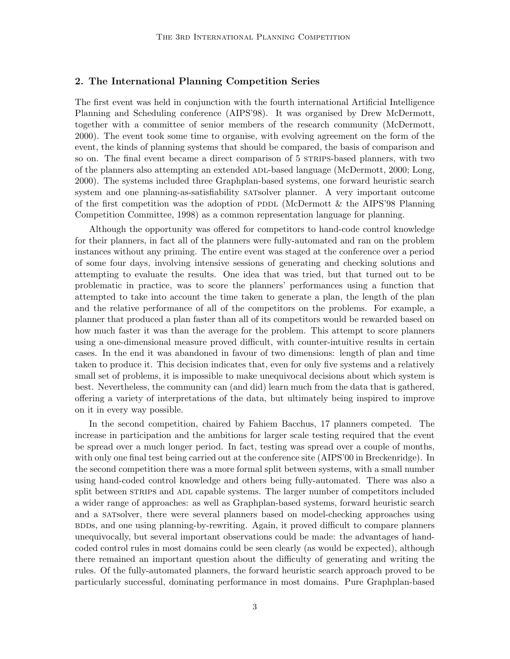## 2. The International Planning Competition Series

The first event was held in conjunction with the fourth international Artificial Intelligence Planning and Scheduling conference (AIPS'98). It was organised by Drew McDermott, together with a committee of senior members of the research community (McDermott, 2000). The event took some time to organise, with evolving agreement on the form of the event, the kinds of planning systems that should be compared, the basis of comparison and so on. The final event became a direct comparison of 5 strains-based planners, with two of the planners also attempting an extended adl-based language (McDermott, 2000; Long, 2000). The systems included three Graphplan-based systems, one forward heuristic search system and one planning-as-satisfiability satsolver planner. A very important outcome of the first competition was the adoption of PDDL (McDermott & the AIPS'98 Planning Competition Committee, 1998) as a common representation language for planning.

Although the opportunity was offered for competitors to hand-code control knowledge for their planners, in fact all of the planners were fully-automated and ran on the problem instances without any priming. The entire event was staged at the conference over a period of some four days, involving intensive sessions of generating and checking solutions and attempting to evaluate the results. One idea that was tried, but that turned out to be problematic in practice, was to score the planners' performances using a function that attempted to take into account the time taken to generate a plan, the length of the plan and the relative performance of all of the competitors on the problems. For example, a planner that produced a plan faster than all of its competitors would be rewarded based on how much faster it was than the average for the problem. This attempt to score planners using a one-dimensional measure proved difficult, with counter-intuitive results in certain cases. In the end it was abandoned in favour of two dimensions: length of plan and time taken to produce it. This decision indicates that, even for only five systems and a relatively small set of problems, it is impossible to make unequivocal decisions about which system is best. Nevertheless, the community can (and did) learn much from the data that is gathered, offering a variety of interpretations of the data, but ultimately being inspired to improve on it in every way possible.

In the second competition, chaired by Fahiem Bacchus, 17 planners competed. The increase in participation and the ambitions for larger scale testing required that the event be spread over a much longer period. In fact, testing was spread over a couple of months, with only one final test being carried out at the conference site (AIPS'00 in Breckenridge). In the second competition there was a more formal split between systems, with a small number using hand-coded control knowledge and others being fully-automated. There was also a split between STRIPS and ADL capable systems. The larger number of competitors included a wider range of approaches: as well as Graphplan-based systems, forward heuristic search and a satsolver, there were several planners based on model-checking approaches using BDDs, and one using planning-by-rewriting. Again, it proved difficult to compare planners unequivocally, but several important observations could be made: the advantages of handcoded control rules in most domains could be seen clearly (as would be expected), although there remained an important question about the difficulty of generating and writing the rules. Of the fully-automated planners, the forward heuristic search approach proved to be particularly successful, dominating performance in most domains. Pure Graphplan-based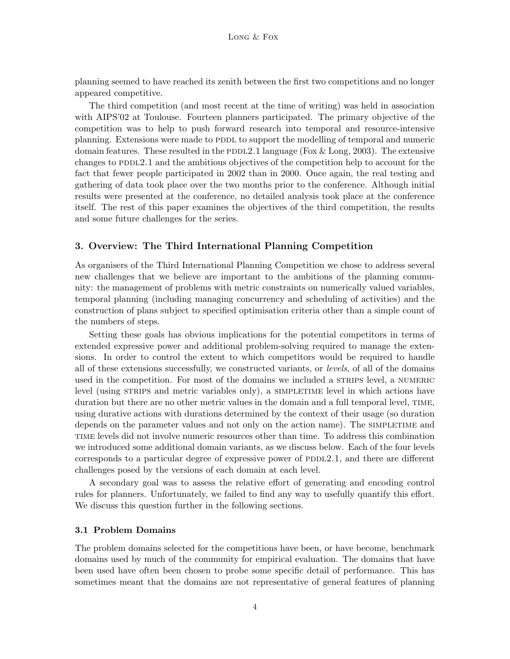planning seemed to have reached its zenith between the first two competitions and no longer appeared competitive.

The third competition (and most recent at the time of writing) was held in association with AIPS'02 at Toulouse. Fourteen planners participated. The primary objective of the competition was to help to push forward research into temporal and resource-intensive planning. Extensions were made to PDDL to support the modelling of temporal and numeric domain features. These resulted in the PDDL2.1 language (Fox  $\&$  Long, 2003). The extensive changes to  $PDDL2.1$  and the ambitious objectives of the competition help to account for the fact that fewer people participated in 2002 than in 2000. Once again, the real testing and gathering of data took place over the two months prior to the conference. Although initial results were presented at the conference, no detailed analysis took place at the conference itself. The rest of this paper examines the objectives of the third competition, the results and some future challenges for the series.

### 3. Overview: The Third International Planning Competition

As organisers of the Third International Planning Competition we chose to address several new challenges that we believe are important to the ambitions of the planning community: the management of problems with metric constraints on numerically valued variables, temporal planning (including managing concurrency and scheduling of activities) and the construction of plans subject to specified optimisation criteria other than a simple count of the numbers of steps.

Setting these goals has obvious implications for the potential competitors in terms of extended expressive power and additional problem-solving required to manage the extensions. In order to control the extent to which competitors would be required to handle all of these extensions successfully, we constructed variants, or levels, of all of the domains used in the competition. For most of the domains we included a STRIPS level, a NUMERIC level (using STRIPS and metric variables only), a SIMPLETIME level in which actions have duration but there are no other metric values in the domain and a full temporal level, TIME, using durative actions with durations determined by the context of their usage (so duration depends on the parameter values and not only on the action name). The SIMPLETIME and time levels did not involve numeric resources other than time. To address this combination we introduced some additional domain variants, as we discuss below. Each of the four levels corresponds to a particular degree of expressive power of PDDL2.1, and there are different challenges posed by the versions of each domain at each level.

A secondary goal was to assess the relative effort of generating and encoding control rules for planners. Unfortunately, we failed to find any way to usefully quantify this effort. We discuss this question further in the following sections.

## 3.1 Problem Domains

The problem domains selected for the competitions have been, or have become, benchmark domains used by much of the community for empirical evaluation. The domains that have been used have often been chosen to probe some specific detail of performance. This has sometimes meant that the domains are not representative of general features of planning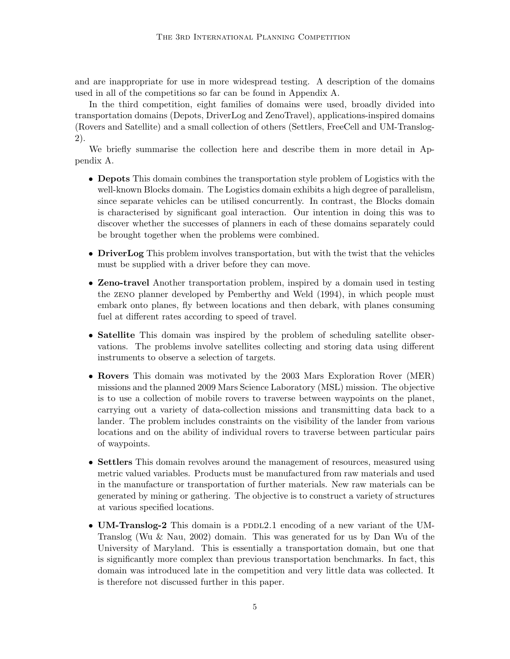and are inappropriate for use in more widespread testing. A description of the domains used in all of the competitions so far can be found in Appendix A.

In the third competition, eight families of domains were used, broadly divided into transportation domains (Depots, DriverLog and ZenoTravel), applications-inspired domains (Rovers and Satellite) and a small collection of others (Settlers, FreeCell and UM-Translog-2).

We briefly summarise the collection here and describe them in more detail in Appendix A.

- Depots This domain combines the transportation style problem of Logistics with the well-known Blocks domain. The Logistics domain exhibits a high degree of parallelism, since separate vehicles can be utilised concurrently. In contrast, the Blocks domain is characterised by significant goal interaction. Our intention in doing this was to discover whether the successes of planners in each of these domains separately could be brought together when the problems were combined.
- DriverLog This problem involves transportation, but with the twist that the vehicles must be supplied with a driver before they can move.
- **Zeno-travel** Another transportation problem, inspired by a domain used in testing the zeno planner developed by Pemberthy and Weld (1994), in which people must embark onto planes, fly between locations and then debark, with planes consuming fuel at different rates according to speed of travel.
- Satellite This domain was inspired by the problem of scheduling satellite observations. The problems involve satellites collecting and storing data using different instruments to observe a selection of targets.
- Rovers This domain was motivated by the 2003 Mars Exploration Rover (MER) missions and the planned 2009 Mars Science Laboratory (MSL) mission. The objective is to use a collection of mobile rovers to traverse between waypoints on the planet, carrying out a variety of data-collection missions and transmitting data back to a lander. The problem includes constraints on the visibility of the lander from various locations and on the ability of individual rovers to traverse between particular pairs of waypoints.
- Settlers This domain revolves around the management of resources, measured using metric valued variables. Products must be manufactured from raw materials and used in the manufacture or transportation of further materials. New raw materials can be generated by mining or gathering. The objective is to construct a variety of structures at various specified locations.
- UM-Translog-2 This domain is a PDDL2.1 encoding of a new variant of the UM-Translog (Wu & Nau, 2002) domain. This was generated for us by Dan Wu of the University of Maryland. This is essentially a transportation domain, but one that is significantly more complex than previous transportation benchmarks. In fact, this domain was introduced late in the competition and very little data was collected. It is therefore not discussed further in this paper.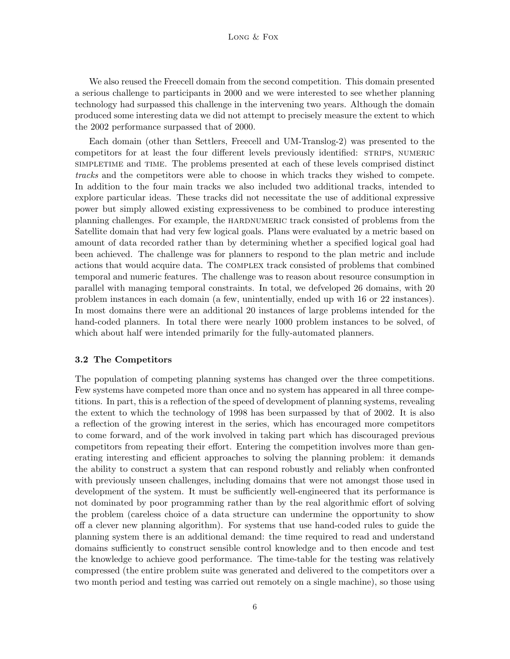We also reused the Freecell domain from the second competition. This domain presented a serious challenge to participants in 2000 and we were interested to see whether planning technology had surpassed this challenge in the intervening two years. Although the domain produced some interesting data we did not attempt to precisely measure the extent to which the 2002 performance surpassed that of 2000.

Each domain (other than Settlers, Freecell and UM-Translog-2) was presented to the competitors for at least the four different levels previously identified: STRIPS, NUMERIC simpletime and time. The problems presented at each of these levels comprised distinct tracks and the competitors were able to choose in which tracks they wished to compete. In addition to the four main tracks we also included two additional tracks, intended to explore particular ideas. These tracks did not necessitate the use of additional expressive power but simply allowed existing expressiveness to be combined to produce interesting planning challenges. For example, the hardnumeric track consisted of problems from the Satellite domain that had very few logical goals. Plans were evaluated by a metric based on amount of data recorded rather than by determining whether a specified logical goal had been achieved. The challenge was for planners to respond to the plan metric and include actions that would acquire data. The complex track consisted of problems that combined temporal and numeric features. The challenge was to reason about resource consumption in parallel with managing temporal constraints. In total, we defveloped 26 domains, with 20 problem instances in each domain (a few, unintentially, ended up with 16 or 22 instances). In most domains there were an additional 20 instances of large problems intended for the hand-coded planners. In total there were nearly 1000 problem instances to be solved, of which about half were intended primarily for the fully-automated planners.

### 3.2 The Competitors

The population of competing planning systems has changed over the three competitions. Few systems have competed more than once and no system has appeared in all three competitions. In part, this is a reflection of the speed of development of planning systems, revealing the extent to which the technology of 1998 has been surpassed by that of 2002. It is also a reflection of the growing interest in the series, which has encouraged more competitors to come forward, and of the work involved in taking part which has discouraged previous competitors from repeating their effort. Entering the competition involves more than generating interesting and efficient approaches to solving the planning problem: it demands the ability to construct a system that can respond robustly and reliably when confronted with previously unseen challenges, including domains that were not amongst those used in development of the system. It must be sufficiently well-engineered that its performance is not dominated by poor programming rather than by the real algorithmic effort of solving the problem (careless choice of a data structure can undermine the opportunity to show off a clever new planning algorithm). For systems that use hand-coded rules to guide the planning system there is an additional demand: the time required to read and understand domains sufficiently to construct sensible control knowledge and to then encode and test the knowledge to achieve good performance. The time-table for the testing was relatively compressed (the entire problem suite was generated and delivered to the competitors over a two month period and testing was carried out remotely on a single machine), so those using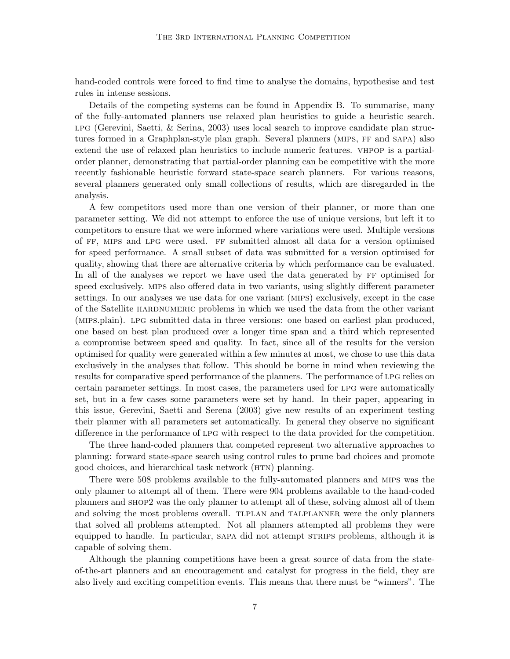hand-coded controls were forced to find time to analyse the domains, hypothesise and test rules in intense sessions.

Details of the competing systems can be found in Appendix B. To summarise, many of the fully-automated planners use relaxed plan heuristics to guide a heuristic search.  $LPG$  (Gerevini, Saetti,  $\&$  Serina, 2003) uses local search to improve candidate plan structures formed in a Graphplan-style plan graph. Several planners (MIPS, FF and SAPA) also extend the use of relaxed plan heuristics to include numeric features. vhpop is a partialorder planner, demonstrating that partial-order planning can be competitive with the more recently fashionable heuristic forward state-space search planners. For various reasons, several planners generated only small collections of results, which are disregarded in the analysis.

A few competitors used more than one version of their planner, or more than one parameter setting. We did not attempt to enforce the use of unique versions, but left it to competitors to ensure that we were informed where variations were used. Multiple versions of ff, mips and lpg were used. ff submitted almost all data for a version optimised for speed performance. A small subset of data was submitted for a version optimised for quality, showing that there are alternative criteria by which performance can be evaluated. In all of the analyses we report we have used the data generated by FF optimised for speed exclusively. mips also offered data in two variants, using slightly different parameter settings. In our analyses we use data for one variant (mips) exclusively, except in the case of the Satellite hardnumeric problems in which we used the data from the other variant (mips.plain). lpg submitted data in three versions: one based on earliest plan produced, one based on best plan produced over a longer time span and a third which represented a compromise between speed and quality. In fact, since all of the results for the version optimised for quality were generated within a few minutes at most, we chose to use this data exclusively in the analyses that follow. This should be borne in mind when reviewing the results for comparative speed performance of the planners. The performance of lpg relies on certain parameter settings. In most cases, the parameters used for lpg were automatically set, but in a few cases some parameters were set by hand. In their paper, appearing in this issue, Gerevini, Saetti and Serena (2003) give new results of an experiment testing their planner with all parameters set automatically. In general they observe no significant difference in the performance of lpg with respect to the data provided for the competition.

The three hand-coded planners that competed represent two alternative approaches to planning: forward state-space search using control rules to prune bad choices and promote good choices, and hierarchical task network (HTN) planning.

There were 508 problems available to the fully-automated planners and mips was the only planner to attempt all of them. There were 904 problems available to the hand-coded planners and shop2 was the only planner to attempt all of these, solving almost all of them and solving the most problems overall. TLPLAN and TALPLANNER were the only planners that solved all problems attempted. Not all planners attempted all problems they were equipped to handle. In particular, SAPA did not attempt STRIPS problems, although it is capable of solving them.

Although the planning competitions have been a great source of data from the stateof-the-art planners and an encouragement and catalyst for progress in the field, they are also lively and exciting competition events. This means that there must be "winners". The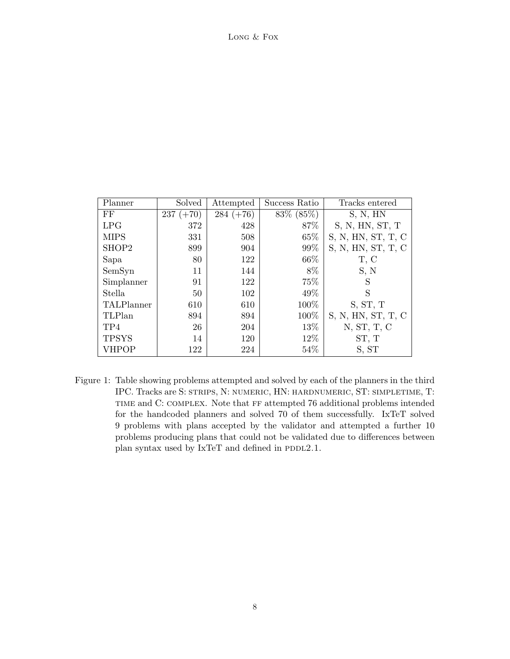| LONG & FOX |  |
|------------|--|
|            |  |

| Planner      | Solved      | Attempted   | Success Ratio | Tracks entered     |
|--------------|-------------|-------------|---------------|--------------------|
| FF           | $237 (+70)$ | $284 (+76)$ | 83\% (85\%)   | S, N, HN           |
| LPG          | 372         | 428         | 87%           | S, N, HN, ST, T    |
| <b>MIPS</b>  | 331         | 508         | 65%           | S, N, HN, ST, T, C |
| SHOP2        | 899         | 904         | 99%           | S, N, HN, ST, T, C |
| Sapa         | 80          | 122         | $66\%$        | T, C               |
| SemSyn       | 11          | 144         | 8\%           | S, N               |
| Simplanner   | 91          | 122         | 75%           | S                  |
| Stella       | 50          | 102         | 49%           | S                  |
| TALPlanner   | 610         | 610         | 100%          | S, ST, T           |
| TLPlan       | 894         | 894         | 100\%         | S, N, HN, ST, T, C |
| TP4          | 26          | 204         | 13%           | N, ST, T, C        |
| <b>TPSYS</b> | 14          | 120         | 12\%          | ST, T              |
| VHPOP        | 122         | 224         | 54%           | S, ST              |

Figure 1: Table showing problems attempted and solved by each of the planners in the third IPC. Tracks are S: strips, N: numeric, HN: hardnumeric, ST: simpletime, T: TIME and C: COMPLEX. Note that FF attempted 76 additional problems intended for the handcoded planners and solved 70 of them successfully. IxTeT solved 9 problems with plans accepted by the validator and attempted a further 10 problems producing plans that could not be validated due to differences between plan syntax used by  $IxTeT$  and defined in PDDL2.1.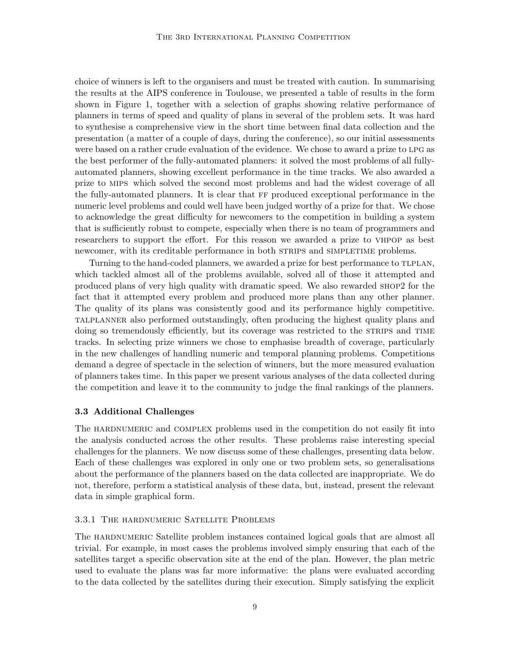choice of winners is left to the organisers and must be treated with caution. In summarising the results at the AIPS conference in Toulouse, we presented a table of results in the form shown in Figure 1, together with a selection of graphs showing relative performance of planners in terms of speed and quality of plans in several of the problem sets. It was hard to synthesise a comprehensive view in the short time between final data collection and the presentation (a matter of a couple of days, during the conference), so our initial assessments were based on a rather crude evaluation of the evidence. We chose to award a prize to lpg as the best performer of the fully-automated planners: it solved the most problems of all fullyautomated planners, showing excellent performance in the time tracks. We also awarded a prize to mips which solved the second most problems and had the widest coverage of all the fully-automated planners. It is clear that ff produced exceptional performance in the numeric level problems and could well have been judged worthy of a prize for that. We chose to acknowledge the great difficulty for newcomers to the competition in building a system that is sufficiently robust to compete, especially when there is no team of programmers and researchers to support the effort. For this reason we awarded a prize to vhpop as best newcomer, with its creditable performance in both STRIPS and SIMPLETIME problems.

Turning to the hand-coded planners, we awarded a prize for best performance to tlplan, which tackled almost all of the problems available, solved all of those it attempted and produced plans of very high quality with dramatic speed. We also rewarded shop2 for the fact that it attempted every problem and produced more plans than any other planner. The quality of its plans was consistently good and its performance highly competitive. talplanner also performed outstandingly, often producing the highest quality plans and doing so tremendously efficiently, but its coverage was restricted to the STRIPS and TIME tracks. In selecting prize winners we chose to emphasise breadth of coverage, particularly in the new challenges of handling numeric and temporal planning problems. Competitions demand a degree of spectacle in the selection of winners, but the more measured evaluation of planners takes time. In this paper we present various analyses of the data collected during the competition and leave it to the community to judge the final rankings of the planners.

### 3.3 Additional Challenges

The HARDNUMERIC and COMPLEX problems used in the competition do not easily fit into the analysis conducted across the other results. These problems raise interesting special challenges for the planners. We now discuss some of these challenges, presenting data below. Each of these challenges was explored in only one or two problem sets, so generalisations about the performance of the planners based on the data collected are inappropriate. We do not, therefore, perform a statistical analysis of these data, but, instead, present the relevant data in simple graphical form.

## 3.3.1 The hardnumeric Satellite Problems

The HARDNUMERIC Satellite problem instances contained logical goals that are almost all trivial. For example, in most cases the problems involved simply ensuring that each of the satellites target a specific observation site at the end of the plan. However, the plan metric used to evaluate the plans was far more informative: the plans were evaluated according to the data collected by the satellites during their execution. Simply satisfying the explicit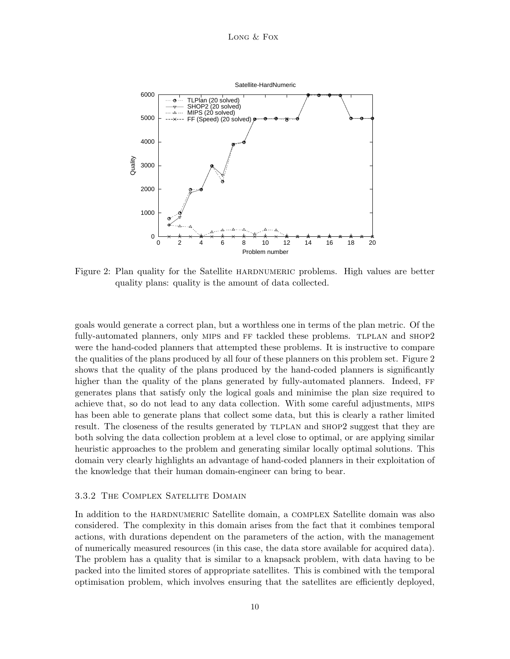

Figure 2: Plan quality for the Satellite HARDNUMERIC problems. High values are better quality plans: quality is the amount of data collected.

goals would generate a correct plan, but a worthless one in terms of the plan metric. Of the fully-automated planners, only MIPS and FF tackled these problems. TLPLAN and SHOP2 were the hand-coded planners that attempted these problems. It is instructive to compare the qualities of the plans produced by all four of these planners on this problem set. Figure 2 shows that the quality of the plans produced by the hand-coded planners is significantly higher than the quality of the plans generated by fully-automated planners. Indeed, FF generates plans that satisfy only the logical goals and minimise the plan size required to achieve that, so do not lead to any data collection. With some careful adjustments, mips has been able to generate plans that collect some data, but this is clearly a rather limited result. The closeness of the results generated by TLPLAN and SHOP2 suggest that they are both solving the data collection problem at a level close to optimal, or are applying similar heuristic approaches to the problem and generating similar locally optimal solutions. This domain very clearly highlights an advantage of hand-coded planners in their exploitation of the knowledge that their human domain-engineer can bring to bear.

### 3.3.2 The Complex Satellite Domain

In addition to the hardnumeric Satellite domain, a complex Satellite domain was also considered. The complexity in this domain arises from the fact that it combines temporal actions, with durations dependent on the parameters of the action, with the management of numerically measured resources (in this case, the data store available for acquired data). The problem has a quality that is similar to a knapsack problem, with data having to be packed into the limited stores of appropriate satellites. This is combined with the temporal optimisation problem, which involves ensuring that the satellites are efficiently deployed,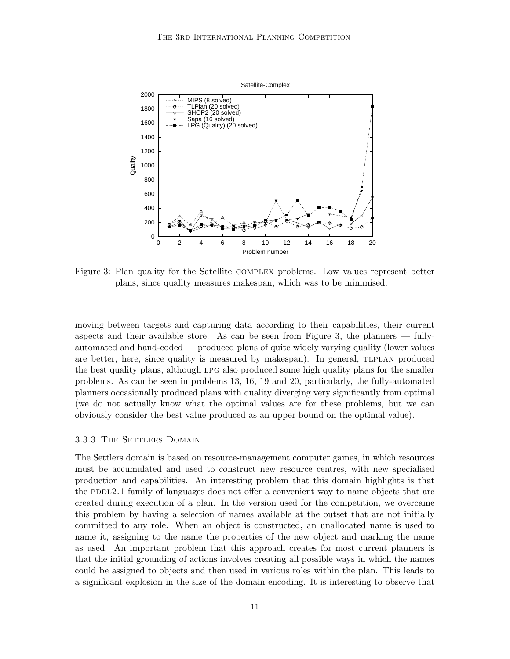

Figure 3: Plan quality for the Satellite COMPLEX problems. Low values represent better plans, since quality measures makespan, which was to be minimised.

moving between targets and capturing data according to their capabilities, their current aspects and their available store. As can be seen from Figure 3, the planners — fullyautomated and hand-coded — produced plans of quite widely varying quality (lower values are better, here, since quality is measured by makespan). In general, TLPLAN produced the best quality plans, although LPG also produced some high quality plans for the smaller problems. As can be seen in problems 13, 16, 19 and 20, particularly, the fully-automated planners occasionally produced plans with quality diverging very significantly from optimal (we do not actually know what the optimal values are for these problems, but we can obviously consider the best value produced as an upper bound on the optimal value).

## 3.3.3 THE SETTLERS DOMAIN

The Settlers domain is based on resource-management computer games, in which resources must be accumulated and used to construct new resource centres, with new specialised production and capabilities. An interesting problem that this domain highlights is that the PDDL2.1 family of languages does not offer a convenient way to name objects that are created during execution of a plan. In the version used for the competition, we overcame this problem by having a selection of names available at the outset that are not initially committed to any role. When an object is constructed, an unallocated name is used to name it, assigning to the name the properties of the new object and marking the name as used. An important problem that this approach creates for most current planners is that the initial grounding of actions involves creating all possible ways in which the names could be assigned to objects and then used in various roles within the plan. This leads to a significant explosion in the size of the domain encoding. It is interesting to observe that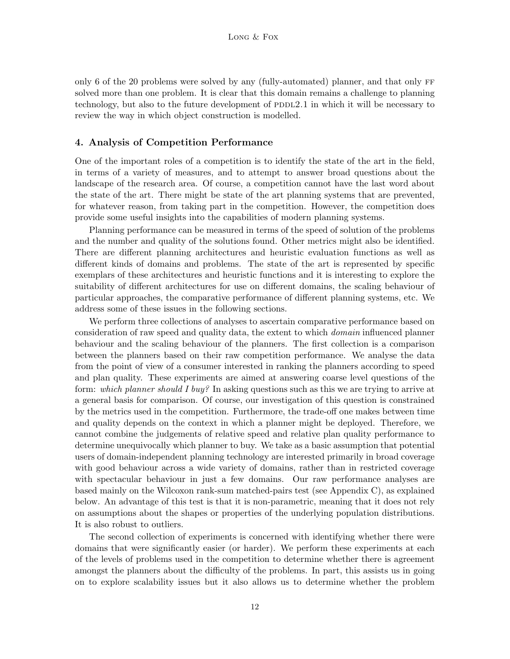only 6 of the 20 problems were solved by any (fully-automated) planner, and that only ff solved more than one problem. It is clear that this domain remains a challenge to planning technology, but also to the future development of PDDL2.1 in which it will be necessary to review the way in which object construction is modelled.

### 4. Analysis of Competition Performance

One of the important roles of a competition is to identify the state of the art in the field, in terms of a variety of measures, and to attempt to answer broad questions about the landscape of the research area. Of course, a competition cannot have the last word about the state of the art. There might be state of the art planning systems that are prevented, for whatever reason, from taking part in the competition. However, the competition does provide some useful insights into the capabilities of modern planning systems.

Planning performance can be measured in terms of the speed of solution of the problems and the number and quality of the solutions found. Other metrics might also be identified. There are different planning architectures and heuristic evaluation functions as well as different kinds of domains and problems. The state of the art is represented by specific exemplars of these architectures and heuristic functions and it is interesting to explore the suitability of different architectures for use on different domains, the scaling behaviour of particular approaches, the comparative performance of different planning systems, etc. We address some of these issues in the following sections.

We perform three collections of analyses to ascertain comparative performance based on consideration of raw speed and quality data, the extent to which domain influenced planner behaviour and the scaling behaviour of the planners. The first collection is a comparison between the planners based on their raw competition performance. We analyse the data from the point of view of a consumer interested in ranking the planners according to speed and plan quality. These experiments are aimed at answering coarse level questions of the form: which planner should I buy? In asking questions such as this we are trying to arrive at a general basis for comparison. Of course, our investigation of this question is constrained by the metrics used in the competition. Furthermore, the trade-off one makes between time and quality depends on the context in which a planner might be deployed. Therefore, we cannot combine the judgements of relative speed and relative plan quality performance to determine unequivocally which planner to buy. We take as a basic assumption that potential users of domain-independent planning technology are interested primarily in broad coverage with good behaviour across a wide variety of domains, rather than in restricted coverage with spectacular behaviour in just a few domains. Our raw performance analyses are based mainly on the Wilcoxon rank-sum matched-pairs test (see Appendix C), as explained below. An advantage of this test is that it is non-parametric, meaning that it does not rely on assumptions about the shapes or properties of the underlying population distributions. It is also robust to outliers.

The second collection of experiments is concerned with identifying whether there were domains that were significantly easier (or harder). We perform these experiments at each of the levels of problems used in the competition to determine whether there is agreement amongst the planners about the difficulty of the problems. In part, this assists us in going on to explore scalability issues but it also allows us to determine whether the problem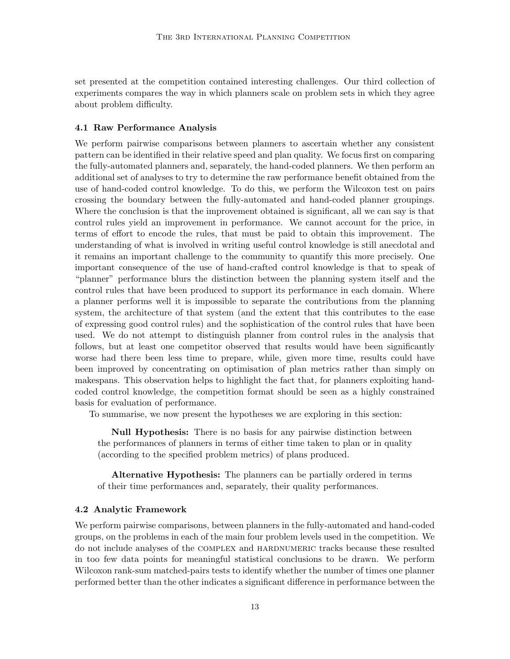set presented at the competition contained interesting challenges. Our third collection of experiments compares the way in which planners scale on problem sets in which they agree about problem difficulty.

#### 4.1 Raw Performance Analysis

We perform pairwise comparisons between planners to ascertain whether any consistent pattern can be identified in their relative speed and plan quality. We focus first on comparing the fully-automated planners and, separately, the hand-coded planners. We then perform an additional set of analyses to try to determine the raw performance benefit obtained from the use of hand-coded control knowledge. To do this, we perform the Wilcoxon test on pairs crossing the boundary between the fully-automated and hand-coded planner groupings. Where the conclusion is that the improvement obtained is significant, all we can say is that control rules yield an improvement in performance. We cannot account for the price, in terms of effort to encode the rules, that must be paid to obtain this improvement. The understanding of what is involved in writing useful control knowledge is still anecdotal and it remains an important challenge to the community to quantify this more precisely. One important consequence of the use of hand-crafted control knowledge is that to speak of "planner" performance blurs the distinction between the planning system itself and the control rules that have been produced to support its performance in each domain. Where a planner performs well it is impossible to separate the contributions from the planning system, the architecture of that system (and the extent that this contributes to the ease of expressing good control rules) and the sophistication of the control rules that have been used. We do not attempt to distinguish planner from control rules in the analysis that follows, but at least one competitor observed that results would have been significantly worse had there been less time to prepare, while, given more time, results could have been improved by concentrating on optimisation of plan metrics rather than simply on makespans. This observation helps to highlight the fact that, for planners exploiting handcoded control knowledge, the competition format should be seen as a highly constrained basis for evaluation of performance.

To summarise, we now present the hypotheses we are exploring in this section:

Null Hypothesis: There is no basis for any pairwise distinction between the performances of planners in terms of either time taken to plan or in quality (according to the specified problem metrics) of plans produced.

Alternative Hypothesis: The planners can be partially ordered in terms of their time performances and, separately, their quality performances.

### 4.2 Analytic Framework

We perform pairwise comparisons, between planners in the fully-automated and hand-coded groups, on the problems in each of the main four problem levels used in the competition. We do not include analyses of the complex and hardnumeric tracks because these resulted in too few data points for meaningful statistical conclusions to be drawn. We perform Wilcoxon rank-sum matched-pairs tests to identify whether the number of times one planner performed better than the other indicates a significant difference in performance between the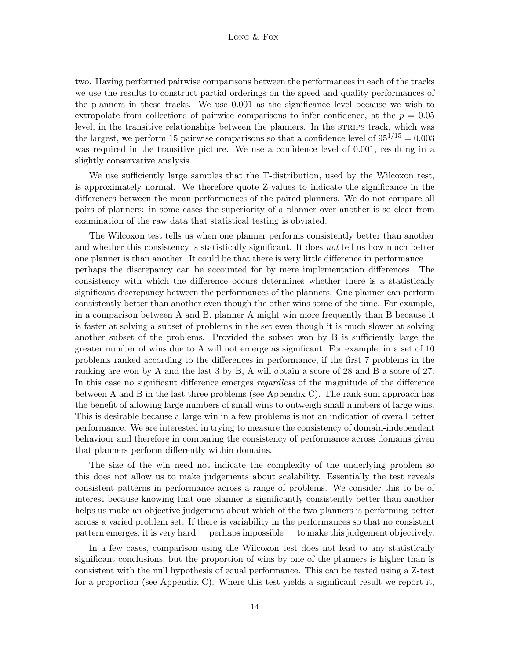#### Long & Fox

two. Having performed pairwise comparisons between the performances in each of the tracks we use the results to construct partial orderings on the speed and quality performances of the planners in these tracks. We use 0.001 as the significance level because we wish to extrapolate from collections of pairwise comparisons to infer confidence, at the  $p = 0.05$ level, in the transitive relationships between the planners. In the STRIPS track, which was the largest, we perform 15 pairwise comparisons so that a confidence level of  $95^{1/15} = 0.003$ was required in the transitive picture. We use a confidence level of 0.001, resulting in a slightly conservative analysis.

We use sufficiently large samples that the T-distribution, used by the Wilcoxon test, is approximately normal. We therefore quote Z-values to indicate the significance in the differences between the mean performances of the paired planners. We do not compare all pairs of planners: in some cases the superiority of a planner over another is so clear from examination of the raw data that statistical testing is obviated.

The Wilcoxon test tells us when one planner performs consistently better than another and whether this consistency is statistically significant. It does not tell us how much better one planner is than another. It could be that there is very little difference in performance perhaps the discrepancy can be accounted for by mere implementation differences. The consistency with which the difference occurs determines whether there is a statistically significant discrepancy between the performances of the planners. One planner can perform consistently better than another even though the other wins some of the time. For example, in a comparison between A and B, planner A might win more frequently than B because it is faster at solving a subset of problems in the set even though it is much slower at solving another subset of the problems. Provided the subset won by B is sufficiently large the greater number of wins due to A will not emerge as significant. For example, in a set of 10 problems ranked according to the differences in performance, if the first 7 problems in the ranking are won by A and the last 3 by B, A will obtain a score of 28 and B a score of 27. In this case no significant difference emerges *regardless* of the magnitude of the difference between A and B in the last three problems (see Appendix C). The rank-sum approach has the benefit of allowing large numbers of small wins to outweigh small numbers of large wins. This is desirable because a large win in a few problems is not an indication of overall better performance. We are interested in trying to measure the consistency of domain-independent behaviour and therefore in comparing the consistency of performance across domains given that planners perform differently within domains.

The size of the win need not indicate the complexity of the underlying problem so this does not allow us to make judgements about scalability. Essentially the test reveals consistent patterns in performance across a range of problems. We consider this to be of interest because knowing that one planner is significantly consistently better than another helps us make an objective judgement about which of the two planners is performing better across a varied problem set. If there is variability in the performances so that no consistent pattern emerges, it is very hard — perhaps impossible — to make this judgement objectively.

In a few cases, comparison using the Wilcoxon test does not lead to any statistically significant conclusions, but the proportion of wins by one of the planners is higher than is consistent with the null hypothesis of equal performance. This can be tested using a Z-test for a proportion (see Appendix C). Where this test yields a significant result we report it,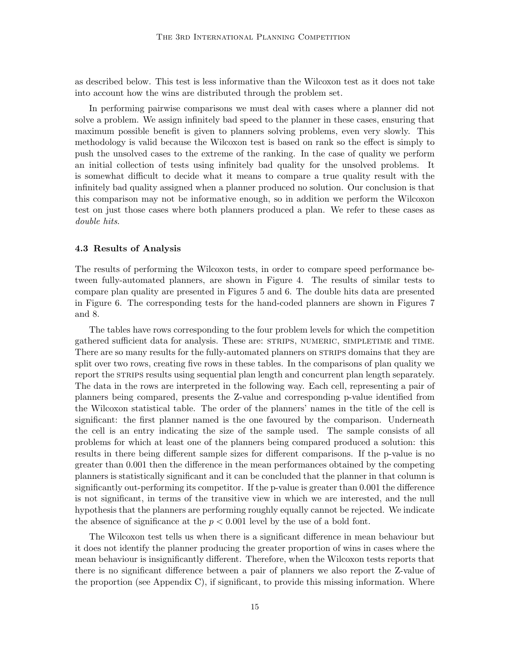as described below. This test is less informative than the Wilcoxon test as it does not take into account how the wins are distributed through the problem set.

In performing pairwise comparisons we must deal with cases where a planner did not solve a problem. We assign infinitely bad speed to the planner in these cases, ensuring that maximum possible benefit is given to planners solving problems, even very slowly. This methodology is valid because the Wilcoxon test is based on rank so the effect is simply to push the unsolved cases to the extreme of the ranking. In the case of quality we perform an initial collection of tests using infinitely bad quality for the unsolved problems. It is somewhat difficult to decide what it means to compare a true quality result with the infinitely bad quality assigned when a planner produced no solution. Our conclusion is that this comparison may not be informative enough, so in addition we perform the Wilcoxon test on just those cases where both planners produced a plan. We refer to these cases as double hits.

### 4.3 Results of Analysis

The results of performing the Wilcoxon tests, in order to compare speed performance between fully-automated planners, are shown in Figure 4. The results of similar tests to compare plan quality are presented in Figures 5 and 6. The double hits data are presented in Figure 6. The corresponding tests for the hand-coded planners are shown in Figures 7 and 8.

The tables have rows corresponding to the four problem levels for which the competition gathered sufficient data for analysis. These are: strips, numeric, simpletime and time. There are so many results for the fully-automated planners on STRIPS domains that they are split over two rows, creating five rows in these tables. In the comparisons of plan quality we report the STRIPS results using sequential plan length and concurrent plan length separately. The data in the rows are interpreted in the following way. Each cell, representing a pair of planners being compared, presents the Z-value and corresponding p-value identified from the Wilcoxon statistical table. The order of the planners' names in the title of the cell is significant: the first planner named is the one favoured by the comparison. Underneath the cell is an entry indicating the size of the sample used. The sample consists of all problems for which at least one of the planners being compared produced a solution: this results in there being different sample sizes for different comparisons. If the p-value is no greater than 0.001 then the difference in the mean performances obtained by the competing planners is statistically significant and it can be concluded that the planner in that column is significantly out-performing its competitor. If the p-value is greater than 0.001 the difference is not significant, in terms of the transitive view in which we are interested, and the null hypothesis that the planners are performing roughly equally cannot be rejected. We indicate the absence of significance at the  $p < 0.001$  level by the use of a bold font.

The Wilcoxon test tells us when there is a significant difference in mean behaviour but it does not identify the planner producing the greater proportion of wins in cases where the mean behaviour is insignificantly different. Therefore, when the Wilcoxon tests reports that there is no significant difference between a pair of planners we also report the Z-value of the proportion (see Appendix C), if significant, to provide this missing information. Where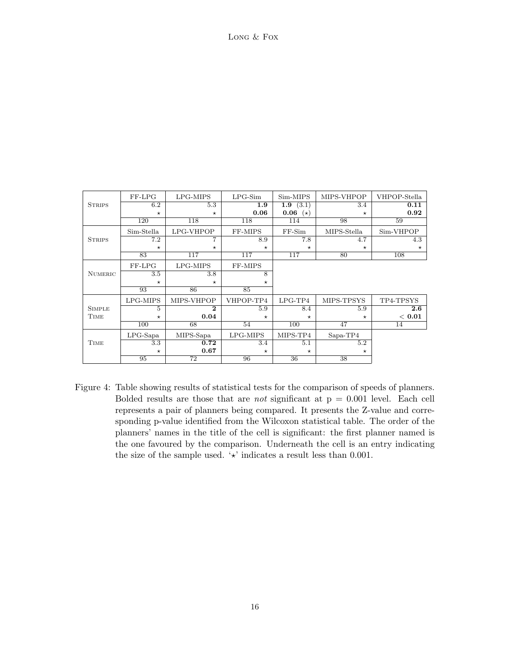Long & Fox

|                | FF-LPG      | LPG-MIPS        | $LPG-Sim$      | Sim-MIPS          | MIPS-VHPOP      | VHPOP-Stella |
|----------------|-------------|-----------------|----------------|-------------------|-----------------|--------------|
| <b>STRIPS</b>  | 6.2         | 5.3             | 1.9            | (3.1)<br>1.9      | 3.4             | 0.11         |
|                | $\star$     | $\star$         | 0.06           | 0.06<br>$(\star)$ | $\star$         | 0.92         |
|                | 120         | 118             | 118            | 114               | 98              | 59           |
|                | Sim-Stella  | LPG-VHPOP       | FF-MIPS        | $FF-Sim$          | MIPS-Stella     | Sim-VHPOP    |
| <b>STRIPS</b>  | 7.2         |                 | 8.9            | 7.8               | 4.7             | 4.3          |
|                | $\star$     | $\star$         | $\star$        | $\star$           | $\star$         | $\star$      |
|                | 83          | 117             | 117            | 117               | 80              | 108          |
|                | FF-LPG      | LPG-MIPS        | FF-MIPS        |                   |                 |              |
| <b>NUMERIC</b> | 3.5         | 3.8             | $\overline{8}$ |                   |                 |              |
|                | $\star$     | $\star$         | $\star$        |                   |                 |              |
|                | 93          | 86              | 85             |                   |                 |              |
|                | LPG-MIPS    | MIPS-VHPOP      | VHPOP-TP4      | $LPG-TP4$         | MIPS-TPSYS      | TP4-TPSYS    |
| <b>SIMPLE</b>  | 5           | $\bf{2}$        | 5.9            | 8.4               | 5.9             | $2.6\,$      |
| TIME           | $^\star$    | 0.04            | $\star$        | $^\star$          | $\star$         | < 0.01       |
|                | 100         | 68              | 54             | 100               | 47              | 14           |
|                | $LPG$ -Sapa | MIPS-Sapa       | LPG-MIPS       | MIPS-TP4          | Sapa-TP4        |              |
| <b>TIME</b>    | 3.3         | 0.72            | 3.4            | 5.1               | 5.2             |              |
|                | $\star$     | 0.67            | $\star$        | $\star$           | $^\star$        |              |
|                | 95          | $\overline{72}$ | 96             | $\overline{36}$   | $\overline{38}$ |              |

Figure 4: Table showing results of statistical tests for the comparison of speeds of planners. Bolded results are those that are *not* significant at  $p = 0.001$  level. Each cell represents a pair of planners being compared. It presents the Z-value and corresponding p-value identified from the Wilcoxon statistical table. The order of the planners' names in the title of the cell is significant: the first planner named is the one favoured by the comparison. Underneath the cell is an entry indicating the size of the sample used.  $\forall$  indicates a result less than 0.001.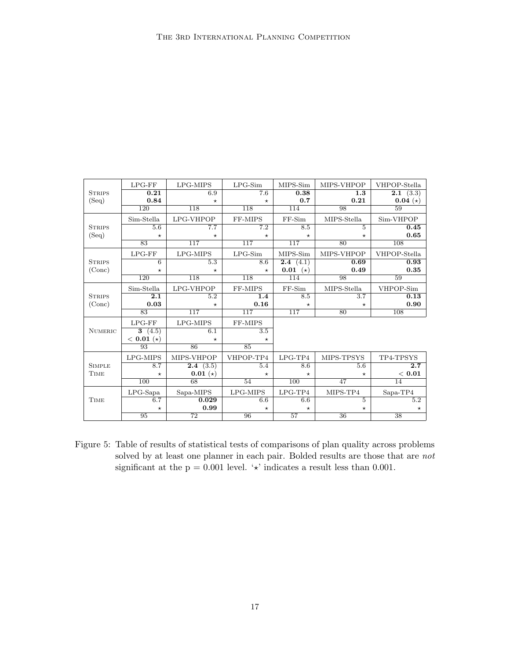|                | $LPG$ - $FF$     | LPG-MIPS         | $LPG-Sim$        | MIPS-Sim          | MIPS-VHPOP       | VHPOP-Stella              |
|----------------|------------------|------------------|------------------|-------------------|------------------|---------------------------|
| <b>STRIPS</b>  | 0.21             | 6.9              | $\overline{7.6}$ | 0.38              | $\overline{1.3}$ | (3.3)<br>$\overline{2.1}$ |
| (Seq)          | 0.84             | $\star$          | $\star$          | 0.7               | 0.21             | $0.04(*)$                 |
|                | $\overline{120}$ | 118              | 118              | 114               | 98               | 59                        |
|                | Sim-Stella       | LPG-VHPOP        | FF-MIPS          | $FF-Sim$          | MIPS-Stella      | Sim-VHPOP                 |
| <b>STRIPS</b>  | 5.6              | 7.7              | $\overline{7.2}$ | 8.5               | 5                | 0.45                      |
| (Seq)          | $\star$          | $\star$          | $^\star$         | $\star$           | $\star$          | 0.65                      |
|                | 83               | 117              | 117              | $\overline{117}$  | 80               | 108                       |
|                | $LPG$ - $FF$     | LPG-MIPS         | $LPG-Sim$        | MIPS-Sim          | MIPS-VHPOP       | VHPOP-Stella              |
| <b>STRIPS</b>  | $6\overline{6}$  | 5.3              | 8.6              | 2.4<br>(4.1)      | 0.69             | 0.93                      |
| (Conc)         | $\star$          | $\star$          | $\star$          | 0.01<br>$(\star)$ | 0.49             | 0.35                      |
|                | $\overline{120}$ | 118              | 118              | 114               | 98               | 59                        |
|                | Sim-Stella       | LPG-VHPOP        | FF-MIPS          | $FF-Sim$          | MIPS-Stella      | VHPOP-Sim                 |
| <b>STRIPS</b>  | $\overline{2.1}$ | 5.2              | 1.4              | 8.5               | $\overline{3.7}$ | 0.13                      |
| (Conc)         | 0.03             | $\star$          | 0.16             | $\star$           | $\star$          | 0.90                      |
|                | $\overline{83}$  | $\overline{117}$ | $\overline{117}$ | $\overline{117}$  | 80               | 108                       |
|                | $LPG$ - $FF$     | LPG-MIPS         | FF-MIPS          |                   |                  |                           |
| <b>NUMERIC</b> | 3(4.5)           | 6.1              | $\overline{3.5}$ |                   |                  |                           |
|                | $< 0.01 (*)$     | $\star$          | $\star$          |                   |                  |                           |
|                | 93               | 86               | 85               |                   |                  |                           |
|                | LPG-MIPS         | MIPS-VHPOP       | VHPOP-TP4        | $LPG-TP4$         | MIPS-TPSYS       | TP4-TPSYS                 |
| <b>SIMPLE</b>  | 8.7              | (3.5)<br>2.4     | 5.4              | 8.6               | $5.\overline{6}$ | $\overline{2.7}$          |
| TIME           | $\star$          | $0.01(*)$        | $^\star$         | $^\star$          | $\star$          | < 0.01                    |
|                | 100              | 68               | 54               | 100               | 47               | 14                        |
|                | $LPG$ -Sapa      | Sapa-MIPS        | LPG-MIPS         | $LPG-TP4$         | MIPS-TP4         | $Sapa-TP4$                |
| <b>TIME</b>    | 6.7              | 0.029            | 6.6              | 6.6               | 5                | 5.2                       |
|                | $\star$          | 0.99             | $\star$          | $\star$           | $\star$          | $\star$                   |
|                | 95               | 72               | 96               | 57                | 36               | 38                        |

Figure 5: Table of results of statistical tests of comparisons of plan quality across problems solved by at least one planner in each pair. Bolded results are those that are not significant at the  $p = 0.001$  level. ' $\star$ ' indicates a result less than 0.001.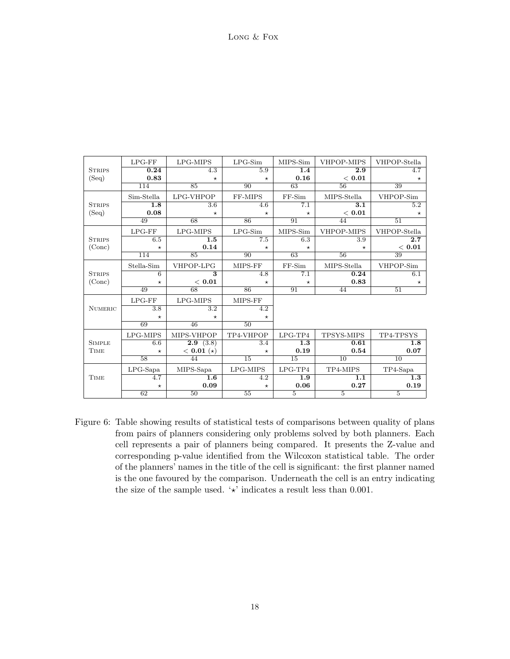|                | $LPG$ - $FF$   | LPG-MIPS                | $LPG-Sim$        | MIPS-Sim        | VHPOP-MIPS       | VHPOP-Stella     |
|----------------|----------------|-------------------------|------------------|-----------------|------------------|------------------|
| <b>STRIPS</b>  | 0.24           | 4.3                     | 5.9              | 1.4             | $\overline{2.9}$ | 4.7              |
| (Seq)          | 0.83           | $\star$                 | $\star$          | 0.16            | < 0.01           | $\star$          |
|                | 114            | $\overline{85}$         | 90               | $\overline{63}$ | $\overline{56}$  | 39               |
|                | Sim-Stella     | LPG-VHPOP               | FF-MIPS          | $FF-Sim$        | MIPS-Stella      | VHPOP-Sim        |
| <b>STRIPS</b>  | 1.8            | 3.6                     | 4.6              | 7.1             | 3.1              | 5.2              |
| (Seq)          | 0.08           | $\star$                 | $^{\star}$       | $\star$         | < 0.01           | $\star$          |
|                | 49             | 68                      | 86               | 91              | 44               | 51               |
|                | $LPG$ - $FF$   | LPG-MIPS                | $LPG-Sim$        | MIPS-Sim        | VHPOP-MIPS       | VHPOP-Stella     |
| <b>STRIPS</b>  | 6.5            | $\overline{1.5}$        | 7.5              | 6.3             | $\overline{3.9}$ | 2.7              |
| (Conc)         | $\star$        | 0.14                    | $\star$          | $\star$         | $\star$          | < 0.01           |
|                | 114            | 85                      | 90               | 63              | $\overline{56}$  | 39               |
|                | Stella-Sim     | VHPOP-LPG               | MIPS-FF          | $FF-Sim$        | MIPS-Stella      | VHPOP-Sim        |
| <b>STRIPS</b>  | $\overline{6}$ | $\overline{\mathbf{3}}$ | 4.8              | 7.1             | 0.24             | 6.1              |
| (Cone)         | $\star$        | < 0.01                  | $\star$          | $\star$         | 0.83             | $\star$          |
|                | 49             | 68                      | 86               | 91              | 44               | 51               |
|                | $LPG$ - $FF$   | LPG-MIPS                | MIPS-FF          |                 |                  |                  |
| <b>NUMERIC</b> | 3.8            | $\overline{3.2}$        | $\overline{4.2}$ |                 |                  |                  |
|                | $\star$        | $\star$                 | $\star$          |                 |                  |                  |
|                | 69             | 46                      | $\overline{50}$  |                 |                  |                  |
|                | LPG-MIPS       | MIPS-VHPOP              | TP4-VHPOP        | $LPG-TP4$       | TPSYS-MIPS       | TP4-TPSYS        |
| <b>SIMPLE</b>  | 6.6            | 2.9(3.8)                | 3.4              | 1.3             | 0.61             | $\overline{1.8}$ |
| <b>TIME</b>    | $\star$        | $< 0.01 (*)$            | $^\star$         | 0.19            | 0.54             | 0.07             |
|                | 58             | 44                      | $\overline{15}$  | $\overline{15}$ | $\overline{10}$  | $\overline{10}$  |
|                | $LPG$ -Sapa    | MIPS-Sapa               | LPG-MIPS         | $LPG-TP4$       | TP4-MIPS         | $TP4-Sapa$       |
| <b>TIME</b>    | 4.7            | $\overline{1.6}$        | $\overline{4.2}$ | 1.9             | $\overline{1.1}$ | $\overline{1.3}$ |
|                | $\star$        | 0.09                    | $\star$          | 0.06            | 0.27             | 0.19             |
|                | 62             | 50                      | $\overline{55}$  | $\overline{5}$  | $\overline{5}$   | $\overline{5}$   |

Figure 6: Table showing results of statistical tests of comparisons between quality of plans from pairs of planners considering only problems solved by both planners. Each cell represents a pair of planners being compared. It presents the Z-value and corresponding p-value identified from the Wilcoxon statistical table. The order of the planners' names in the title of the cell is significant: the first planner named is the one favoured by the comparison. Underneath the cell is an entry indicating the size of the sample used.  $\forall$  indicates a result less than 0.001.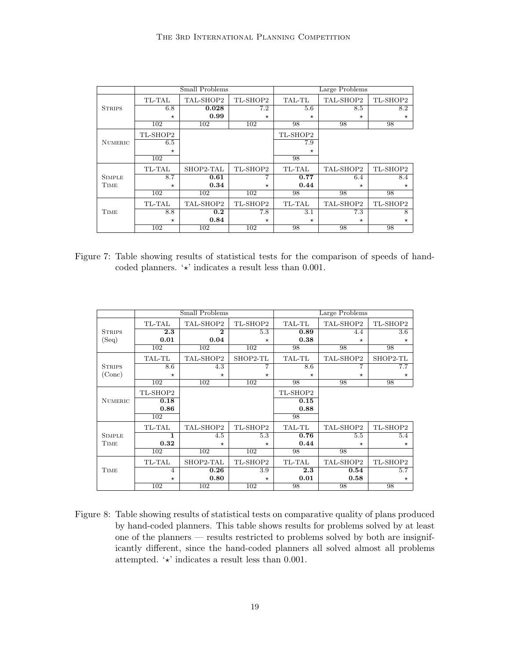|                |          | Small Problems |          | Large Problems |           |          |  |
|----------------|----------|----------------|----------|----------------|-----------|----------|--|
|                | TL-TAL   | TAL-SHOP2      | TL-SHOP2 | TAL-TL         | TAL-SHOP2 | TL-SHOP2 |  |
| <b>STRIPS</b>  | 6.8      | 0.028          | 7.2      | 5.6            | 8.5       | 8.2      |  |
|                | $^\star$ | 0.99           | $\star$  | $\star$        | $\star$   | $\star$  |  |
|                | 102      | 102            | 102      | 98             | 98        | 98       |  |
|                | TL-SHOP2 |                |          | TL-SHOP2       |           |          |  |
| <b>NUMERIC</b> | 6.5      |                |          | 7.9            |           |          |  |
|                | $\star$  |                |          | $\star$        |           |          |  |
|                | 102      |                |          | 98             |           |          |  |
|                | TL-TAL   | SHOP2-TAL      | TL-SHOP2 | TL-TAL         | TAL-SHOP2 | TL-SHOP2 |  |
| <b>SIMPLE</b>  | 8.7      | 0.61           | 7        | 0.77           | 6.4       | 8.4      |  |
| TIME           | $\star$  | 0.34           | $\star$  | 0.44           | $\star$   | $\star$  |  |
|                | 102      | 102            | 102      | 98             | 98        | 98       |  |
|                | TL-TAL   | TAL-SHOP2      | TL-SHOP2 | TL-TAL         | TAL-SHOP2 | TL-SHOP2 |  |
| TIME           | 8.8      | 0.2            | 7.8      | 3.1            | 7.3       | 8        |  |
|                | $\star$  | 0.84           | $\star$  | $\star$        | $\star$   | $\star$  |  |
|                | 102      | 102            | 102      | 98             | 98        | 98       |  |

Figure 7: Table showing results of statistical tests for the comparison of speeds of handcoded planners.  $\forall$  indicates a result less than 0.001.

|                |                | Small Problems   |          | Large Problems |           |          |  |
|----------------|----------------|------------------|----------|----------------|-----------|----------|--|
|                | TL-TAL         | TAL-SHOP2        | TL-SHOP2 | TAL-TL         | TAL-SHOP2 | TL-SHOP2 |  |
| <b>STRIPS</b>  | 2.3            | $\mathbf 2$      | 5.3      | 0.89           | 4.4       | 3.6      |  |
| (Seq)          | 0.01           | 0.04             | $\star$  | 0.38           | $\star$   | $\star$  |  |
|                | 102            | 102              | 102      | 98             | 98        | 98       |  |
|                | TAL-TL         | TAL-SHOP2        | SHOP2-TL | TAL-TL         | TAL-SHOP2 | SHOP2-TL |  |
| <b>STRIPS</b>  | 8.6            | 4.3              | 7        | 8.6            | 7         | 7.7      |  |
| (Conc)         | $\star$        | $\star$          | $\star$  | $\star$        | $\star$   | $\star$  |  |
|                | 102            | $\overline{102}$ | 102      | 98             | 98        | 98       |  |
|                | TL-SHOP2       |                  |          | TL-SHOP2       |           |          |  |
| <b>NUMERIC</b> | 0.18           |                  |          | 0.15           |           |          |  |
|                | 0.86           |                  |          | 0.88           |           |          |  |
|                | 102            |                  |          | 98             |           |          |  |
|                | TL-TAL         | TAL-SHOP2        | TL-SHOP2 | TAL-TL         | TAL-SHOP2 | TL-SHOP2 |  |
| <b>SIMPLE</b>  | 1              | 4.5              | 5.3      | 0.76           | 5.5       | 5.4      |  |
| TIME           | 0.32           | $\star$          | $\star$  | 0.44           | $\star$   | $\star$  |  |
|                | 102            | 102              | 102      | 98             | 98        |          |  |
|                | TL-TAL         | SHOP2-TAL        | TL-SHOP2 | TL-TAL         | TAL-SHOP2 | TL-SHOP2 |  |
| TIME           | $\overline{4}$ | 0.26             | 3.9      | 2.3            | 0.54      | 5.7      |  |
|                | $\star$        | 0.80             | $\star$  | 0.01           | 0.58      | $\star$  |  |
|                | 102            | 102              | 102      | 98             | 98        | 98       |  |

Figure 8: Table showing results of statistical tests on comparative quality of plans produced by hand-coded planners. This table shows results for problems solved by at least one of the planners — results restricted to problems solved by both are insignificantly different, since the hand-coded planners all solved almost all problems attempted.  $\star$  indicates a result less than 0.001.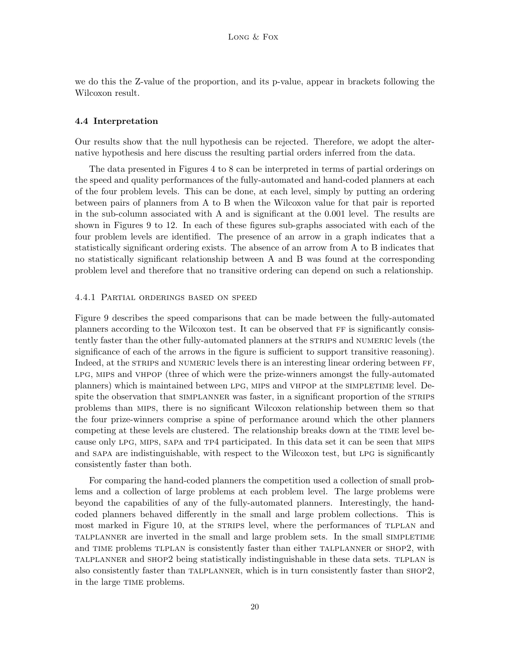we do this the Z-value of the proportion, and its p-value, appear in brackets following the Wilcoxon result.

### 4.4 Interpretation

Our results show that the null hypothesis can be rejected. Therefore, we adopt the alternative hypothesis and here discuss the resulting partial orders inferred from the data.

The data presented in Figures 4 to 8 can be interpreted in terms of partial orderings on the speed and quality performances of the fully-automated and hand-coded planners at each of the four problem levels. This can be done, at each level, simply by putting an ordering between pairs of planners from A to B when the Wilcoxon value for that pair is reported in the sub-column associated with A and is significant at the 0.001 level. The results are shown in Figures 9 to 12. In each of these figures sub-graphs associated with each of the four problem levels are identified. The presence of an arrow in a graph indicates that a statistically significant ordering exists. The absence of an arrow from A to B indicates that no statistically significant relationship between A and B was found at the corresponding problem level and therefore that no transitive ordering can depend on such a relationship.

### 4.4.1 Partial orderings based on speed

Figure 9 describes the speed comparisons that can be made between the fully-automated planners according to the Wilcoxon test. It can be observed that FF is significantly consistently faster than the other fully-automated planners at the STRIPS and NUMERIC levels (the significance of each of the arrows in the figure is sufficient to support transitive reasoning). Indeed, at the STRIPS and NUMERIC levels there is an interesting linear ordering between FF, lpg, mips and vhpop (three of which were the prize-winners amongst the fully-automated planners) which is maintained between lpg, mips and vhpop at the simpletime level. Despite the observation that SIMPLANNER was faster, in a significant proportion of the STRIPS problems than mips, there is no significant Wilcoxon relationship between them so that the four prize-winners comprise a spine of performance around which the other planners competing at these levels are clustered. The relationship breaks down at the TIME level because only lpg, mips, sapa and tp4 participated. In this data set it can be seen that mips and sapa are indistinguishable, with respect to the Wilcoxon test, but lpg is significantly consistently faster than both.

For comparing the hand-coded planners the competition used a collection of small problems and a collection of large problems at each problem level. The large problems were beyond the capabilities of any of the fully-automated planners. Interestingly, the handcoded planners behaved differently in the small and large problem collections. This is most marked in Figure 10, at the strains level, where the performances of TLPLAN and talplanner are inverted in the small and large problem sets. In the small simpletime and TIME problems TLPLAN is consistently faster than either TALPLANNER or SHOP2, with talplanner and shop2 being statistically indistinguishable in these data sets. tlplan is also consistently faster than talplanner, which is in turn consistently faster than shop2, in the large TIME problems.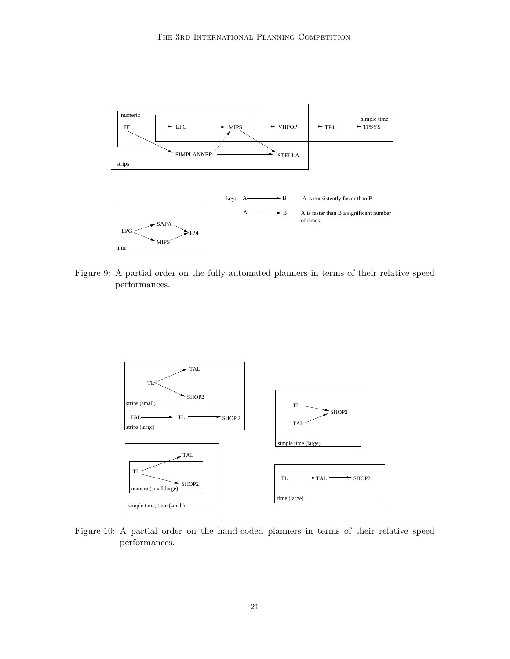

Figure 9: A partial order on the fully-automated planners in terms of their relative speed performances.



Figure 10: A partial order on the hand-coded planners in terms of their relative speed performances.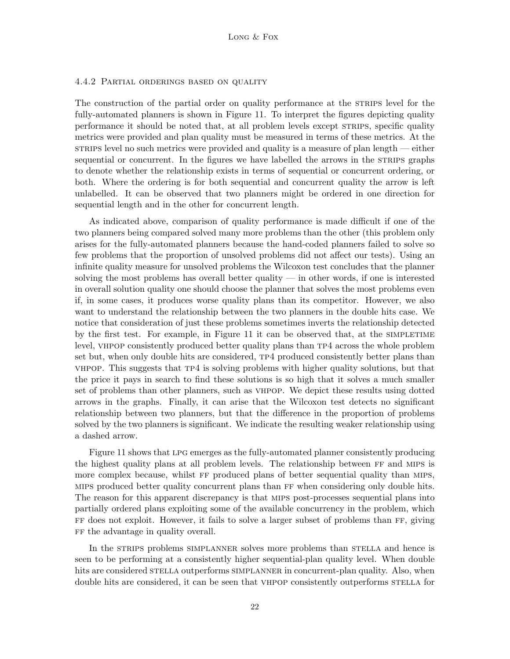### 4.4.2 Partial orderings based on quality

The construction of the partial order on quality performance at the STRIPS level for the fully-automated planners is shown in Figure 11. To interpret the figures depicting quality performance it should be noted that, at all problem levels except strips, specific quality metrics were provided and plan quality must be measured in terms of these metrics. At the strups level no such metrics were provided and quality is a measure of plan length — either sequential or concurrent. In the figures we have labelled the arrows in the STRIPS graphs to denote whether the relationship exists in terms of sequential or concurrent ordering, or both. Where the ordering is for both sequential and concurrent quality the arrow is left unlabelled. It can be observed that two planners might be ordered in one direction for sequential length and in the other for concurrent length.

As indicated above, comparison of quality performance is made difficult if one of the two planners being compared solved many more problems than the other (this problem only arises for the fully-automated planners because the hand-coded planners failed to solve so few problems that the proportion of unsolved problems did not affect our tests). Using an infinite quality measure for unsolved problems the Wilcoxon test concludes that the planner solving the most problems has overall better quality — in other words, if one is interested in overall solution quality one should choose the planner that solves the most problems even if, in some cases, it produces worse quality plans than its competitor. However, we also want to understand the relationship between the two planners in the double hits case. We notice that consideration of just these problems sometimes inverts the relationship detected by the first test. For example, in Figure 11 it can be observed that, at the SIMPLETIME level, VHPOP consistently produced better quality plans than TP4 across the whole problem set but, when only double hits are considered,  $TP4$  produced consistently better plans than vhpop. This suggests that tp4 is solving problems with higher quality solutions, but that the price it pays in search to find these solutions is so high that it solves a much smaller set of problems than other planners, such as vhpop. We depict these results using dotted arrows in the graphs. Finally, it can arise that the Wilcoxon test detects no significant relationship between two planners, but that the difference in the proportion of problems solved by the two planners is significant. We indicate the resulting weaker relationship using a dashed arrow.

Figure 11 shows that lpg emerges as the fully-automated planner consistently producing the highest quality plans at all problem levels. The relationship between ff and mips is more complex because, whilst ff produced plans of better sequential quality than mips, mips produced better quality concurrent plans than ff when considering only double hits. The reason for this apparent discrepancy is that mips post-processes sequential plans into partially ordered plans exploiting some of the available concurrency in the problem, which ff does not exploit. However, it fails to solve a larger subset of problems than ff, giving ff the advantage in quality overall.

In the STRIPS problems SIMPLANNER solves more problems than STELLA and hence is seen to be performing at a consistently higher sequential-plan quality level. When double hits are considered STELLA outperforms SIMPLANNER in concurrent-plan quality. Also, when double hits are considered, it can be seen that VHPOP consistently outperforms STELLA for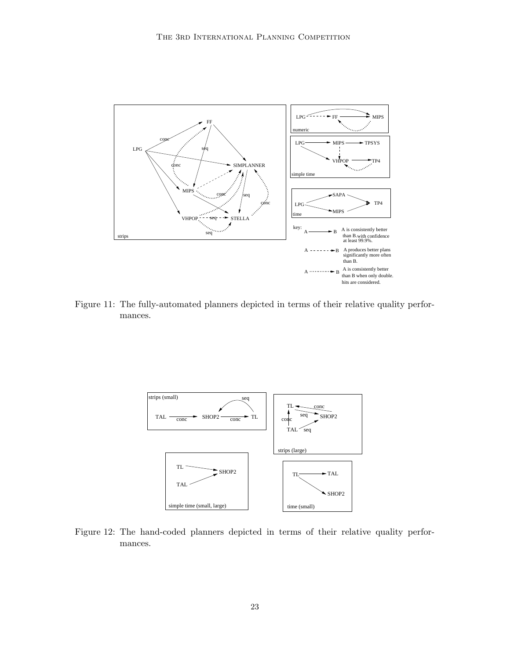

Figure 11: The fully-automated planners depicted in terms of their relative quality performances.



Figure 12: The hand-coded planners depicted in terms of their relative quality performances.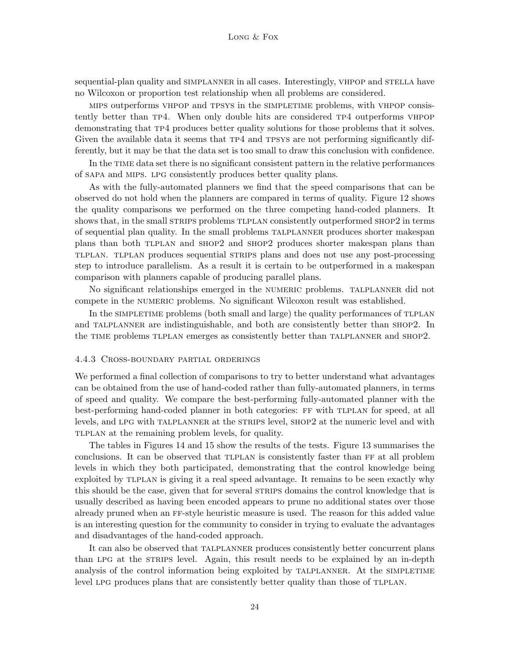sequential-plan quality and SIMPLANNER in all cases. Interestingly, VHPOP and STELLA have no Wilcoxon or proportion test relationship when all problems are considered.

mips outperforms vhpop and tpsys in the simpletime problems, with vhpop consistently better than tp4. When only double hits are considered tp4 outperforms vhpop demonstrating that tp4 produces better quality solutions for those problems that it solves. Given the available data it seems that  $T P4$  and TPSYS are not performing significantly differently, but it may be that the data set is too small to draw this conclusion with confidence.

In the TIME data set there is no significant consistent pattern in the relative performances of sapa and mips. lpg consistently produces better quality plans.

As with the fully-automated planners we find that the speed comparisons that can be observed do not hold when the planners are compared in terms of quality. Figure 12 shows the quality comparisons we performed on the three competing hand-coded planners. It shows that, in the small STRIPS problems TLPLAN consistently outperformed SHOP2 in terms of sequential plan quality. In the small problems talplanner produces shorter makespan plans than both tlplan and shop2 and shop2 produces shorter makespan plans than tlplan. tlplan produces sequential strips plans and does not use any post-processing step to introduce parallelism. As a result it is certain to be outperformed in a makespan comparison with planners capable of producing parallel plans.

No significant relationships emerged in the numeric problems. talplanner did not compete in the numeric problems. No significant Wilcoxon result was established.

In the SIMPLETIME problems (both small and large) the quality performances of TLPLAN and TALPLANNER are indistinguishable, and both are consistently better than SHOP2. In the TIME problems TLPLAN emerges as consistently better than TALPLANNER and SHOP2.

## 4.4.3 Cross-boundary partial orderings

We performed a final collection of comparisons to try to better understand what advantages can be obtained from the use of hand-coded rather than fully-automated planners, in terms of speed and quality. We compare the best-performing fully-automated planner with the best-performing hand-coded planner in both categories: FF with TLPLAN for speed, at all levels, and lpg with talplanner at the strips level, shop2 at the numeric level and with tlplan at the remaining problem levels, for quality.

The tables in Figures 14 and 15 show the results of the tests. Figure 13 summarises the conclusions. It can be observed that TLPLAN is consistently faster than FF at all problem levels in which they both participated, demonstrating that the control knowledge being exploited by tlplan is giving it a real speed advantage. It remains to be seen exactly why this should be the case, given that for several STRIPS domains the control knowledge that is usually described as having been encoded appears to prune no additional states over those already pruned when an ff-style heuristic measure is used. The reason for this added value is an interesting question for the community to consider in trying to evaluate the advantages and disadvantages of the hand-coded approach.

It can also be observed that talplanner produces consistently better concurrent plans than LPG at the STRIPS level. Again, this result needs to be explained by an in-depth analysis of the control information being exploited by TALPLANNER. At the SIMPLETIME level LPG produces plans that are consistently better quality than those of TLPLAN.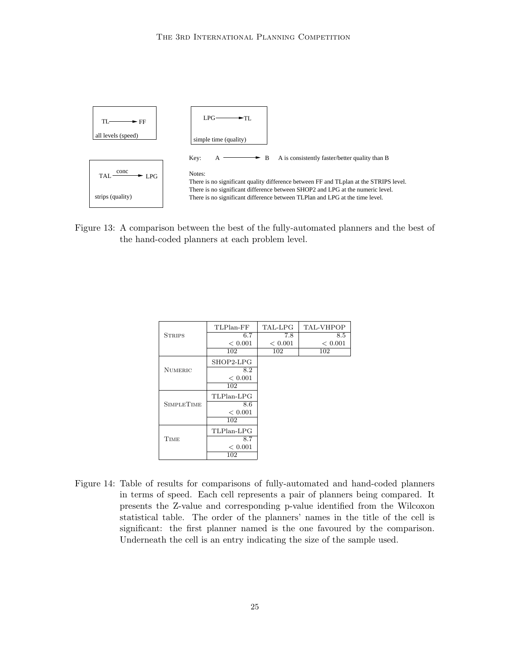

Figure 13: A comparison between the best of the fully-automated planners and the best of the hand-coded planners at each problem level.

|                   | TLPlan-FF  | TAL-LPG | <b>TAL-VHPOP</b> |
|-------------------|------------|---------|------------------|
| <b>STRIPS</b>     | 6.7        | 7.8     | 8.5              |
|                   | < 0.001    | < 0.001 | < 0.001          |
|                   | 102        | 102     | 102              |
|                   | SHOP2-LPG  |         |                  |
| <b>NUMERIC</b>    | 8.2        |         |                  |
|                   | < 0.001    |         |                  |
|                   | 102        |         |                  |
|                   | TLPlan-LPG |         |                  |
| <b>SIMPLETIME</b> | 8.6        |         |                  |
|                   | < 0.001    |         |                  |
|                   | 102        |         |                  |
|                   | TLPlan-LPG |         |                  |
| <b>TIME</b>       | 8.7        |         |                  |
|                   | < 0.001    |         |                  |
|                   | 102        |         |                  |

Figure 14: Table of results for comparisons of fully-automated and hand-coded planners in terms of speed. Each cell represents a pair of planners being compared. It presents the Z-value and corresponding p-value identified from the Wilcoxon statistical table. The order of the planners' names in the title of the cell is significant: the first planner named is the one favoured by the comparison. Underneath the cell is an entry indicating the size of the sample used.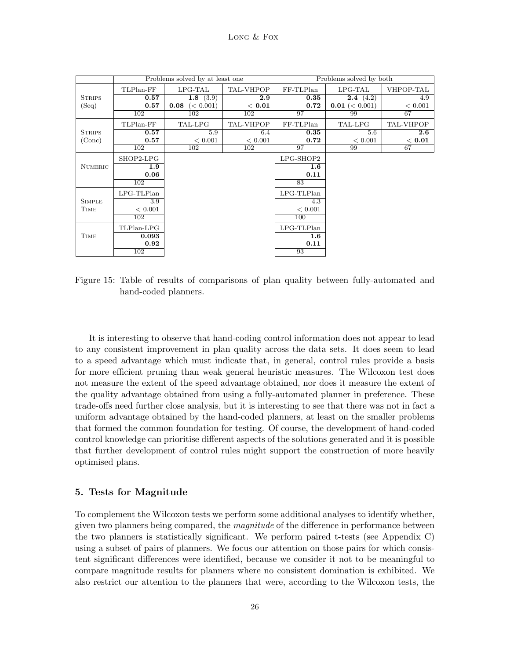|                |              | Problems solved by at least one |           | Problems solved by both |                          |                  |
|----------------|--------------|---------------------------------|-----------|-------------------------|--------------------------|------------------|
|                | TLPlan-FF    | $LPG-TAL$                       | TAL-VHPOP | FF-TLPlan               | $LPG-TAL$                | VHPOP-TAL        |
| <b>STRIPS</b>  | 0.57         | 1.8 $(3.9)$                     | 2.9       | $\bf 0.35$              | <b>2.4</b> $(4.2)$       | 4.9              |
| (Seq)          | 0.57         | <b>0.08</b> $(< 0.001)$         | < 0.01    | 0.72                    | <b>0.01</b> ( $<$ 0.001) | < 0.001          |
|                | 102          | 102                             | 102       | 97                      | 99                       | 67               |
|                | TLPlan-FF    | TAL-LPG                         | TAL-VHPOP | FF-TLPlan               | TAL-LPG                  | <b>TAL-VHPOP</b> |
| <b>STRIPS</b>  | 0.57         | 5.9                             | 6.4       | 0.35                    | 5.6                      | $2.6\,$          |
| (Conc)         | 0.57         | < 0.001                         | < 0.001   | 0.72                    | < 0.001                  | < 0.01           |
|                | 102          | 102                             | 102       | 97                      | 99                       | 67               |
|                | SHOP2-LPG    |                                 |           | $LPG-SHOP2$             |                          |                  |
| <b>NUMERIC</b> | 1.9          |                                 |           | $1.6\phantom{0}$        |                          |                  |
|                | 0.06         |                                 |           | 0.11                    |                          |                  |
|                | 102          |                                 |           | 83                      |                          |                  |
|                | $LPG-TLPlan$ |                                 |           | $LPG-TLPlan$            |                          |                  |
| <b>SIMPLE</b>  | 3.9          |                                 |           | 4.3                     |                          |                  |
| TIME           | < 0.001      |                                 |           | < 0.001                 |                          |                  |
|                | 102          |                                 |           | 100                     |                          |                  |
|                | TLPlan-LPG   |                                 |           | $LPG-TLPlan$            |                          |                  |
| <b>TIME</b>    | 0.093        |                                 |           | $1.6\phantom{0}$        |                          |                  |
|                | 0.92         |                                 |           | 0.11                    |                          |                  |
|                | 102          |                                 |           | 93                      |                          |                  |

Figure 15: Table of results of comparisons of plan quality between fully-automated and hand-coded planners.

It is interesting to observe that hand-coding control information does not appear to lead to any consistent improvement in plan quality across the data sets. It does seem to lead to a speed advantage which must indicate that, in general, control rules provide a basis for more efficient pruning than weak general heuristic measures. The Wilcoxon test does not measure the extent of the speed advantage obtained, nor does it measure the extent of the quality advantage obtained from using a fully-automated planner in preference. These trade-offs need further close analysis, but it is interesting to see that there was not in fact a uniform advantage obtained by the hand-coded planners, at least on the smaller problems that formed the common foundation for testing. Of course, the development of hand-coded control knowledge can prioritise different aspects of the solutions generated and it is possible that further development of control rules might support the construction of more heavily optimised plans.

### 5. Tests for Magnitude

To complement the Wilcoxon tests we perform some additional analyses to identify whether, given two planners being compared, the magnitude of the difference in performance between the two planners is statistically significant. We perform paired t-tests (see Appendix C) using a subset of pairs of planners. We focus our attention on those pairs for which consistent significant differences were identified, because we consider it not to be meaningful to compare magnitude results for planners where no consistent domination is exhibited. We also restrict our attention to the planners that were, according to the Wilcoxon tests, the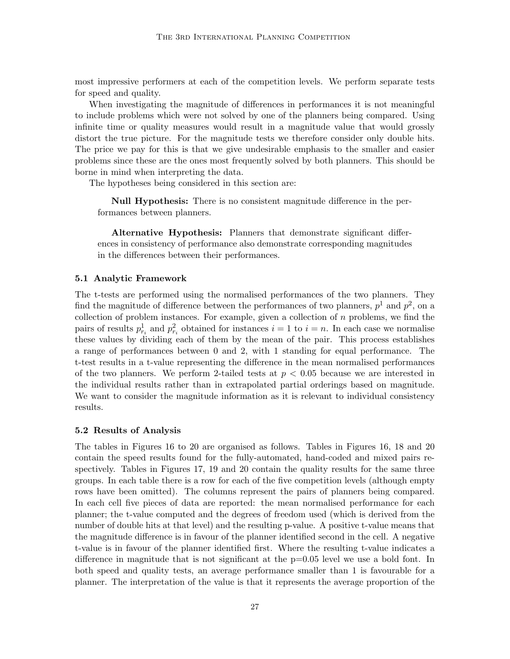most impressive performers at each of the competition levels. We perform separate tests for speed and quality.

When investigating the magnitude of differences in performances it is not meaningful to include problems which were not solved by one of the planners being compared. Using infinite time or quality measures would result in a magnitude value that would grossly distort the true picture. For the magnitude tests we therefore consider only double hits. The price we pay for this is that we give undesirable emphasis to the smaller and easier problems since these are the ones most frequently solved by both planners. This should be borne in mind when interpreting the data.

The hypotheses being considered in this section are:

Null Hypothesis: There is no consistent magnitude difference in the performances between planners.

Alternative Hypothesis: Planners that demonstrate significant differences in consistency of performance also demonstrate corresponding magnitudes in the differences between their performances.

#### 5.1 Analytic Framework

The t-tests are performed using the normalised performances of the two planners. They find the magnitude of difference between the performances of two planners,  $p^1$  and  $p^2$ , on a collection of problem instances. For example, given a collection of  $n$  problems, we find the pairs of results  $p_{r_i}^1$  and  $p_{r_i}^2$  obtained for instances  $i = 1$  to  $i = n$ . In each case we normalise these values by dividing each of them by the mean of the pair. This process establishes a range of performances between 0 and 2, with 1 standing for equal performance. The t-test results in a t-value representing the difference in the mean normalised performances of the two planners. We perform 2-tailed tests at  $p < 0.05$  because we are interested in the individual results rather than in extrapolated partial orderings based on magnitude. We want to consider the magnitude information as it is relevant to individual consistency results.

#### 5.2 Results of Analysis

The tables in Figures 16 to 20 are organised as follows. Tables in Figures 16, 18 and 20 contain the speed results found for the fully-automated, hand-coded and mixed pairs respectively. Tables in Figures 17, 19 and 20 contain the quality results for the same three groups. In each table there is a row for each of the five competition levels (although empty rows have been omitted). The columns represent the pairs of planners being compared. In each cell five pieces of data are reported: the mean normalised performance for each planner; the t-value computed and the degrees of freedom used (which is derived from the number of double hits at that level) and the resulting p-value. A positive t-value means that the magnitude difference is in favour of the planner identified second in the cell. A negative t-value is in favour of the planner identified first. Where the resulting t-value indicates a difference in magnitude that is not significant at the  $p=0.05$  level we use a bold font. In both speed and quality tests, an average performance smaller than 1 is favourable for a planner. The interpretation of the value is that it represents the average proportion of the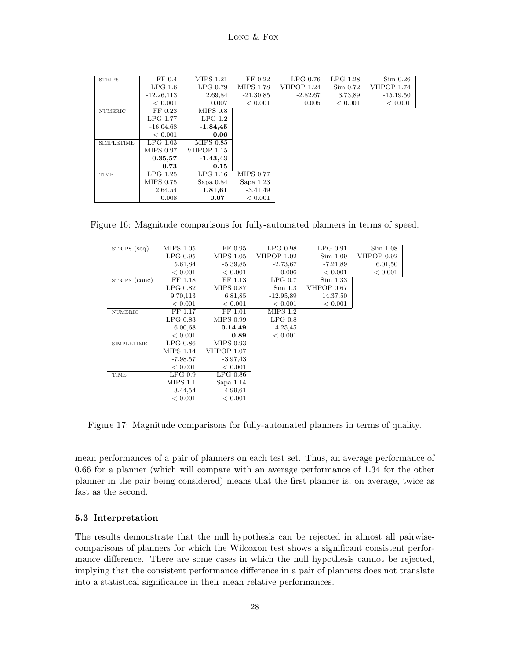| <b>STRIPS</b>     | FF 0.4        | <b>MIPS 1.21</b>  | FF 0.22          | $LPG$ 0.76 | $LPG$ 1.28 | Sim 0.26          |
|-------------------|---------------|-------------------|------------------|------------|------------|-------------------|
|                   | $LPG$ 1.6     | LPG 0.79          | MIPS 1.78        | VHPOP 1.24 | Sim 0.72   | <b>VHPOP 1.74</b> |
|                   | $-12.26, 113$ | 2.69,84           | $-21.30.85$      | $-2.82,67$ | 3.73,89    | $-15.19.50$       |
|                   | < 0.001       | 0.007             | < 0.001          | 0.005      | < 0.001    | < 0.001           |
| NUMERIC           | FF 0.23       | MIPS 0.8          |                  |            |            |                   |
|                   | LPG 1.77      | LPG 1.2           |                  |            |            |                   |
|                   | $-16.04,68$   | $-1.84, 45$       |                  |            |            |                   |
|                   | < 0.001       | 0.06              |                  |            |            |                   |
| <b>SIMPLETIME</b> | $LPG$ 1.03    | MIPS 0.85         |                  |            |            |                   |
|                   | MIPS 0.97     | <b>VHPOP 1.15</b> |                  |            |            |                   |
|                   | 0.35,57       | $-1.43, 43$       |                  |            |            |                   |
|                   | 0.73          | 0.15              |                  |            |            |                   |
| TIME              | $LPG$ 1.25    | $LPG$ 1.16        | <b>MIPS 0.77</b> |            |            |                   |
|                   | MIPS 0.75     | Sapa $0.84$       | Sapa $1.23$      |            |            |                   |
|                   | 2.64,54       | 1.81,61           | $-3.41,49$       |            |            |                   |
|                   | 0.008         | 0.07              | < 0.001          |            |            |                   |

Figure 16: Magnitude comparisons for fully-automated planners in terms of speed.

| STRIPS (seq)      | <b>MIPS 1.05</b> | FF 0.95          | $LPG$ 0.98  | LPG 0.91   | Sim 1.08   |
|-------------------|------------------|------------------|-------------|------------|------------|
|                   | $LPG$ 0.95       | MIPS 1.05        | VHPOP 1.02  | Sim 1.09   | VHPOP 0.92 |
|                   | 5.61,84          | $-5.39.85$       | $-2.73,67$  | $-7.21,89$ | 6.01,50    |
|                   | < 0.001          | < 0.001          | 0.006       | < 0.001    | < 0.001    |
| STRIPS (conc)     | FF 1.18          | FF 1.13          | LPG 0.7     | Sim 1.33   |            |
|                   | $LPG$ 0.82       | MIPS 0.87        | Sim 1.3     | VHPOP 0.67 |            |
|                   | 9.70,113         | 6.81,85          | $-12.95.89$ | 14.37,50   |            |
|                   | < 0.001          | < 0.001          | < 0.001     | < 0.001    |            |
| NUMERIC           | FF 1.17          | FF 1.01          | MIPS 1.2    |            |            |
|                   | $LPG$ 0.83       | <b>MIPS 0.99</b> | LPG 0.8     |            |            |
|                   | 6.00.68          | 0.14,49          | 4.25,45     |            |            |
|                   | < 0.001          | 0.89             | < 0.001     |            |            |
| <b>SIMPLETIME</b> | $LPG$ 0.86       | <b>MIPS 0.93</b> |             |            |            |
|                   | <b>MIPS 1.14</b> | VHPOP 1.07       |             |            |            |
|                   | $-7.98,57$       | $-3.97,43$       |             |            |            |
|                   | < 0.001          | < 0.001          |             |            |            |
| TIME              | LPG 0.9          | $LPG$ 0.86       |             |            |            |
|                   | MIPS 1.1         | Sapa $1.14$      |             |            |            |
|                   | $-3.44,54$       | $-4.99.61$       |             |            |            |
|                   | < 0.001          | < 0.001          |             |            |            |

Figure 17: Magnitude comparisons for fully-automated planners in terms of quality.

mean performances of a pair of planners on each test set. Thus, an average performance of 0.66 for a planner (which will compare with an average performance of 1.34 for the other planner in the pair being considered) means that the first planner is, on average, twice as fast as the second.

### 5.3 Interpretation

The results demonstrate that the null hypothesis can be rejected in almost all pairwisecomparisons of planners for which the Wilcoxon test shows a significant consistent performance difference. There are some cases in which the null hypothesis cannot be rejected, implying that the consistent performance difference in a pair of planners does not translate into a statistical significance in their mean relative performances.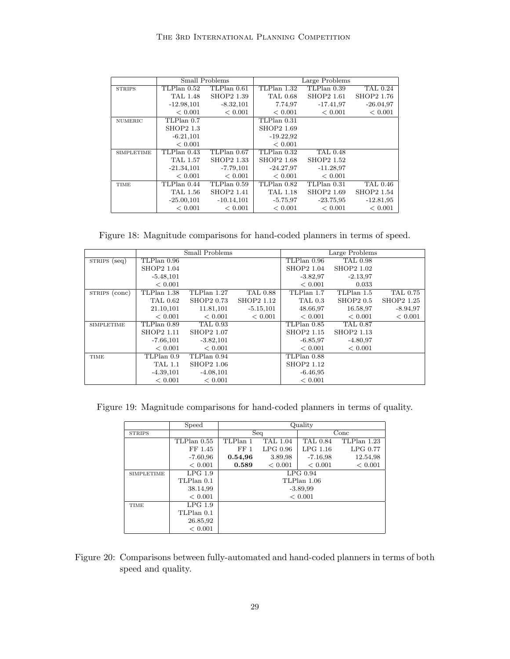|                   |                  | Small Problems    | Large Problems    |                 |                   |
|-------------------|------------------|-------------------|-------------------|-----------------|-------------------|
| <b>STRIPS</b>     | TLPlan 0.52      | TLPlan 0.61       | $TLPlan$ 1.32     | $TLPlan$ 0.39   | TAL 0.24          |
|                   | <b>TAL 1.48</b>  | SHOP2 1.39        | <b>TAL 0.68</b>   | SHOP2 1.61      | SHOP2 1.76        |
|                   | $-12.98, 101$    | $-8.32, 101$      | 7.74,97           | $-17.41.97$     | $-26.04.97$       |
|                   | < 0.001          | < 0.001           | < 0.001           | < 0.001         | < 0.001           |
| <b>NUMERIC</b>    | TLPlan 0.7       |                   | TLPlan 0.31       |                 |                   |
|                   | <b>SHOP2 1.3</b> |                   | SHOP2 1.69        |                 |                   |
|                   | $-6.21, 101$     |                   | $-19.22.92$       |                 |                   |
|                   | < 0.001          |                   | < 0.001           |                 |                   |
| <b>SIMPLETIME</b> | TLPlan 0.43      | TLPlan 0.67       | TLPlan 0.32       | <b>TAL 0.48</b> |                   |
|                   | TAL 1.57         | <b>SHOP2 1.33</b> | <b>SHOP2 1.68</b> | SHOP2 1.52      |                   |
|                   | $-21.34, 101$    | -7.79,101         | $-24.27.97$       | $-11.28.97$     |                   |
|                   | < 0.001          | < 0.001           | < 0.001           | < 0.001         |                   |
| TIME              | TLPlan 0.44      | TLPlan 0.59       | TLPlan 0.82       | TLPlan 0.31     | <b>TAL 0.46</b>   |
|                   | TAL 1.56         | SHOP2 1.41        | TAL 1.18          | SHOP2 1.69      | <b>SHOP2 1.54</b> |
|                   | $-25.00, 101$    | $-10.14, 101$     | $-5.75.97$        | $-23.75.95$     | $-12.81,95$       |
|                   | < 0.001          | < 0.001           | < 0.001           | < 0.001         | < 0.001           |

Figure 18: Magnitude comparisons for hand-coded planners in terms of speed.

|                   |                   | Small Problems  |                   | Large Problems |                   |                 |  |
|-------------------|-------------------|-----------------|-------------------|----------------|-------------------|-----------------|--|
| STRIPS (seq)      | TLPlan 0.96       |                 |                   | TLPlan 0.96    | <b>TAL 0.98</b>   |                 |  |
|                   | <b>SHOP2 1.04</b> |                 |                   | SHOP2 1.04     | <b>SHOP2 1.02</b> |                 |  |
|                   | $-5.48,101$       |                 |                   | $-3.82.97$     | $-2.13,97$        |                 |  |
|                   | < 0.001           |                 |                   | < 0.001        | 0.033             |                 |  |
| STRIPS (conc)     | TLPlan 1.38       | TLPlan 1.27     | <b>TAL 0.88</b>   | $TLPlan$ 1.7   | $TLPlan$ 1.5      | <b>TAL 0.75</b> |  |
|                   | TAL 0.62          | SHOP2 0.73      | <b>SHOP2 1.12</b> | <b>TAL 0.3</b> | <b>SHOP2 0.5</b>  | SHOP2 1.25      |  |
|                   | 21.10,101         | 11.81,101       | $-5.15, 101$      | 48.66,97       | 16.58,97          | $-8.94.97$      |  |
|                   | < 0.001           | < 0.001         | < 0.001           | < 0.001        | < 0.001           | < 0.001         |  |
| <b>SIMPLETIME</b> | TLPlan 0.89       | <b>TAL 0.93</b> |                   | TLPlan 0.85    | <b>TAL 0.87</b>   |                 |  |
|                   | SHOP2 1.11        | SHOP2 1.07      |                   | SHOP2 1.15     | SHOP2 1.13        |                 |  |
|                   | $-7.66, 101$      | $-3.82, 101$    |                   | $-6.85.97$     | $-4.80.97$        |                 |  |
|                   | < 0.001           | < 0.001         |                   | < 0.001        | < 0.001           |                 |  |
| TIME              | TLPlan 0.9        | TLPlan 0.94     |                   | TLPlan 0.88    |                   |                 |  |
|                   | <b>TAL 1.1</b>    | SHOP2 1.06      |                   | SHOP2 1.12     |                   |                 |  |
|                   | $-4.39, 101$      | $-4.08, 101$    |                   | $-6.46,95$     |                   |                 |  |
|                   | < 0.001           | < 0.001         |                   | < 0.001        |                   |                 |  |

Figure 19: Magnitude comparisons for hand-coded planners in terms of quality.

|                   | Speed       | Quality         |            |             |             |  |  |  |
|-------------------|-------------|-----------------|------------|-------------|-------------|--|--|--|
| <b>STRIPS</b>     |             |                 | Seq        | Conc        |             |  |  |  |
|                   | TLPlan 0.55 | TLPlan 1        | TAL 1.04   | TAL 0.84    | TLPlan 1.23 |  |  |  |
|                   | FF 1.45     | FF <sub>1</sub> | $LPG$ 0.96 | $LPG$ 1.16  | LPG 0.77    |  |  |  |
|                   | $-7.60,96$  | 0.54,96         | 3.89,98    | $-7.16,98$  | 12.54,98    |  |  |  |
|                   | < 0.001     | 0.589           | < 0.001    | < 0.001     | < 0.001     |  |  |  |
| <b>SIMPLETIME</b> | LPG 1.9     | LPG 0.94        |            |             |             |  |  |  |
|                   | TLPlan 0.1  |                 |            | TLPlan 1.06 |             |  |  |  |
|                   | 38.14,99    |                 |            | $-3.89.99$  |             |  |  |  |
|                   | < 0.001     |                 |            | < 0.001     |             |  |  |  |
| <b>TIME</b>       | LPG 1.9     |                 |            |             |             |  |  |  |
|                   | TLPlan 0.1  |                 |            |             |             |  |  |  |
|                   | 26.85,92    |                 |            |             |             |  |  |  |
|                   | < 0.001     |                 |            |             |             |  |  |  |

Figure 20: Comparisons between fully-automated and hand-coded planners in terms of both speed and quality.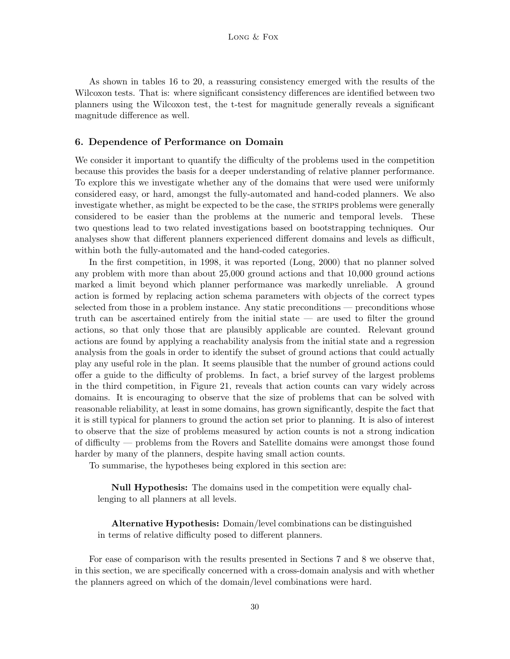As shown in tables 16 to 20, a reassuring consistency emerged with the results of the Wilcoxon tests. That is: where significant consistency differences are identified between two planners using the Wilcoxon test, the t-test for magnitude generally reveals a significant magnitude difference as well.

### 6. Dependence of Performance on Domain

We consider it important to quantify the difficulty of the problems used in the competition because this provides the basis for a deeper understanding of relative planner performance. To explore this we investigate whether any of the domains that were used were uniformly considered easy, or hard, amongst the fully-automated and hand-coded planners. We also investigate whether, as might be expected to be the case, the STRIPS problems were generally considered to be easier than the problems at the numeric and temporal levels. These two questions lead to two related investigations based on bootstrapping techniques. Our analyses show that different planners experienced different domains and levels as difficult, within both the fully-automated and the hand-coded categories.

In the first competition, in 1998, it was reported (Long, 2000) that no planner solved any problem with more than about 25,000 ground actions and that 10,000 ground actions marked a limit beyond which planner performance was markedly unreliable. A ground action is formed by replacing action schema parameters with objects of the correct types selected from those in a problem instance. Any static preconditions — preconditions whose truth can be ascertained entirely from the initial state — are used to filter the ground actions, so that only those that are plausibly applicable are counted. Relevant ground actions are found by applying a reachability analysis from the initial state and a regression analysis from the goals in order to identify the subset of ground actions that could actually play any useful role in the plan. It seems plausible that the number of ground actions could offer a guide to the difficulty of problems. In fact, a brief survey of the largest problems in the third competition, in Figure 21, reveals that action counts can vary widely across domains. It is encouraging to observe that the size of problems that can be solved with reasonable reliability, at least in some domains, has grown significantly, despite the fact that it is still typical for planners to ground the action set prior to planning. It is also of interest to observe that the size of problems measured by action counts is not a strong indication of difficulty — problems from the Rovers and Satellite domains were amongst those found harder by many of the planners, despite having small action counts.

To summarise, the hypotheses being explored in this section are:

Null Hypothesis: The domains used in the competition were equally challenging to all planners at all levels.

Alternative Hypothesis: Domain/level combinations can be distinguished in terms of relative difficulty posed to different planners.

For ease of comparison with the results presented in Sections 7 and 8 we observe that, in this section, we are specifically concerned with a cross-domain analysis and with whether the planners agreed on which of the domain/level combinations were hard.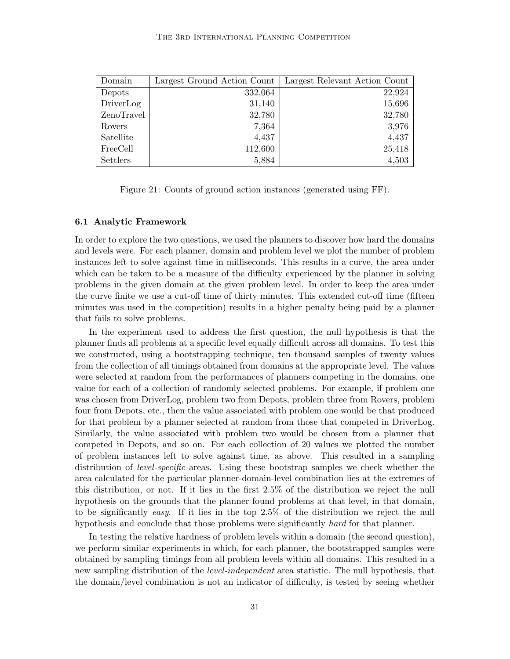| Domain     | Largest Ground Action Count | Largest Relevant Action Count |
|------------|-----------------------------|-------------------------------|
| Depots     | 332,064                     | 22,924                        |
| DriverLog  | 31,140                      | 15,696                        |
| ZenoTravel | 32,780                      | 32,780                        |
| Rovers     | 7,364                       | 3,976                         |
| Satellite  | 4,437                       | 4,437                         |
| FreeCell   | 112,600                     | 25,418                        |
| Settlers   | 5,884                       | 4,503                         |

Figure 21: Counts of ground action instances (generated using FF).

### 6.1 Analytic Framework

In order to explore the two questions, we used the planners to discover how hard the domains and levels were. For each planner, domain and problem level we plot the number of problem instances left to solve against time in milliseconds. This results in a curve, the area under which can be taken to be a measure of the difficulty experienced by the planner in solving problems in the given domain at the given problem level. In order to keep the area under the curve finite we use a cut-off time of thirty minutes. This extended cut-off time (fifteen minutes was used in the competition) results in a higher penalty being paid by a planner that fails to solve problems.

In the experiment used to address the first question, the null hypothesis is that the planner finds all problems at a specific level equally difficult across all domains. To test this we constructed, using a bootstrapping technique, ten thousand samples of twenty values from the collection of all timings obtained from domains at the appropriate level. The values were selected at random from the performances of planners competing in the domains, one value for each of a collection of randomly selected problems. For example, if problem one was chosen from DriverLog, problem two from Depots, problem three from Rovers, problem four from Depots, etc., then the value associated with problem one would be that produced for that problem by a planner selected at random from those that competed in DriverLog. Similarly, the value associated with problem two would be chosen from a planner that competed in Depots, and so on. For each collection of 20 values we plotted the number of problem instances left to solve against time, as above. This resulted in a sampling distribution of *level-specific* areas. Using these bootstrap samples we check whether the area calculated for the particular planner-domain-level combination lies at the extremes of this distribution, or not. If it lies in the first 2.5% of the distribution we reject the null hypothesis on the grounds that the planner found problems at that level, in that domain, to be significantly easy. If it lies in the top 2.5% of the distribution we reject the null hypothesis and conclude that those problems were significantly *hard* for that planner.

In testing the relative hardness of problem levels within a domain (the second question), we perform similar experiments in which, for each planner, the bootstrapped samples were obtained by sampling timings from all problem levels within all domains. This resulted in a new sampling distribution of the *level-independent* area statistic. The null hypothesis, that the domain/level combination is not an indicator of difficulty, is tested by seeing whether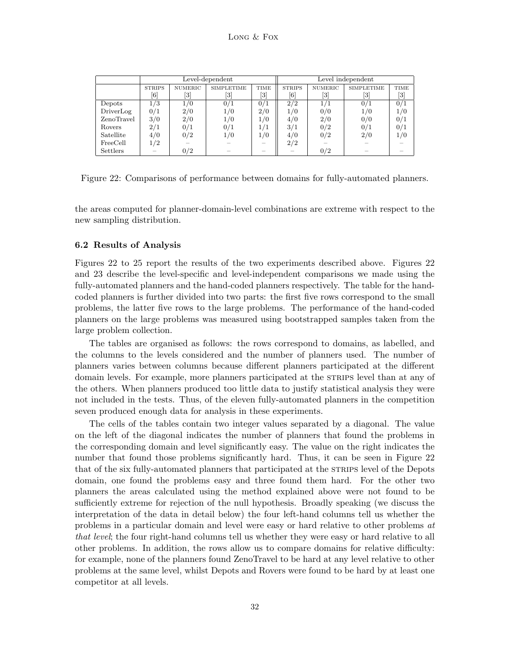|            |               |                | Level-dependent              |      | Level independent            |                |                                                                                                                                                                                       |                                                                                                                                                            |  |
|------------|---------------|----------------|------------------------------|------|------------------------------|----------------|---------------------------------------------------------------------------------------------------------------------------------------------------------------------------------------|------------------------------------------------------------------------------------------------------------------------------------------------------------|--|
|            | <b>STRIPS</b> | <b>NUMERIC</b> | <b>SIMPLETIME</b>            | TIME | <b>STRIPS</b>                | <b>NUMERIC</b> | <b>SIMPLETIME</b>                                                                                                                                                                     | TIME                                                                                                                                                       |  |
|            | [6]           | [3]            | $\left\lceil 3 \right\rceil$ | [3]  | $\left\lceil 6 \right\rceil$ |                | $[3] % \includegraphics[width=0.9\columnwidth]{figures/fig_0_2.pdf} \caption{Schematic diagram of the top of the top of the top of the top of the top of the right.} \label{fig:2} %$ | $[3] % \includegraphics[width=0.9\columnwidth]{figures/fig_1a} \caption{Schematic diagram of the top of the top of the top of the right.} \label{fig:1} %$ |  |
| Depots     | 1/3           | 1/0            | 0/1                          | 0/1  | 2/2                          | 1/1            | 0/1                                                                                                                                                                                   | 0/1                                                                                                                                                        |  |
| DriverLog  | 0/1           | 2/0            | 1/0                          | 2/0  | 1/0                          | 0/0            | 1/0                                                                                                                                                                                   | 1/0                                                                                                                                                        |  |
| ZenoTravel | 3/0           | 2/0            | 1/0                          | 1/0  | 4/0                          | 2/0            | 0/0                                                                                                                                                                                   | 0/1                                                                                                                                                        |  |
| Rovers     | 2/1           | 0/1            | 0/1                          | 1/1  | 3/1                          | 0/2            | 0/1                                                                                                                                                                                   | 0/1                                                                                                                                                        |  |
| Satellite  | 4/0           | 0/2            | 1/0                          | 1/0  | 4/0                          | 0/2            | 2/0                                                                                                                                                                                   | 1/0                                                                                                                                                        |  |
| FreeCell   | 1/2           |                |                              |      | 2/2                          |                |                                                                                                                                                                                       |                                                                                                                                                            |  |
| Settlers   |               | 0/2            |                              |      |                              | 0/2            |                                                                                                                                                                                       |                                                                                                                                                            |  |

Figure 22: Comparisons of performance between domains for fully-automated planners.

the areas computed for planner-domain-level combinations are extreme with respect to the new sampling distribution.

### 6.2 Results of Analysis

Figures 22 to 25 report the results of the two experiments described above. Figures 22 and 23 describe the level-specific and level-independent comparisons we made using the fully-automated planners and the hand-coded planners respectively. The table for the handcoded planners is further divided into two parts: the first five rows correspond to the small problems, the latter five rows to the large problems. The performance of the hand-coded planners on the large problems was measured using bootstrapped samples taken from the large problem collection.

The tables are organised as follows: the rows correspond to domains, as labelled, and the columns to the levels considered and the number of planners used. The number of planners varies between columns because different planners participated at the different domain levels. For example, more planners participated at the STRIPS level than at any of the others. When planners produced too little data to justify statistical analysis they were not included in the tests. Thus, of the eleven fully-automated planners in the competition seven produced enough data for analysis in these experiments.

The cells of the tables contain two integer values separated by a diagonal. The value on the left of the diagonal indicates the number of planners that found the problems in the corresponding domain and level significantly easy. The value on the right indicates the number that found those problems significantly hard. Thus, it can be seen in Figure 22 that of the six fully-automated planners that participated at the STRIPS level of the Depots domain, one found the problems easy and three found them hard. For the other two planners the areas calculated using the method explained above were not found to be sufficiently extreme for rejection of the null hypothesis. Broadly speaking (we discuss the interpretation of the data in detail below) the four left-hand columns tell us whether the problems in a particular domain and level were easy or hard relative to other problems at that level; the four right-hand columns tell us whether they were easy or hard relative to all other problems. In addition, the rows allow us to compare domains for relative difficulty: for example, none of the planners found ZenoTravel to be hard at any level relative to other problems at the same level, whilst Depots and Rovers were found to be hard by at least one competitor at all levels.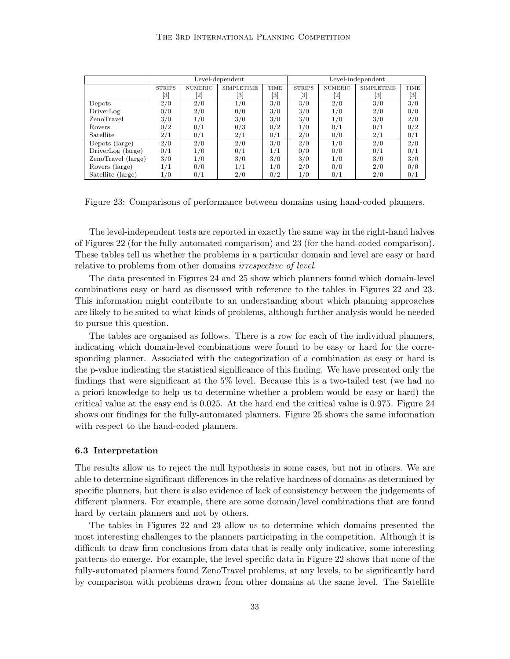|                                    |               |                | Level-dependent   |                  | Level-independent |                |                   |                                                                                                                                                                          |  |
|------------------------------------|---------------|----------------|-------------------|------------------|-------------------|----------------|-------------------|--------------------------------------------------------------------------------------------------------------------------------------------------------------------------|--|
|                                    | <b>STRIPS</b> | <b>NUMERIC</b> | <b>SIMPLETIME</b> | TIME             | <b>STRIPS</b>     | <b>NUMERIC</b> | <b>SIMPLETIME</b> | <b>TIME</b>                                                                                                                                                              |  |
|                                    | [3]           | [2]            | [3]               | [3]              | [3]               | [2]            | [3]               | $[3] % \includegraphics[width=0.9\columnwidth]{figures/fig_0_2.pdf} \caption{Schematic diagram of the top of the top of the top of the top of the right.} \label{fig:2}$ |  |
| Depots                             | 2/0           | 2/0            | 1/0               | 3/0              | 3/0               | 2/0            | 3/0               | 3/0                                                                                                                                                                      |  |
| DriverLog                          | 0/0           | 2/0            | 0/0               | 3/0              | 3/0               | 1/0            | 2/0               | 0/0                                                                                                                                                                      |  |
| ZenoTravel                         | 3/0           | $\iota/0$      | 3/0               | 3/0              | 3/0               | 1/0            | 3/0               | 2/0                                                                                                                                                                      |  |
| Rovers                             | 0/2           | 0/1            | 0/3               | 0/2              | 1/0               | 0/1            | 0/1               | 0/2                                                                                                                                                                      |  |
| Satellite                          | 2/1           | 0/1            | 2/1               | 0/1              | 2/0               | 0/0            | 2/1               | 0/1                                                                                                                                                                      |  |
| $\overline{\text{Depots}}$ (large) | 2/0           | 2/0            | 2/0               | $\overline{3/0}$ | 2/0               | 1/0            | 2/0               | $\overline{2/0}$                                                                                                                                                         |  |
| DriverLog (large)                  | 0/1           | 1/0            | 0/1               | 1/1              | 0/0               | 0/0            | 0/1               | 0/1                                                                                                                                                                      |  |
| ZenoTravel (large)                 | 3/0           | 1/0            | 3/0               | 3/0              | 3/0               | 1/0            | 3/0               | 3/0                                                                                                                                                                      |  |
| Rovers (large)                     |               | 0/0            |                   | 1/0              | 2/0               | 0/0            | 2/0               | 0/0                                                                                                                                                                      |  |
| Satellite (large)                  | 1/0           | 0/1            | 2/0               | 0/2              | 1/0               | 0/1            | 2/0               | 0/1                                                                                                                                                                      |  |

Figure 23: Comparisons of performance between domains using hand-coded planners.

The level-independent tests are reported in exactly the same way in the right-hand halves of Figures 22 (for the fully-automated comparison) and 23 (for the hand-coded comparison). These tables tell us whether the problems in a particular domain and level are easy or hard relative to problems from other domains *irrespective of level*.

The data presented in Figures 24 and 25 show which planners found which domain-level combinations easy or hard as discussed with reference to the tables in Figures 22 and 23. This information might contribute to an understanding about which planning approaches are likely to be suited to what kinds of problems, although further analysis would be needed to pursue this question.

The tables are organised as follows. There is a row for each of the individual planners, indicating which domain-level combinations were found to be easy or hard for the corresponding planner. Associated with the categorization of a combination as easy or hard is the p-value indicating the statistical significance of this finding. We have presented only the findings that were significant at the 5% level. Because this is a two-tailed test (we had no a priori knowledge to help us to determine whether a problem would be easy or hard) the critical value at the easy end is 0.025. At the hard end the critical value is 0.975. Figure 24 shows our findings for the fully-automated planners. Figure 25 shows the same information with respect to the hand-coded planners.

### 6.3 Interpretation

The results allow us to reject the null hypothesis in some cases, but not in others. We are able to determine significant differences in the relative hardness of domains as determined by specific planners, but there is also evidence of lack of consistency between the judgements of different planners. For example, there are some domain/level combinations that are found hard by certain planners and not by others.

The tables in Figures 22 and 23 allow us to determine which domains presented the most interesting challenges to the planners participating in the competition. Although it is difficult to draw firm conclusions from data that is really only indicative, some interesting patterns do emerge. For example, the level-specific data in Figure 22 shows that none of the fully-automated planners found ZenoTravel problems, at any levels, to be significantly hard by comparison with problems drawn from other domains at the same level. The Satellite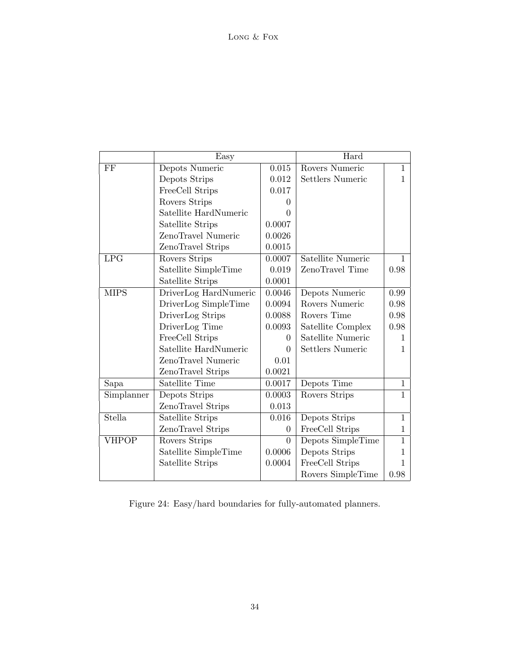|              | Easy                  |              | Hard              |              |
|--------------|-----------------------|--------------|-------------------|--------------|
| $\rm FF$     | Depots Numeric        | 0.015        | Rovers Numeric    | 1            |
|              | Depots Strips         | 0.012        | Settlers Numeric  | 1            |
|              | FreeCell Strips       | 0.017        |                   |              |
|              | Rovers Strips         | $\mathbf{0}$ |                   |              |
|              | Satellite HardNumeric | 0            |                   |              |
|              | Satellite Strips      | 0.0007       |                   |              |
|              | ZenoTravel Numeric    | 0.0026       |                   |              |
|              | ZenoTravel Strips     | 0.0015       |                   |              |
| <b>LPG</b>   | Rovers Strips         | 0.0007       | Satellite Numeric | 1            |
|              | Satellite SimpleTime  | 0.019        | ZenoTravel Time   | 0.98         |
|              | Satellite Strips      | 0.0001       |                   |              |
| <b>MIPS</b>  | DriverLog HardNumeric | 0.0046       | Depots Numeric    | 0.99         |
|              | DriverLog SimpleTime  | 0.0094       | Rovers Numeric    | 0.98         |
|              | DriverLog Strips      | 0.0088       | Rovers Time       | 0.98         |
|              | DriverLog Time        | 0.0093       | Satellite Complex | 0.98         |
|              | FreeCell Strips       | $\Omega$     | Satellite Numeric | 1            |
|              | Satellite HardNumeric | $\Omega$     | Settlers Numeric  | 1            |
|              | ZenoTravel Numeric    | 0.01         |                   |              |
|              | ZenoTravel Strips     | 0.0021       |                   |              |
| Sapa         | Satellite Time        | 0.0017       | Depots Time       | $\mathbf{1}$ |
| Simplanner   | Depots Strips         | 0.0003       | Rovers Strips     | 1            |
|              | ZenoTravel Strips     | 0.013        |                   |              |
| Stella       | Satellite Strips      | 0.016        | Depots Strips     | $\mathbf{1}$ |
|              | ZenoTravel Strips     | $\Omega$     | FreeCell Strips   | 1            |
| <b>VHPOP</b> | Rovers Strips         | $\Omega$     | Depots SimpleTime | $\mathbf{1}$ |
|              | Satellite SimpleTime  | 0.0006       | Depots Strips     | 1            |
|              | Satellite Strips      | 0.0004       | FreeCell Strips   | L            |
|              |                       |              | Rovers SimpleTime | 0.98         |

Figure 24: Easy/hard boundaries for fully-automated planners.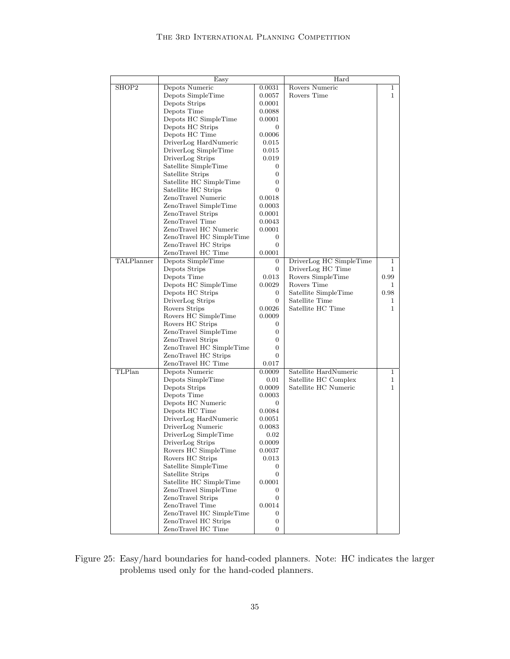|            | Easy                     |                | Hard                    |              |
|------------|--------------------------|----------------|-------------------------|--------------|
| SHOP2      | Depots Numeric           | 0.0031         | Rovers Numeric          | $\mathbf 1$  |
|            | Depots SimpleTime        | 0.0057         | Rovers Time             | $\mathbf 1$  |
|            | Depots Strips            | 0.0001         |                         |              |
|            | Depots Time              | 0.0088         |                         |              |
|            | Depots HC SimpleTime     | 0.0001         |                         |              |
|            | Depots HC Strips         | 0              |                         |              |
|            | Depots HC Time           | 0.0006         |                         |              |
|            | DriverLog HardNumeric    | 0.015          |                         |              |
|            | DriverLog SimpleTime     | 0.015          |                         |              |
|            | DriverLog Strips         | 0.019          |                         |              |
|            | Satellite SimpleTime     | 0              |                         |              |
|            | Satellite Strips         | $\overline{0}$ |                         |              |
|            | Satellite HC SimpleTime  | $\overline{0}$ |                         |              |
|            | Satellite HC Strips      | $\Omega$       |                         |              |
|            | ZenoTravel Numeric       | 0.0018         |                         |              |
|            | ZenoTravel SimpleTime    | 0.0003         |                         |              |
|            | ZenoTravel Strips        | 0.0001         |                         |              |
|            | ZenoTravel Time          | 0.0043         |                         |              |
|            | ZenoTravel HC Numeric    | 0.0001         |                         |              |
|            | ZenoTravel HC SimpleTime | $\overline{0}$ |                         |              |
|            | ZenoTravel HC Strips     | $\Omega$       |                         |              |
|            | ZenoTravel HC Time       | 0.0001         |                         |              |
| TALPlanner | Depots SimpleTime        | 0              | DriverLog HC SimpleTime | $\mathbf 1$  |
|            | Depots Strips            | $\overline{0}$ | DriverLog HC Time       | 1            |
|            | Depots Time              | 0.013          | Rovers SimpleTime       | 0.99         |
|            | Depots HC SimpleTime     | 0.0029         | Rovers Time             | 1            |
|            | Depots HC Strips         | 0              | Satellite SimpleTime    | 0.98         |
|            | DriverLog Strips         | 0              | Satellite Time          | 1            |
|            | Rovers Strips            | 0.0026         | Satellite HC Time       | $\mathbf{1}$ |
|            | Rovers HC SimpleTime     | 0.0009         |                         |              |
|            | Rovers HC Strips         | 0              |                         |              |
|            | ZenoTravel SimpleTime    | 0              |                         |              |
|            | ZenoTravel Strips        | 0              |                         |              |
|            | ZenoTravel HC SimpleTime | 0              |                         |              |
|            | ZenoTravel HC Strips     | 0              |                         |              |
|            | ZenoTravel HC Time       | 0.017          |                         |              |
| TLPlan     | Depots Numeric           | 0.0009         | Satellite HardNumeric   | $\mathbf{1}$ |
|            | Depots SimpleTime        | 0.01           | Satellite HC Complex    | 1            |
|            | Depots Strips            | 0.0009         | Satellite HC Numeric    | $\mathbf{1}$ |
|            | Depots Time              | 0.0003         |                         |              |
|            | Depots HC Numeric        | $\overline{0}$ |                         |              |
|            | Depots HC Time           | 0.0084         |                         |              |
|            | DriverLog HardNumeric    | 0.0051         |                         |              |
|            | DriverLog Numeric        | 0.0083         |                         |              |
|            | DriverLog SimpleTime     | 0.02           |                         |              |
|            | DriverLog Strips         | 0.0009         |                         |              |
|            | Rovers HC SimpleTime     | 0.0037         |                         |              |
|            | Rovers HC Strips         | 0.013          |                         |              |
|            | Satellite SimpleTime     | $\overline{0}$ |                         |              |
|            | Satellite Strips         | $\overline{0}$ |                         |              |
|            | Satellite HC SimpleTime  | 0.0001         |                         |              |
|            | ZenoTravel SimpleTime    | $\overline{0}$ |                         |              |
|            | ZenoTravel Strips        | $\overline{0}$ |                         |              |
|            | ZenoTravel Time          | 0.0014         |                         |              |
|            | ZenoTravel HC SimpleTime | $\overline{0}$ |                         |              |
|            | ZenoTravel HC Strips     | 0              |                         |              |
|            | ZenoTravel HC Time       | $\overline{0}$ |                         |              |

Figure 25: Easy/hard boundaries for hand-coded planners. Note: HC indicates the larger problems used only for the hand-coded planners.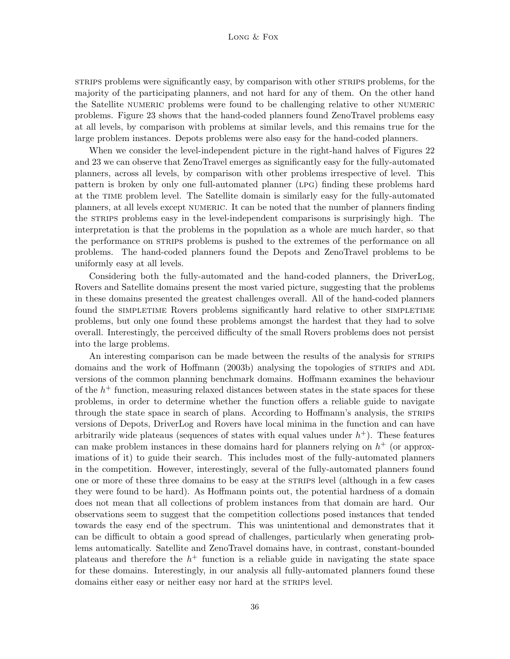#### Long & Fox

strips problems were significantly easy, by comparison with other strips problems, for the majority of the participating planners, and not hard for any of them. On the other hand the Satellite numeric problems were found to be challenging relative to other numeric problems. Figure 23 shows that the hand-coded planners found ZenoTravel problems easy at all levels, by comparison with problems at similar levels, and this remains true for the large problem instances. Depots problems were also easy for the hand-coded planners.

When we consider the level-independent picture in the right-hand halves of Figures 22 and 23 we can observe that ZenoTravel emerges as significantly easy for the fully-automated planners, across all levels, by comparison with other problems irrespective of level. This pattern is broken by only one full-automated planner (lpg) finding these problems hard at the time problem level. The Satellite domain is similarly easy for the fully-automated planners, at all levels except numeric. It can be noted that the number of planners finding the strips problems easy in the level-independent comparisons is surprisingly high. The interpretation is that the problems in the population as a whole are much harder, so that the performance on strainties problems is pushed to the extremes of the performance on all problems. The hand-coded planners found the Depots and ZenoTravel problems to be uniformly easy at all levels.

Considering both the fully-automated and the hand-coded planners, the DriverLog, Rovers and Satellite domains present the most varied picture, suggesting that the problems in these domains presented the greatest challenges overall. All of the hand-coded planners found the simpletime Rovers problems significantly hard relative to other simpletime problems, but only one found these problems amongst the hardest that they had to solve overall. Interestingly, the perceived difficulty of the small Rovers problems does not persist into the large problems.

An interesting comparison can be made between the results of the analysis for STRIPS domains and the work of Hoffmann (2003b) analysing the topologies of STRIPS and ADL versions of the common planning benchmark domains. Hoffmann examines the behaviour of the  $h<sup>+</sup>$  function, measuring relaxed distances between states in the state spaces for these problems, in order to determine whether the function offers a reliable guide to navigate through the state space in search of plans. According to Hoffmann's analysis, the STRIPS versions of Depots, DriverLog and Rovers have local minima in the function and can have arbitrarily wide plateaus (sequences of states with equal values under  $h^+$ ). These features can make problem instances in these domains hard for planners relying on  $h^+$  (or approximations of it) to guide their search. This includes most of the fully-automated planners in the competition. However, interestingly, several of the fully-automated planners found one or more of these three domains to be easy at the strips level (although in a few cases they were found to be hard). As Hoffmann points out, the potential hardness of a domain does not mean that all collections of problem instances from that domain are hard. Our observations seem to suggest that the competition collections posed instances that tended towards the easy end of the spectrum. This was unintentional and demonstrates that it can be difficult to obtain a good spread of challenges, particularly when generating problems automatically. Satellite and ZenoTravel domains have, in contrast, constant-bounded plateaus and therefore the  $h^+$  function is a reliable guide in navigating the state space for these domains. Interestingly, in our analysis all fully-automated planners found these domains either easy or neither easy nor hard at the STRIPS level.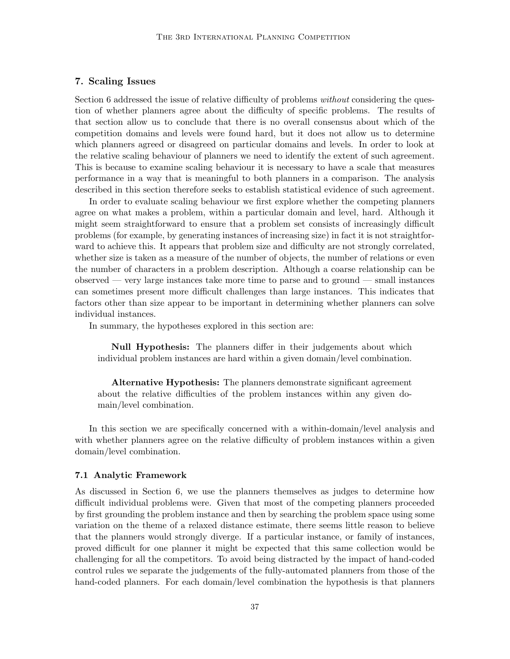## 7. Scaling Issues

Section 6 addressed the issue of relative difficulty of problems *without* considering the question of whether planners agree about the difficulty of specific problems. The results of that section allow us to conclude that there is no overall consensus about which of the competition domains and levels were found hard, but it does not allow us to determine which planners agreed or disagreed on particular domains and levels. In order to look at the relative scaling behaviour of planners we need to identify the extent of such agreement. This is because to examine scaling behaviour it is necessary to have a scale that measures performance in a way that is meaningful to both planners in a comparison. The analysis described in this section therefore seeks to establish statistical evidence of such agreement.

In order to evaluate scaling behaviour we first explore whether the competing planners agree on what makes a problem, within a particular domain and level, hard. Although it might seem straightforward to ensure that a problem set consists of increasingly difficult problems (for example, by generating instances of increasing size) in fact it is not straightforward to achieve this. It appears that problem size and difficulty are not strongly correlated, whether size is taken as a measure of the number of objects, the number of relations or even the number of characters in a problem description. Although a coarse relationship can be observed — very large instances take more time to parse and to ground — small instances can sometimes present more difficult challenges than large instances. This indicates that factors other than size appear to be important in determining whether planners can solve individual instances.

In summary, the hypotheses explored in this section are:

Null Hypothesis: The planners differ in their judgements about which individual problem instances are hard within a given domain/level combination.

Alternative Hypothesis: The planners demonstrate significant agreement about the relative difficulties of the problem instances within any given domain/level combination.

In this section we are specifically concerned with a within-domain/level analysis and with whether planners agree on the relative difficulty of problem instances within a given domain/level combination.

### 7.1 Analytic Framework

As discussed in Section 6, we use the planners themselves as judges to determine how difficult individual problems were. Given that most of the competing planners proceeded by first grounding the problem instance and then by searching the problem space using some variation on the theme of a relaxed distance estimate, there seems little reason to believe that the planners would strongly diverge. If a particular instance, or family of instances, proved difficult for one planner it might be expected that this same collection would be challenging for all the competitors. To avoid being distracted by the impact of hand-coded control rules we separate the judgements of the fully-automated planners from those of the hand-coded planners. For each domain/level combination the hypothesis is that planners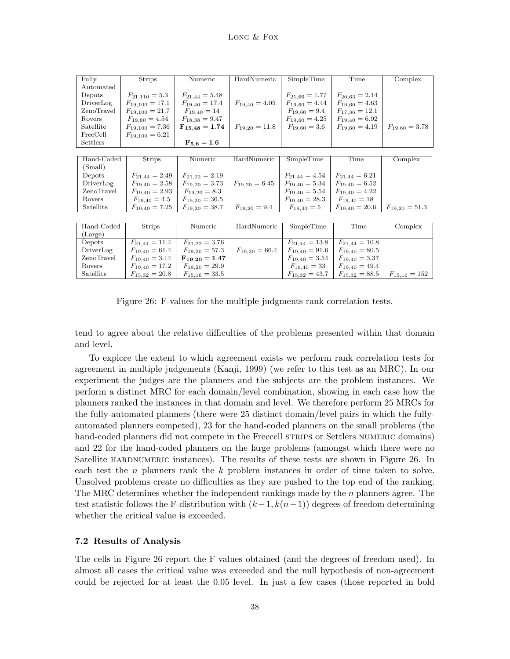| Fully      | <b>Strips</b>       | Numeric            | HardNumeric        | SimpleTime         | <b>Time</b>        | Complex            |
|------------|---------------------|--------------------|--------------------|--------------------|--------------------|--------------------|
| Automated  |                     |                    |                    |                    |                    |                    |
| Depots     | $F_{21,110} = 5.3$  | $F_{21,44} = 5.48$ |                    | $F_{21,66} = 1.77$ | $F_{20.63} = 2.14$ |                    |
| DriverLog  | $F_{19,100} = 17.1$ | $F_{19,40} = 17.4$ | $F_{19,40} = 4.05$ | $F_{19,60} = 4.44$ | $F_{19,60} = 4.63$ |                    |
| ZenoTravel | $F_{19,100} = 21.7$ | $F_{19,40} = 14$   |                    | $F_{19,60} = 9.4$  | $F_{17,36} = 12.1$ |                    |
| Rovers     | $F_{19,80} = 4.54$  | $F_{18,38} = 9.47$ |                    | $F_{19,60} = 4.25$ | $F_{19,40} = 6.92$ |                    |
| Satellite  | $F_{19,100} = 7.36$ | $F_{15,48} = 1.74$ | $F_{19,20} = 11.8$ | $F_{19,60} = 3.6$  | $F_{19,60} = 4.19$ | $F_{19,60} = 3.78$ |
| FreeCell   | $F_{19,100} = 6.21$ |                    |                    |                    |                    |                    |
| Settlers   |                     | $F_{5.6} = 1.6$    |                    |                    |                    |                    |
|            |                     |                    |                    |                    |                    |                    |
| Hand-Coded | <b>Strips</b>       | Numeric            | HardNumeric        | SimpleTime         | Time               | Complex            |
| (Small)    |                     |                    |                    |                    |                    |                    |
| Depots     | $F_{21,44} = 2.49$  | $F_{21,22} = 2.19$ |                    | $F_{21,44} = 4.54$ | $F_{21.44} = 6.21$ |                    |
| DriverLog  | $F_{19,40} = 2.58$  | $F_{19,20} = 3.73$ | $F_{19,20} = 6.45$ | $F_{19,40} = 5.34$ | $F_{19,40} = 6.52$ |                    |
| ZenoTravel | $F_{19,40} = 2.93$  | $F_{19,20} = 8.3$  |                    | $F_{19,40} = 5.54$ | $F_{19,40} = 4.22$ |                    |
| Rovers     | $F_{19,40} = 4.5$   | $F_{19,20} = 36.5$ |                    | $F_{19,40} = 28.3$ | $F_{19,40} = 18$   |                    |
| Satellite  | $F_{19,40} = 7.25$  | $F_{19,20} = 38.7$ | $F_{19,20} = 9.4$  | $F_{19,40} = 5$    | $F_{19,40} = 20.6$ | $F_{19,20} = 51.3$ |
|            |                     |                    |                    |                    |                    |                    |
| Hand-Coded | <b>Strips</b>       | Numeric            | HardNumeric        | SimpleTime         | Time               | Complex            |
| (Large)    |                     |                    |                    |                    |                    |                    |
| Depots     | $F_{21.44} = 11.4$  | $F_{21,22} = 3.76$ |                    | $F_{21.44} = 13.8$ | $F_{21.44} = 10.8$ |                    |
| DriverLog  | $F_{19,40} = 61.4$  | $F_{19,20} = 57.3$ | $F_{19,20} = 66.4$ | $F_{19,40} = 91.6$ | $F_{19,40} = 80.5$ |                    |
| ZenoTravel | $F_{19,40} = 3.14$  | $F_{19,20} = 1.47$ |                    | $F_{19,40} = 3.54$ | $F_{19,40} = 3.37$ |                    |
| Rovers     | $F_{19,40} = 17.2$  | $F_{19,20} = 29.9$ |                    | $F_{19,40} = 33$   | $F_{19,40} = 49.4$ |                    |
| Satellite  | $F_{15,32} = 20.8$  | $F_{15,16} = 33.5$ |                    | $F_{15,32} = 43.7$ | $F_{15,32} = 88.5$ | $F_{15,16} = 152$  |

Figure 26: F-values for the multiple judgments rank correlation tests.

tend to agree about the relative difficulties of the problems presented within that domain and level.

To explore the extent to which agreement exists we perform rank correlation tests for agreement in multiple judgements (Kanji, 1999) (we refer to this test as an MRC). In our experiment the judges are the planners and the subjects are the problem instances. We perform a distinct MRC for each domain/level combination, showing in each case how the planners ranked the instances in that domain and level. We therefore perform 25 MRCs for the fully-automated planners (there were 25 distinct domain/level pairs in which the fullyautomated planners competed), 23 for the hand-coded planners on the small problems (the hand-coded planners did not compete in the Freecell STRIPS or Settlers NUMERIC domains) and 22 for the hand-coded planners on the large problems (amongst which there were no Satellite HARDNUMERIC instances). The results of these tests are shown in Figure 26. In each test the  $n$  planners rank the  $k$  problem instances in order of time taken to solve. Unsolved problems create no difficulties as they are pushed to the top end of the ranking. The MRC determines whether the independent rankings made by the n planners agree. The test statistic follows the F-distribution with  $(k-1, k(n-1))$  degrees of freedom determining whether the critical value is exceeded.

## 7.2 Results of Analysis

The cells in Figure 26 report the F values obtained (and the degrees of freedom used). In almost all cases the critical value was exceeded and the null hypothesis of non-agreement could be rejected for at least the 0.05 level. In just a few cases (those reported in bold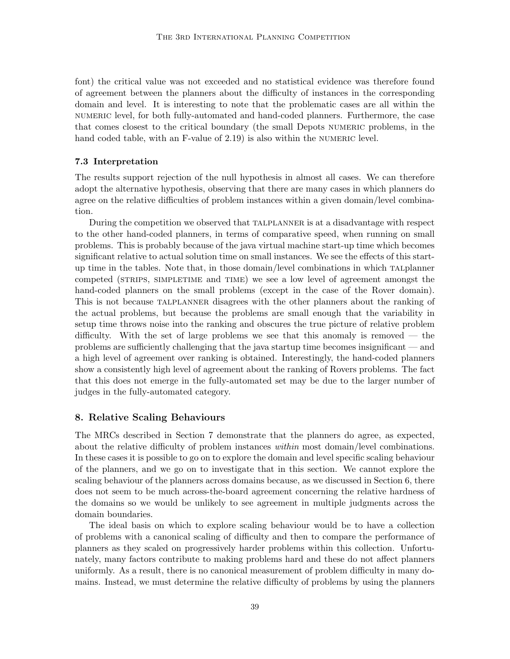font) the critical value was not exceeded and no statistical evidence was therefore found of agreement between the planners about the difficulty of instances in the corresponding domain and level. It is interesting to note that the problematic cases are all within the numeric level, for both fully-automated and hand-coded planners. Furthermore, the case that comes closest to the critical boundary (the small Depots numeric problems, in the hand coded table, with an F-value of 2.19) is also within the NUMERIC level.

### 7.3 Interpretation

The results support rejection of the null hypothesis in almost all cases. We can therefore adopt the alternative hypothesis, observing that there are many cases in which planners do agree on the relative difficulties of problem instances within a given domain/level combination.

During the competition we observed that talplanner is at a disadvantage with respect to the other hand-coded planners, in terms of comparative speed, when running on small problems. This is probably because of the java virtual machine start-up time which becomes significant relative to actual solution time on small instances. We see the effects of this startup time in the tables. Note that, in those domain/level combinations in which talplanner competed (STRIPS, SIMPLETIME and TIME) we see a low level of agreement amongst the hand-coded planners on the small problems (except in the case of the Rover domain). This is not because talplanner disagrees with the other planners about the ranking of the actual problems, but because the problems are small enough that the variability in setup time throws noise into the ranking and obscures the true picture of relative problem difficulty. With the set of large problems we see that this anomaly is removed — the problems are sufficiently challenging that the java startup time becomes insignificant — and a high level of agreement over ranking is obtained. Interestingly, the hand-coded planners show a consistently high level of agreement about the ranking of Rovers problems. The fact that this does not emerge in the fully-automated set may be due to the larger number of judges in the fully-automated category.

## 8. Relative Scaling Behaviours

The MRCs described in Section 7 demonstrate that the planners do agree, as expected, about the relative difficulty of problem instances within most domain/level combinations. In these cases it is possible to go on to explore the domain and level specific scaling behaviour of the planners, and we go on to investigate that in this section. We cannot explore the scaling behaviour of the planners across domains because, as we discussed in Section 6, there does not seem to be much across-the-board agreement concerning the relative hardness of the domains so we would be unlikely to see agreement in multiple judgments across the domain boundaries.

The ideal basis on which to explore scaling behaviour would be to have a collection of problems with a canonical scaling of difficulty and then to compare the performance of planners as they scaled on progressively harder problems within this collection. Unfortunately, many factors contribute to making problems hard and these do not affect planners uniformly. As a result, there is no canonical measurement of problem difficulty in many domains. Instead, we must determine the relative difficulty of problems by using the planners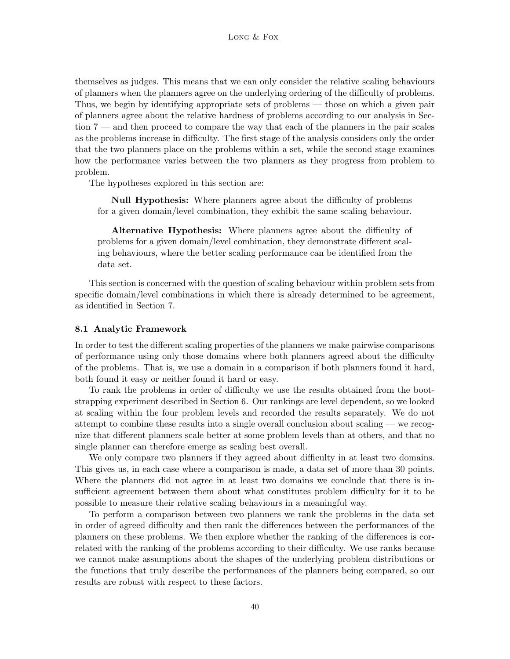themselves as judges. This means that we can only consider the relative scaling behaviours of planners when the planners agree on the underlying ordering of the difficulty of problems. Thus, we begin by identifying appropriate sets of problems — those on which a given pair of planners agree about the relative hardness of problems according to our analysis in Section 7 — and then proceed to compare the way that each of the planners in the pair scales as the problems increase in difficulty. The first stage of the analysis considers only the order that the two planners place on the problems within a set, while the second stage examines how the performance varies between the two planners as they progress from problem to problem.

The hypotheses explored in this section are:

Null Hypothesis: Where planners agree about the difficulty of problems for a given domain/level combination, they exhibit the same scaling behaviour.

Alternative Hypothesis: Where planners agree about the difficulty of problems for a given domain/level combination, they demonstrate different scaling behaviours, where the better scaling performance can be identified from the data set.

This section is concerned with the question of scaling behaviour within problem sets from specific domain/level combinations in which there is already determined to be agreement, as identified in Section 7.

#### 8.1 Analytic Framework

In order to test the different scaling properties of the planners we make pairwise comparisons of performance using only those domains where both planners agreed about the difficulty of the problems. That is, we use a domain in a comparison if both planners found it hard, both found it easy or neither found it hard or easy.

To rank the problems in order of difficulty we use the results obtained from the bootstrapping experiment described in Section 6. Our rankings are level dependent, so we looked at scaling within the four problem levels and recorded the results separately. We do not attempt to combine these results into a single overall conclusion about scaling — we recognize that different planners scale better at some problem levels than at others, and that no single planner can therefore emerge as scaling best overall.

We only compare two planners if they agreed about difficulty in at least two domains. This gives us, in each case where a comparison is made, a data set of more than 30 points. Where the planners did not agree in at least two domains we conclude that there is insufficient agreement between them about what constitutes problem difficulty for it to be possible to measure their relative scaling behaviours in a meaningful way.

To perform a comparison between two planners we rank the problems in the data set in order of agreed difficulty and then rank the differences between the performances of the planners on these problems. We then explore whether the ranking of the differences is correlated with the ranking of the problems according to their difficulty. We use ranks because we cannot make assumptions about the shapes of the underlying problem distributions or the functions that truly describe the performances of the planners being compared, so our results are robust with respect to these factors.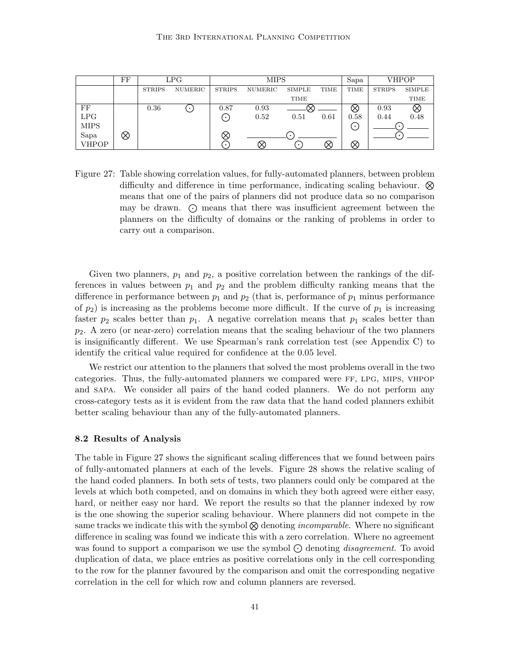|             | FF |               | LPG     | <b>MIPS</b>   |         |           |      | Sapa |               | VHPOP  |
|-------------|----|---------------|---------|---------------|---------|-----------|------|------|---------------|--------|
|             |    | <b>STRIPS</b> | NUMERIC | <b>STRIPS</b> | NUMERIC | SIMPLE    | TIME | TIME | <b>STRIPS</b> | SIMPLE |
|             |    |               |         |               |         | TIME      |      |      |               | TIME   |
| FF          |    | 0.36          | .       | 0.87          | 0.93    |           |      | ∞    | 0.93          | Ø      |
| LPG         |    |               |         | . .           | 0.52    | 0.51      | 0.61 | 0.58 | 0.44          | 0.48   |
| <b>MIPS</b> |    |               |         |               |         |           |      | .∙.  |               |        |
| Sapa        | ⊗  |               |         |               |         |           |      |      |               |        |
| VHPOP       |    |               |         |               |         | $\bullet$ |      | R    |               |        |

Figure 27: Table showing correlation values, for fully-automated planners, between problem difficulty and difference in time performance, indicating scaling behaviour.  $\otimes$ means that one of the pairs of planners did not produce data so no comparison may be drawn.  $\odot$  means that there was insufficient agreement between the planners on the difficulty of domains or the ranking of problems in order to carry out a comparison.

Given two planners,  $p_1$  and  $p_2$ , a positive correlation between the rankings of the differences in values between  $p_1$  and  $p_2$  and the problem difficulty ranking means that the difference in performance between  $p_1$  and  $p_2$  (that is, performance of  $p_1$  minus performance of  $p_2$ ) is increasing as the problems become more difficult. If the curve of  $p_1$  is increasing faster  $p_2$  scales better than  $p_1$ . A negative correlation means that  $p_1$  scales better than  $p_2$ . A zero (or near-zero) correlation means that the scaling behaviour of the two planners is insignificantly different. We use Spearman's rank correlation test (see Appendix C) to identify the critical value required for confidence at the 0.05 level.

We restrict our attention to the planners that solved the most problems overall in the two categories. Thus, the fully-automated planners we compared were ff, lpg, mips, vhpop and sapa. We consider all pairs of the hand coded planners. We do not perform any cross-category tests as it is evident from the raw data that the hand coded planners exhibit better scaling behaviour than any of the fully-automated planners.

### 8.2 Results of Analysis

The table in Figure 27 shows the significant scaling differences that we found between pairs of fully-automated planners at each of the levels. Figure 28 shows the relative scaling of the hand coded planners. In both sets of tests, two planners could only be compared at the levels at which both competed, and on domains in which they both agreed were either easy, hard, or neither easy nor hard. We report the results so that the planner indexed by row is the one showing the superior scaling behaviour. Where planners did not compete in the same tracks we indicate this with the symbol  $\otimes$  denoting *incomparable*. Where no significant difference in scaling was found we indicate this with a zero correlation. Where no agreement was found to support a comparison we use the symbol  $\odot$  denoting *disagreement*. To avoid duplication of data, we place entries as positive correlations only in the cell corresponding to the row for the planner favoured by the comparison and omit the corresponding negative correlation in the cell for which row and column planners are reversed.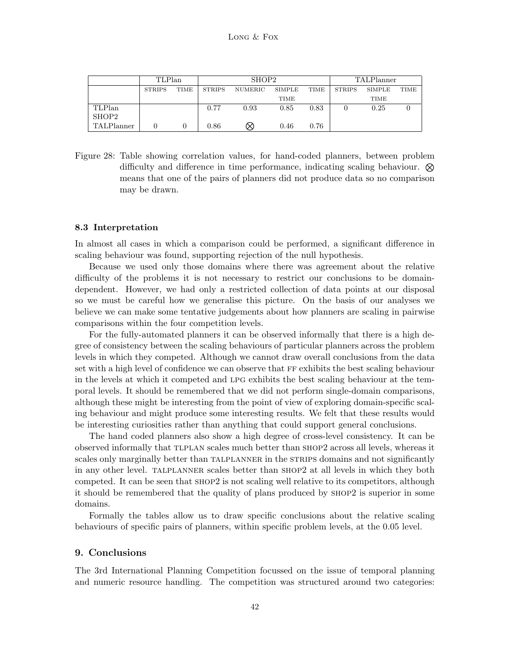|            | TLPlan        |      | SHOP2         |         |        |      | <b>TALPlanner</b> |        |             |
|------------|---------------|------|---------------|---------|--------|------|-------------------|--------|-------------|
|            | <b>STRIPS</b> | TIME | <b>STRIPS</b> | NUMERIC | SIMPLE | TIME | <b>STRIPS</b>     | SIMPLE | <b>TIME</b> |
|            |               |      |               |         | TIME   |      |                   | TIME   |             |
| TLPlan     |               |      | 0.77          | 0.93    | 0.85   | 0.83 |                   | 0.25   |             |
| SHOP2      |               |      |               |         |        |      |                   |        |             |
| TALPlanner |               |      | 0.86          | ∞       | 0.46   | 0.76 |                   |        |             |

Figure 28: Table showing correlation values, for hand-coded planners, between problem difficulty and difference in time performance, indicating scaling behaviour.  $\otimes$ means that one of the pairs of planners did not produce data so no comparison may be drawn.

### 8.3 Interpretation

In almost all cases in which a comparison could be performed, a significant difference in scaling behaviour was found, supporting rejection of the null hypothesis.

Because we used only those domains where there was agreement about the relative difficulty of the problems it is not necessary to restrict our conclusions to be domaindependent. However, we had only a restricted collection of data points at our disposal so we must be careful how we generalise this picture. On the basis of our analyses we believe we can make some tentative judgements about how planners are scaling in pairwise comparisons within the four competition levels.

For the fully-automated planners it can be observed informally that there is a high degree of consistency between the scaling behaviours of particular planners across the problem levels in which they competed. Although we cannot draw overall conclusions from the data set with a high level of confidence we can observe that FF exhibits the best scaling behaviour in the levels at which it competed and lpg exhibits the best scaling behaviour at the temporal levels. It should be remembered that we did not perform single-domain comparisons, although these might be interesting from the point of view of exploring domain-specific scaling behaviour and might produce some interesting results. We felt that these results would be interesting curiosities rather than anything that could support general conclusions.

The hand coded planners also show a high degree of cross-level consistency. It can be observed informally that tlplan scales much better than shop2 across all levels, whereas it scales only marginally better than TALPLANNER in the STRIPS domains and not significantly in any other level. talplanner scales better than shop2 at all levels in which they both competed. It can be seen that shop2 is not scaling well relative to its competitors, although it should be remembered that the quality of plans produced by shop2 is superior in some domains.

Formally the tables allow us to draw specific conclusions about the relative scaling behaviours of specific pairs of planners, within specific problem levels, at the 0.05 level.

### 9. Conclusions

The 3rd International Planning Competition focussed on the issue of temporal planning and numeric resource handling. The competition was structured around two categories: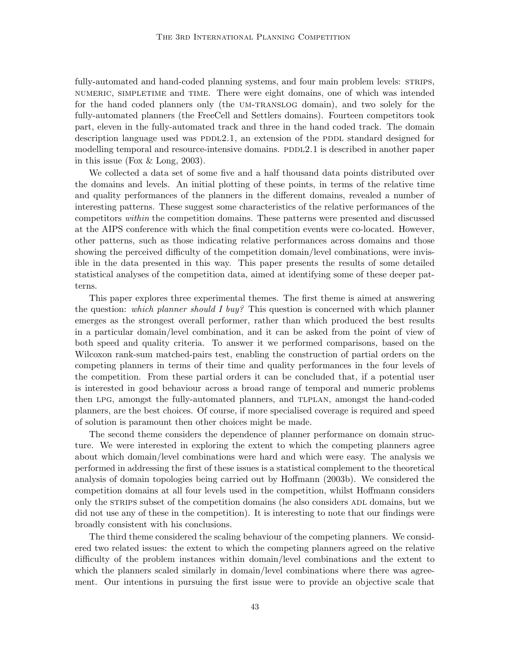fully-automated and hand-coded planning systems, and four main problem levels: STRIPS, numeric, simpletime and time. There were eight domains, one of which was intended for the hand coded planners only (the UM-TRANSLOG domain), and two solely for the fully-automated planners (the FreeCell and Settlers domains). Fourteen competitors took part, eleven in the fully-automated track and three in the hand coded track. The domain description language used was PDDL2.1, an extension of the PDDL standard designed for modelling temporal and resource-intensive domains. PDDL2.1 is described in another paper in this issue (Fox & Long, 2003).

We collected a data set of some five and a half thousand data points distributed over the domains and levels. An initial plotting of these points, in terms of the relative time and quality performances of the planners in the different domains, revealed a number of interesting patterns. These suggest some characteristics of the relative performances of the competitors within the competition domains. These patterns were presented and discussed at the AIPS conference with which the final competition events were co-located. However, other patterns, such as those indicating relative performances across domains and those showing the perceived difficulty of the competition domain/level combinations, were invisible in the data presented in this way. This paper presents the results of some detailed statistical analyses of the competition data, aimed at identifying some of these deeper patterns.

This paper explores three experimental themes. The first theme is aimed at answering the question: which planner should I buy? This question is concerned with which planner emerges as the strongest overall performer, rather than which produced the best results in a particular domain/level combination, and it can be asked from the point of view of both speed and quality criteria. To answer it we performed comparisons, based on the Wilcoxon rank-sum matched-pairs test, enabling the construction of partial orders on the competing planners in terms of their time and quality performances in the four levels of the competition. From these partial orders it can be concluded that, if a potential user is interested in good behaviour across a broad range of temporal and numeric problems then lpg, amongst the fully-automated planners, and tlplan, amongst the hand-coded planners, are the best choices. Of course, if more specialised coverage is required and speed of solution is paramount then other choices might be made.

The second theme considers the dependence of planner performance on domain structure. We were interested in exploring the extent to which the competing planners agree about which domain/level combinations were hard and which were easy. The analysis we performed in addressing the first of these issues is a statistical complement to the theoretical analysis of domain topologies being carried out by Hoffmann (2003b). We considered the competition domains at all four levels used in the competition, whilst Hoffmann considers only the STRIPS subset of the competition domains (he also considers ADL domains, but we did not use any of these in the competition). It is interesting to note that our findings were broadly consistent with his conclusions.

The third theme considered the scaling behaviour of the competing planners. We considered two related issues: the extent to which the competing planners agreed on the relative difficulty of the problem instances within domain/level combinations and the extent to which the planners scaled similarly in domain/level combinations where there was agreement. Our intentions in pursuing the first issue were to provide an objective scale that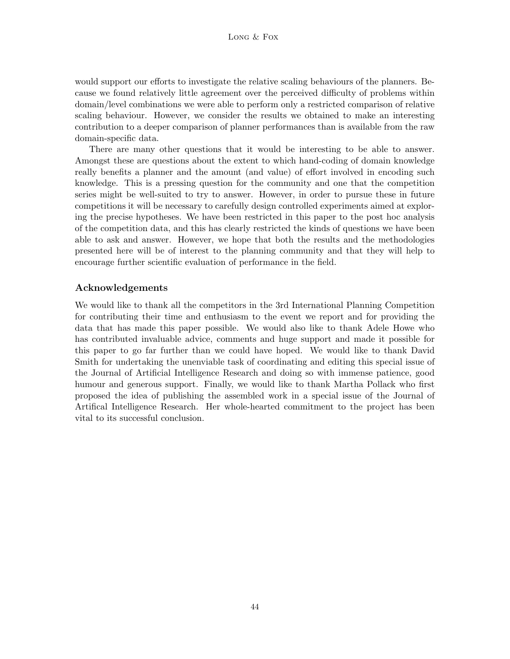would support our efforts to investigate the relative scaling behaviours of the planners. Because we found relatively little agreement over the perceived difficulty of problems within domain/level combinations we were able to perform only a restricted comparison of relative scaling behaviour. However, we consider the results we obtained to make an interesting contribution to a deeper comparison of planner performances than is available from the raw domain-specific data.

There are many other questions that it would be interesting to be able to answer. Amongst these are questions about the extent to which hand-coding of domain knowledge really benefits a planner and the amount (and value) of effort involved in encoding such knowledge. This is a pressing question for the community and one that the competition series might be well-suited to try to answer. However, in order to pursue these in future competitions it will be necessary to carefully design controlled experiments aimed at exploring the precise hypotheses. We have been restricted in this paper to the post hoc analysis of the competition data, and this has clearly restricted the kinds of questions we have been able to ask and answer. However, we hope that both the results and the methodologies presented here will be of interest to the planning community and that they will help to encourage further scientific evaluation of performance in the field.

## Acknowledgements

We would like to thank all the competitors in the 3rd International Planning Competition for contributing their time and enthusiasm to the event we report and for providing the data that has made this paper possible. We would also like to thank Adele Howe who has contributed invaluable advice, comments and huge support and made it possible for this paper to go far further than we could have hoped. We would like to thank David Smith for undertaking the unenviable task of coordinating and editing this special issue of the Journal of Artificial Intelligence Research and doing so with immense patience, good humour and generous support. Finally, we would like to thank Martha Pollack who first proposed the idea of publishing the assembled work in a special issue of the Journal of Artifical Intelligence Research. Her whole-hearted commitment to the project has been vital to its successful conclusion.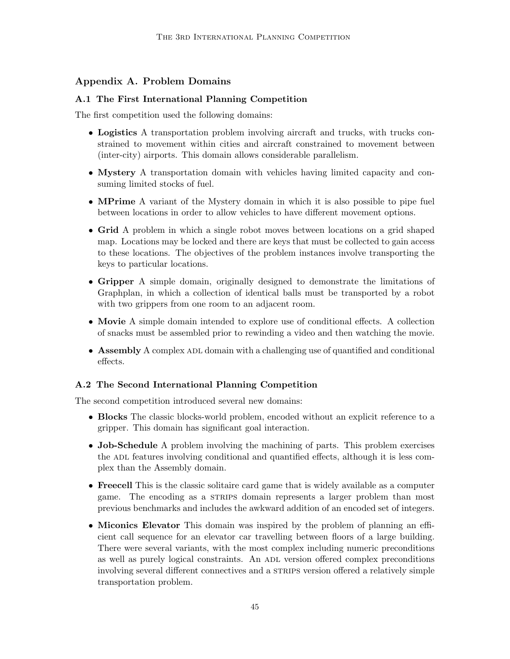## Appendix A. Problem Domains

## A.1 The First International Planning Competition

The first competition used the following domains:

- Logistics A transportation problem involving aircraft and trucks, with trucks constrained to movement within cities and aircraft constrained to movement between (inter-city) airports. This domain allows considerable parallelism.
- Mystery A transportation domain with vehicles having limited capacity and consuming limited stocks of fuel.
- MPrime A variant of the Mystery domain in which it is also possible to pipe fuel between locations in order to allow vehicles to have different movement options.
- Grid A problem in which a single robot moves between locations on a grid shaped map. Locations may be locked and there are keys that must be collected to gain access to these locations. The objectives of the problem instances involve transporting the keys to particular locations.
- Gripper A simple domain, originally designed to demonstrate the limitations of Graphplan, in which a collection of identical balls must be transported by a robot with two grippers from one room to an adjacent room.
- Movie A simple domain intended to explore use of conditional effects. A collection of snacks must be assembled prior to rewinding a video and then watching the movie.
- Assembly A complex ADL domain with a challenging use of quantified and conditional effects.

## A.2 The Second International Planning Competition

The second competition introduced several new domains:

- Blocks The classic blocks-world problem, encoded without an explicit reference to a gripper. This domain has significant goal interaction.
- Job-Schedule A problem involving the machining of parts. This problem exercises the ADL features involving conditional and quantified effects, although it is less complex than the Assembly domain.
- Freecell This is the classic solitaire card game that is widely available as a computer game. The encoding as a strips domain represents a larger problem than most previous benchmarks and includes the awkward addition of an encoded set of integers.
- Miconics Elevator This domain was inspired by the problem of planning an efficient call sequence for an elevator car travelling between floors of a large building. There were several variants, with the most complex including numeric preconditions as well as purely logical constraints. An ADL version offered complex preconditions involving several different connectives and a STRIPS version offered a relatively simple transportation problem.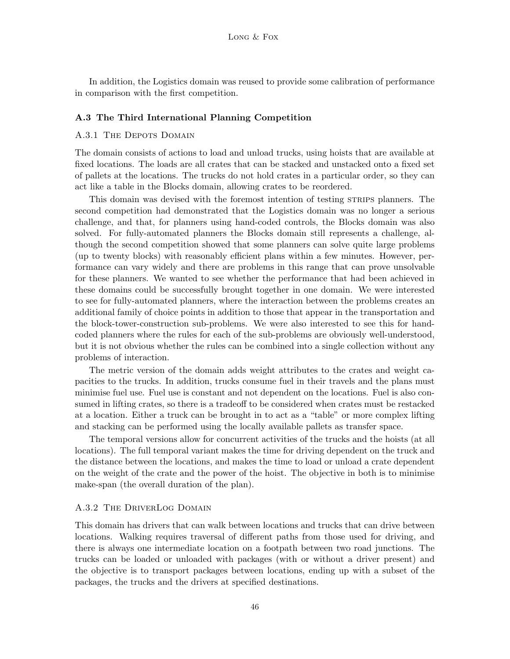In addition, the Logistics domain was reused to provide some calibration of performance in comparison with the first competition.

### A.3 The Third International Planning Competition

### A.3.1 THE DEPOTS DOMAIN

The domain consists of actions to load and unload trucks, using hoists that are available at fixed locations. The loads are all crates that can be stacked and unstacked onto a fixed set of pallets at the locations. The trucks do not hold crates in a particular order, so they can act like a table in the Blocks domain, allowing crates to be reordered.

This domain was devised with the foremost intention of testing strips planners. The second competition had demonstrated that the Logistics domain was no longer a serious challenge, and that, for planners using hand-coded controls, the Blocks domain was also solved. For fully-automated planners the Blocks domain still represents a challenge, although the second competition showed that some planners can solve quite large problems (up to twenty blocks) with reasonably efficient plans within a few minutes. However, performance can vary widely and there are problems in this range that can prove unsolvable for these planners. We wanted to see whether the performance that had been achieved in these domains could be successfully brought together in one domain. We were interested to see for fully-automated planners, where the interaction between the problems creates an additional family of choice points in addition to those that appear in the transportation and the block-tower-construction sub-problems. We were also interested to see this for handcoded planners where the rules for each of the sub-problems are obviously well-understood, but it is not obvious whether the rules can be combined into a single collection without any problems of interaction.

The metric version of the domain adds weight attributes to the crates and weight capacities to the trucks. In addition, trucks consume fuel in their travels and the plans must minimise fuel use. Fuel use is constant and not dependent on the locations. Fuel is also consumed in lifting crates, so there is a tradeoff to be considered when crates must be restacked at a location. Either a truck can be brought in to act as a "table" or more complex lifting and stacking can be performed using the locally available pallets as transfer space.

The temporal versions allow for concurrent activities of the trucks and the hoists (at all locations). The full temporal variant makes the time for driving dependent on the truck and the distance between the locations, and makes the time to load or unload a crate dependent on the weight of the crate and the power of the hoist. The objective in both is to minimise make-span (the overall duration of the plan).

## A.3.2 The DriverLog Domain

This domain has drivers that can walk between locations and trucks that can drive between locations. Walking requires traversal of different paths from those used for driving, and there is always one intermediate location on a footpath between two road junctions. The trucks can be loaded or unloaded with packages (with or without a driver present) and the objective is to transport packages between locations, ending up with a subset of the packages, the trucks and the drivers at specified destinations.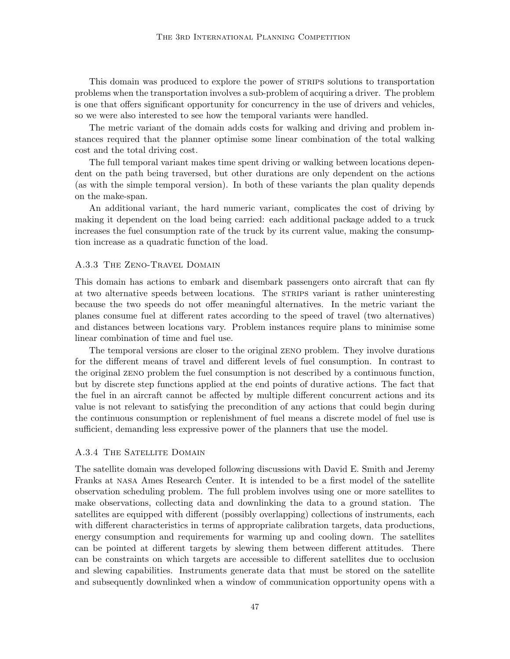This domain was produced to explore the power of strips solutions to transportation problems when the transportation involves a sub-problem of acquiring a driver. The problem is one that offers significant opportunity for concurrency in the use of drivers and vehicles, so we were also interested to see how the temporal variants were handled.

The metric variant of the domain adds costs for walking and driving and problem instances required that the planner optimise some linear combination of the total walking cost and the total driving cost.

The full temporal variant makes time spent driving or walking between locations dependent on the path being traversed, but other durations are only dependent on the actions (as with the simple temporal version). In both of these variants the plan quality depends on the make-span.

An additional variant, the hard numeric variant, complicates the cost of driving by making it dependent on the load being carried: each additional package added to a truck increases the fuel consumption rate of the truck by its current value, making the consumption increase as a quadratic function of the load.

#### A.3.3 The Zeno-Travel Domain

This domain has actions to embark and disembark passengers onto aircraft that can fly at two alternative speeds between locations. The STRIPS variant is rather uninteresting because the two speeds do not offer meaningful alternatives. In the metric variant the planes consume fuel at different rates according to the speed of travel (two alternatives) and distances between locations vary. Problem instances require plans to minimise some linear combination of time and fuel use.

The temporal versions are closer to the original zeno problem. They involve durations for the different means of travel and different levels of fuel consumption. In contrast to the original zeno problem the fuel consumption is not described by a continuous function, but by discrete step functions applied at the end points of durative actions. The fact that the fuel in an aircraft cannot be affected by multiple different concurrent actions and its value is not relevant to satisfying the precondition of any actions that could begin during the continuous consumption or replenishment of fuel means a discrete model of fuel use is sufficient, demanding less expressive power of the planners that use the model.

### A.3.4 THE SATELLITE DOMAIN

The satellite domain was developed following discussions with David E. Smith and Jeremy Franks at nasa Ames Research Center. It is intended to be a first model of the satellite observation scheduling problem. The full problem involves using one or more satellites to make observations, collecting data and downlinking the data to a ground station. The satellites are equipped with different (possibly overlapping) collections of instruments, each with different characteristics in terms of appropriate calibration targets, data productions, energy consumption and requirements for warming up and cooling down. The satellites can be pointed at different targets by slewing them between different attitudes. There can be constraints on which targets are accessible to different satellites due to occlusion and slewing capabilities. Instruments generate data that must be stored on the satellite and subsequently downlinked when a window of communication opportunity opens with a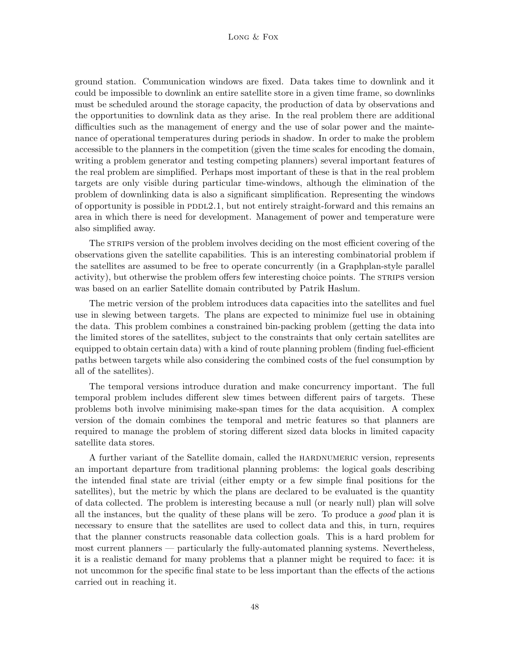#### Long & Fox

ground station. Communication windows are fixed. Data takes time to downlink and it could be impossible to downlink an entire satellite store in a given time frame, so downlinks must be scheduled around the storage capacity, the production of data by observations and the opportunities to downlink data as they arise. In the real problem there are additional difficulties such as the management of energy and the use of solar power and the maintenance of operational temperatures during periods in shadow. In order to make the problem accessible to the planners in the competition (given the time scales for encoding the domain, writing a problem generator and testing competing planners) several important features of the real problem are simplified. Perhaps most important of these is that in the real problem targets are only visible during particular time-windows, although the elimination of the problem of downlinking data is also a significant simplification. Representing the windows of opportunity is possible in  $PDDL2.1$ , but not entirely straight-forward and this remains an area in which there is need for development. Management of power and temperature were also simplified away.

The straips version of the problem involves deciding on the most efficient covering of the observations given the satellite capabilities. This is an interesting combinatorial problem if the satellites are assumed to be free to operate concurrently (in a Graphplan-style parallel activity), but otherwise the problem offers few interesting choice points. The STRIPS version was based on an earlier Satellite domain contributed by Patrik Haslum.

The metric version of the problem introduces data capacities into the satellites and fuel use in slewing between targets. The plans are expected to minimize fuel use in obtaining the data. This problem combines a constrained bin-packing problem (getting the data into the limited stores of the satellites, subject to the constraints that only certain satellites are equipped to obtain certain data) with a kind of route planning problem (finding fuel-efficient paths between targets while also considering the combined costs of the fuel consumption by all of the satellites).

The temporal versions introduce duration and make concurrency important. The full temporal problem includes different slew times between different pairs of targets. These problems both involve minimising make-span times for the data acquisition. A complex version of the domain combines the temporal and metric features so that planners are required to manage the problem of storing different sized data blocks in limited capacity satellite data stores.

A further variant of the Satellite domain, called the hardnumeric version, represents an important departure from traditional planning problems: the logical goals describing the intended final state are trivial (either empty or a few simple final positions for the satellites), but the metric by which the plans are declared to be evaluated is the quantity of data collected. The problem is interesting because a null (or nearly null) plan will solve all the instances, but the quality of these plans will be zero. To produce a good plan it is necessary to ensure that the satellites are used to collect data and this, in turn, requires that the planner constructs reasonable data collection goals. This is a hard problem for most current planners — particularly the fully-automated planning systems. Nevertheless, it is a realistic demand for many problems that a planner might be required to face: it is not uncommon for the specific final state to be less important than the effects of the actions carried out in reaching it.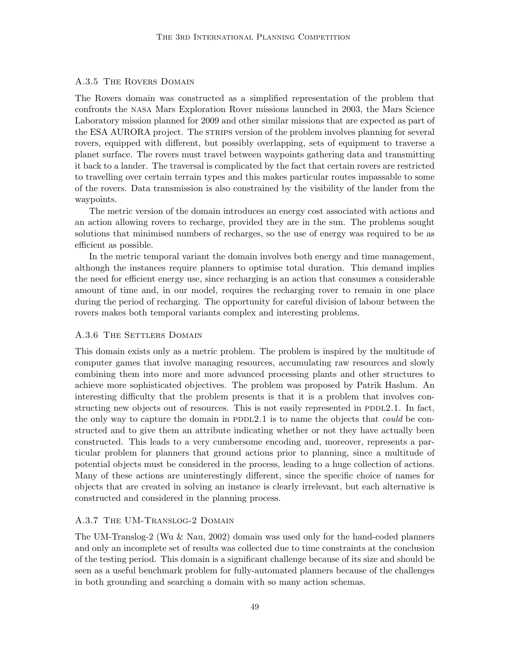### A.3.5 The Rovers Domain

The Rovers domain was constructed as a simplified representation of the problem that confronts the nasa Mars Exploration Rover missions launched in 2003, the Mars Science Laboratory mission planned for 2009 and other similar missions that are expected as part of the ESA AURORA project. The strains version of the problem involves planning for several rovers, equipped with different, but possibly overlapping, sets of equipment to traverse a planet surface. The rovers must travel between waypoints gathering data and transmitting it back to a lander. The traversal is complicated by the fact that certain rovers are restricted to travelling over certain terrain types and this makes particular routes impassable to some of the rovers. Data transmission is also constrained by the visibility of the lander from the waypoints.

The metric version of the domain introduces an energy cost associated with actions and an action allowing rovers to recharge, provided they are in the sun. The problems sought solutions that minimised numbers of recharges, so the use of energy was required to be as efficient as possible.

In the metric temporal variant the domain involves both energy and time management, although the instances require planners to optimise total duration. This demand implies the need for efficient energy use, since recharging is an action that consumes a considerable amount of time and, in our model, requires the recharging rover to remain in one place during the period of recharging. The opportunity for careful division of labour between the rovers makes both temporal variants complex and interesting problems.

#### A.3.6 THE SETTLERS DOMAIN

This domain exists only as a metric problem. The problem is inspired by the multitude of computer games that involve managing resources, accumulating raw resources and slowly combining them into more and more advanced processing plants and other structures to achieve more sophisticated objectives. The problem was proposed by Patrik Haslum. An interesting difficulty that the problem presents is that it is a problem that involves constructing new objects out of resources. This is not easily represented in  $PDDL2.1$ . In fact, the only way to capture the domain in PDDL2.1 is to name the objects that *could* be constructed and to give them an attribute indicating whether or not they have actually been constructed. This leads to a very cumbersome encoding and, moreover, represents a particular problem for planners that ground actions prior to planning, since a multitude of potential objects must be considered in the process, leading to a huge collection of actions. Many of these actions are uninterestingly different, since the specific choice of names for objects that are created in solving an instance is clearly irrelevant, but each alternative is constructed and considered in the planning process.

### A.3.7 The UM-Translog-2 Domain

The UM-Translog-2 (Wu & Nau, 2002) domain was used only for the hand-coded planners and only an incomplete set of results was collected due to time constraints at the conclusion of the testing period. This domain is a significant challenge because of its size and should be seen as a useful benchmark problem for fully-automated planners because of the challenges in both grounding and searching a domain with so many action schemas.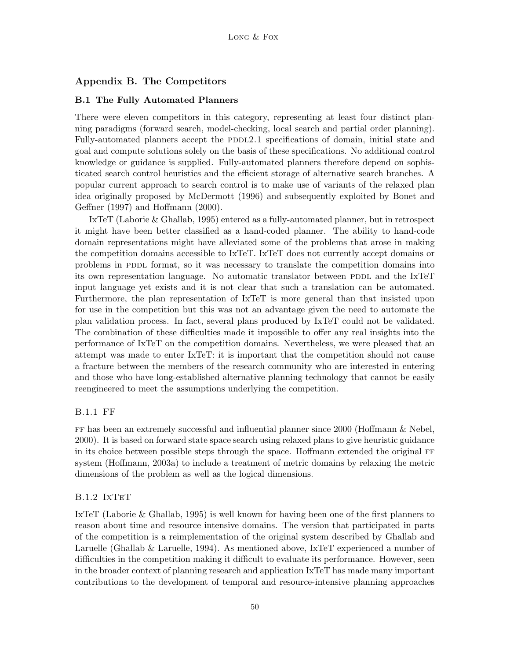## Appendix B. The Competitors

### B.1 The Fully Automated Planners

There were eleven competitors in this category, representing at least four distinct planning paradigms (forward search, model-checking, local search and partial order planning). Fully-automated planners accept the PDDL2.1 specifications of domain, initial state and goal and compute solutions solely on the basis of these specifications. No additional control knowledge or guidance is supplied. Fully-automated planners therefore depend on sophisticated search control heuristics and the efficient storage of alternative search branches. A popular current approach to search control is to make use of variants of the relaxed plan idea originally proposed by McDermott (1996) and subsequently exploited by Bonet and Geffner (1997) and Hoffmann (2000).

IxTeT (Laborie & Ghallab, 1995) entered as a fully-automated planner, but in retrospect it might have been better classified as a hand-coded planner. The ability to hand-code domain representations might have alleviated some of the problems that arose in making the competition domains accessible to IxTeT. IxTeT does not currently accept domains or problems in PDDL format, so it was necessary to translate the competition domains into its own representation language. No automatic translator between PDDL and the IxTeT input language yet exists and it is not clear that such a translation can be automated. Furthermore, the plan representation of IxTeT is more general than that insisted upon for use in the competition but this was not an advantage given the need to automate the plan validation process. In fact, several plans produced by IxTeT could not be validated. The combination of these difficulties made it impossible to offer any real insights into the performance of IxTeT on the competition domains. Nevertheless, we were pleased that an attempt was made to enter IxTeT: it is important that the competition should not cause a fracture between the members of the research community who are interested in entering and those who have long-established alternative planning technology that cannot be easily reengineered to meet the assumptions underlying the competition.

## B.1.1 FF

ff has been an extremely successful and influential planner since 2000 (Hoffmann & Nebel, 2000). It is based on forward state space search using relaxed plans to give heuristic guidance in its choice between possible steps through the space. Hoffmann extended the original ff system (Hoffmann, 2003a) to include a treatment of metric domains by relaxing the metric dimensions of the problem as well as the logical dimensions.

### B.1.2 IxTeT

IxTeT (Laborie & Ghallab, 1995) is well known for having been one of the first planners to reason about time and resource intensive domains. The version that participated in parts of the competition is a reimplementation of the original system described by Ghallab and Laruelle (Ghallab & Laruelle, 1994). As mentioned above, IxTeT experienced a number of difficulties in the competition making it difficult to evaluate its performance. However, seen in the broader context of planning research and application IxTeT has made many important contributions to the development of temporal and resource-intensive planning approaches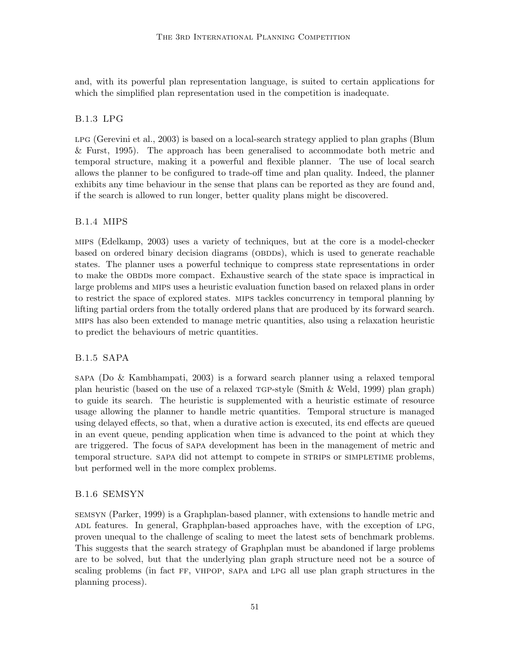and, with its powerful plan representation language, is suited to certain applications for which the simplified plan representation used in the competition is inadequate.

## B.1.3 LPG

lpg (Gerevini et al., 2003) is based on a local-search strategy applied to plan graphs (Blum & Furst, 1995). The approach has been generalised to accommodate both metric and temporal structure, making it a powerful and flexible planner. The use of local search allows the planner to be configured to trade-off time and plan quality. Indeed, the planner exhibits any time behaviour in the sense that plans can be reported as they are found and, if the search is allowed to run longer, better quality plans might be discovered.

### B.1.4 MIPS

mips (Edelkamp, 2003) uses a variety of techniques, but at the core is a model-checker based on ordered binary decision diagrams (OBDDs), which is used to generate reachable states. The planner uses a powerful technique to compress state representations in order to make the OBDDs more compact. Exhaustive search of the state space is impractical in large problems and mips uses a heuristic evaluation function based on relaxed plans in order to restrict the space of explored states. mips tackles concurrency in temporal planning by lifting partial orders from the totally ordered plans that are produced by its forward search. mips has also been extended to manage metric quantities, also using a relaxation heuristic to predict the behaviours of metric quantities.

## B.1.5 SAPA

sapa (Do & Kambhampati, 2003) is a forward search planner using a relaxed temporal plan heuristic (based on the use of a relaxed  $TGP$ -style (Smith & Weld, 1999) plan graph) to guide its search. The heuristic is supplemented with a heuristic estimate of resource usage allowing the planner to handle metric quantities. Temporal structure is managed using delayed effects, so that, when a durative action is executed, its end effects are queued in an event queue, pending application when time is advanced to the point at which they are triggered. The focus of sapa development has been in the management of metric and temporal structure. SAPA did not attempt to compete in STRIPS or SIMPLETIME problems, but performed well in the more complex problems.

### B.1.6 SEMSYN

semsyn (Parker, 1999) is a Graphplan-based planner, with extensions to handle metric and ADL features. In general, Graphplan-based approaches have, with the exception of LPG, proven unequal to the challenge of scaling to meet the latest sets of benchmark problems. This suggests that the search strategy of Graphplan must be abandoned if large problems are to be solved, but that the underlying plan graph structure need not be a source of scaling problems (in fact ff, vhpop, sapa and lpg all use plan graph structures in the planning process).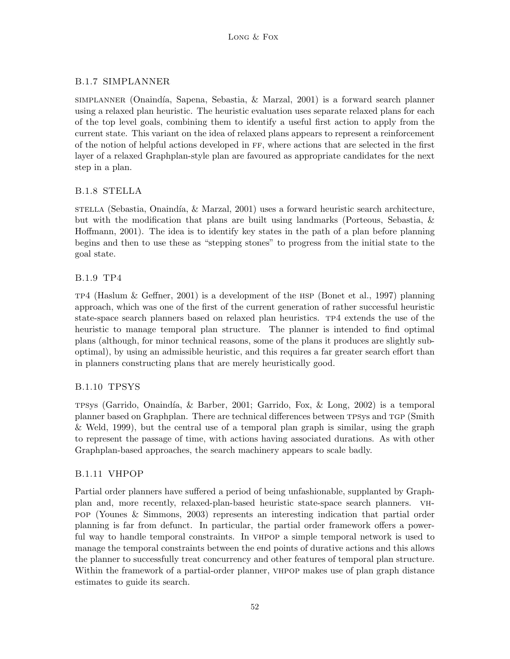## B.1.7 SIMPLANNER

 $SIMPLANNER$  (Onaindía, Sapena, Sebastia, & Marzal, 2001) is a forward search planner using a relaxed plan heuristic. The heuristic evaluation uses separate relaxed plans for each of the top level goals, combining them to identify a useful first action to apply from the current state. This variant on the idea of relaxed plans appears to represent a reinforcement of the notion of helpful actions developed in ff, where actions that are selected in the first layer of a relaxed Graphplan-style plan are favoured as appropriate candidates for the next step in a plan.

## B.1.8 STELLA

 $STELLA$  (Sebastia, Onaindía,  $\&$  Marzal, 2001) uses a forward heuristic search architecture, but with the modification that plans are built using landmarks (Porteous, Sebastia, & Hoffmann, 2001). The idea is to identify key states in the path of a plan before planning begins and then to use these as "stepping stones" to progress from the initial state to the goal state.

## B.1.9 TP4

 $TP4$  (Haslum & Geffner, 2001) is a development of the HSP (Bonet et al., 1997) planning approach, which was one of the first of the current generation of rather successful heuristic state-space search planners based on relaxed plan heuristics. tp4 extends the use of the heuristic to manage temporal plan structure. The planner is intended to find optimal plans (although, for minor technical reasons, some of the plans it produces are slightly suboptimal), by using an admissible heuristic, and this requires a far greater search effort than in planners constructing plans that are merely heuristically good.

## B.1.10 TPSYS

TPSys (Garrido, Onaindía, & Barber, 2001; Garrido, Fox, & Long, 2002) is a temporal planner based on Graphplan. There are technical differences between tpsys and tgp (Smith & Weld, 1999), but the central use of a temporal plan graph is similar, using the graph to represent the passage of time, with actions having associated durations. As with other Graphplan-based approaches, the search machinery appears to scale badly.

## B.1.11 VHPOP

Partial order planners have suffered a period of being unfashionable, supplanted by Graphplan and, more recently, relaxed-plan-based heuristic state-space search planners. vhpop (Younes & Simmons, 2003) represents an interesting indication that partial order planning is far from defunct. In particular, the partial order framework offers a powerful way to handle temporal constraints. In vhpop a simple temporal network is used to manage the temporal constraints between the end points of durative actions and this allows the planner to successfully treat concurrency and other features of temporal plan structure. Within the framework of a partial-order planner, VHPOP makes use of plan graph distance estimates to guide its search.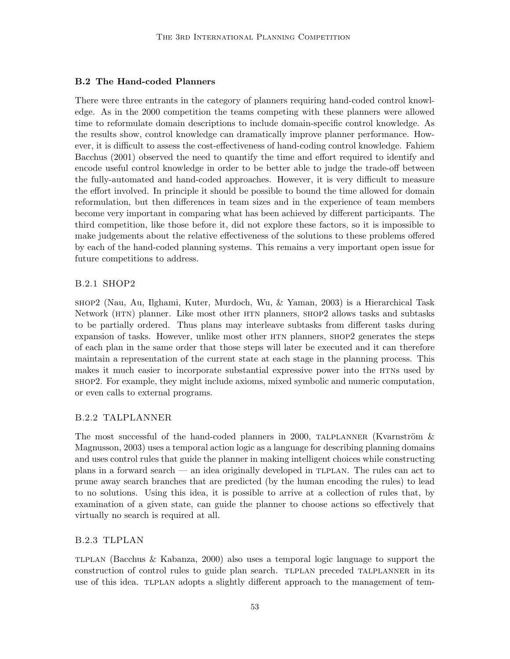## B.2 The Hand-coded Planners

There were three entrants in the category of planners requiring hand-coded control knowledge. As in the 2000 competition the teams competing with these planners were allowed time to reformulate domain descriptions to include domain-specific control knowledge. As the results show, control knowledge can dramatically improve planner performance. However, it is difficult to assess the cost-effectiveness of hand-coding control knowledge. Fahiem Bacchus (2001) observed the need to quantify the time and effort required to identify and encode useful control knowledge in order to be better able to judge the trade-off between the fully-automated and hand-coded approaches. However, it is very difficult to measure the effort involved. In principle it should be possible to bound the time allowed for domain reformulation, but then differences in team sizes and in the experience of team members become very important in comparing what has been achieved by different participants. The third competition, like those before it, did not explore these factors, so it is impossible to make judgements about the relative effectiveness of the solutions to these problems offered by each of the hand-coded planning systems. This remains a very important open issue for future competitions to address.

## B.2.1 SHOP2

shop2 (Nau, Au, Ilghami, Kuter, Murdoch, Wu, & Yaman, 2003) is a Hierarchical Task Network (htn) planner. Like most other htn planners, shop2 allows tasks and subtasks to be partially ordered. Thus plans may interleave subtasks from different tasks during expansion of tasks. However, unlike most other HTN planners, SHOP2 generates the steps of each plan in the same order that those steps will later be executed and it can therefore maintain a representation of the current state at each stage in the planning process. This makes it much easier to incorporate substantial expressive power into the HTNS used by shop2. For example, they might include axioms, mixed symbolic and numeric computation, or even calls to external programs.

## B.2.2 TALPLANNER

The most successful of the hand-coded planners in 2000, TALPLANNER (Kvarnström  $\&$ Magnusson, 2003) uses a temporal action logic as a language for describing planning domains and uses control rules that guide the planner in making intelligent choices while constructing plans in a forward search — an idea originally developed in tlplan. The rules can act to prune away search branches that are predicted (by the human encoding the rules) to lead to no solutions. Using this idea, it is possible to arrive at a collection of rules that, by examination of a given state, can guide the planner to choose actions so effectively that virtually no search is required at all.

## B.2.3 TLPLAN

tlplan (Bacchus & Kabanza, 2000) also uses a temporal logic language to support the construction of control rules to guide plan search. TLPLAN preceded TALPLANNER in its use of this idea. TLPLAN adopts a slightly different approach to the management of tem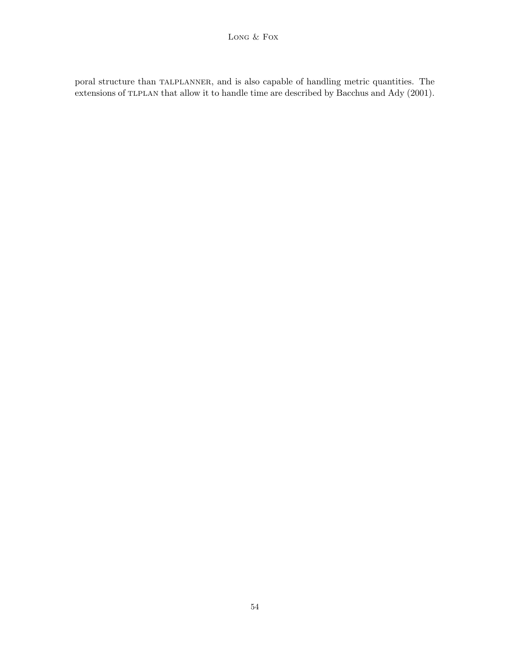poral structure than TALPLANNER, and is also capable of handling metric quantities. The extensions of TLPLAN that allow it to handle time are described by Bacchus and Ady (2001).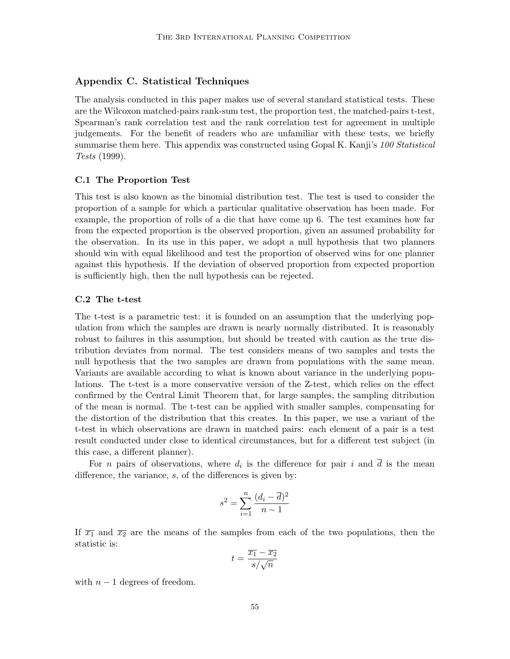## Appendix C. Statistical Techniques

The analysis conducted in this paper makes use of several standard statistical tests. These are the Wilcoxon matched-pairs rank-sum test, the proportion test, the matched-pairs t-test, Spearman's rank correlation test and the rank correlation test for agreement in multiple judgements. For the benefit of readers who are unfamiliar with these tests, we briefly summarise them here. This appendix was constructed using Gopal K. Kanji's 100 Statistical Tests (1999).

### C.1 The Proportion Test

This test is also known as the binomial distribution test. The test is used to consider the proportion of a sample for which a particular qualitative observation has been made. For example, the proportion of rolls of a die that have come up 6. The test examines how far from the expected proportion is the observed proportion, given an assumed probability for the observation. In its use in this paper, we adopt a null hypothesis that two planners should win with equal likelihood and test the proportion of observed wins for one planner against this hypothesis. If the deviation of observed proportion from expected proportion is sufficiently high, then the null hypothesis can be rejected.

### C.2 The t-test

The t-test is a parametric test: it is founded on an assumption that the underlying population from which the samples are drawn is nearly normally distributed. It is reasonably robust to failures in this assumption, but should be treated with caution as the true distribution deviates from normal. The test considers means of two samples and tests the null hypothesis that the two samples are drawn from populations with the same mean. Variants are available according to what is known about variance in the underlying populations. The t-test is a more conservative version of the Z-test, which relies on the effect confirmed by the Central Limit Theorem that, for large samples, the sampling ditribution of the mean is normal. The t-test can be applied with smaller samples, compensating for the distortion of the distribution that this creates. In this paper, we use a variant of the t-test in which observations are drawn in matched pairs: each element of a pair is a test result conducted under close to identical circumstances, but for a different test subject (in this case, a different planner).

For *n* pairs of observations, where  $d_i$  is the difference for pair i and d is the mean difference, the variance, s, of the differences is given by:

$$
s^2 = \sum_{i=1}^n \frac{(d_i - \overline{d})^2}{n-1}
$$

If  $\overline{x_1}$  and  $\overline{x_2}$  are the means of the samples from each of the two populations, then the statistic is:

$$
t = \frac{\overline{x_1} - \overline{x_2}}{s / \sqrt{n}}
$$

with  $n-1$  degrees of freedom.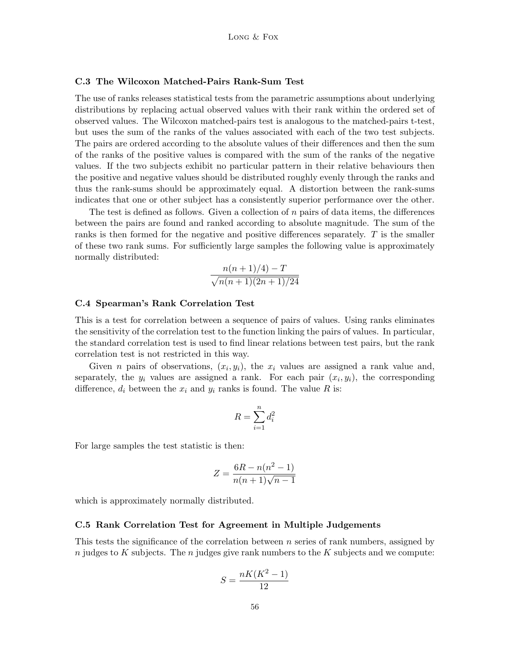### C.3 The Wilcoxon Matched-Pairs Rank-Sum Test

The use of ranks releases statistical tests from the parametric assumptions about underlying distributions by replacing actual observed values with their rank within the ordered set of observed values. The Wilcoxon matched-pairs test is analogous to the matched-pairs t-test, but uses the sum of the ranks of the values associated with each of the two test subjects. The pairs are ordered according to the absolute values of their differences and then the sum of the ranks of the positive values is compared with the sum of the ranks of the negative values. If the two subjects exhibit no particular pattern in their relative behaviours then the positive and negative values should be distributed roughly evenly through the ranks and thus the rank-sums should be approximately equal. A distortion between the rank-sums indicates that one or other subject has a consistently superior performance over the other.

The test is defined as follows. Given a collection of  $n$  pairs of data items, the differences between the pairs are found and ranked according to absolute magnitude. The sum of the ranks is then formed for the negative and positive differences separately. T is the smaller of these two rank sums. For sufficiently large samples the following value is approximately normally distributed:

$$
\frac{n(n+1)/4)-T}{\sqrt{n(n+1)(2n+1)/24}}
$$

#### C.4 Spearman's Rank Correlation Test

This is a test for correlation between a sequence of pairs of values. Using ranks eliminates the sensitivity of the correlation test to the function linking the pairs of values. In particular, the standard correlation test is used to find linear relations between test pairs, but the rank correlation test is not restricted in this way.

Given *n* pairs of observations,  $(x_i, y_i)$ , the  $x_i$  values are assigned a rank value and, separately, the  $y_i$  values are assigned a rank. For each pair  $(x_i, y_i)$ , the corresponding difference,  $d_i$  between the  $x_i$  and  $y_i$  ranks is found. The value R is:

$$
R = \sum_{i=1}^{n} d_i^2
$$

For large samples the test statistic is then:

$$
Z = \frac{6R - n(n^2 - 1)}{n(n+1)\sqrt{n-1}}
$$

which is approximately normally distributed.

#### C.5 Rank Correlation Test for Agreement in Multiple Judgements

This tests the significance of the correlation between  $n$  series of rank numbers, assigned by n judges to K subjects. The n judges give rank numbers to the K subjects and we compute:

$$
S = \frac{nK(K^2 - 1)}{12}
$$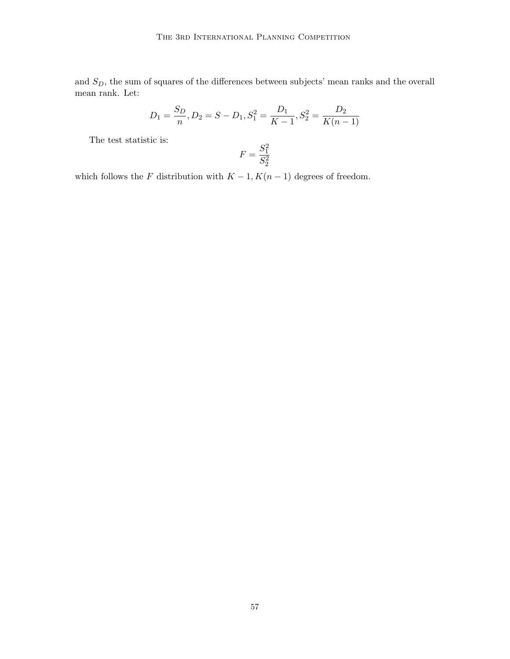and  $S_D$ , the sum of squares of the differences between subjects' mean ranks and the overall mean rank. Let:

$$
D_1 = \frac{S_D}{n}, D_2 = S - D_1, S_1^2 = \frac{D_1}{K - 1}, S_2^2 = \frac{D_2}{K(n - 1)}
$$

The test statistic is:

$$
F=\frac{S_1^2}{S_2^2}
$$

which follows the F distribution with  $K-1, K(n-1)$  degrees of freedom.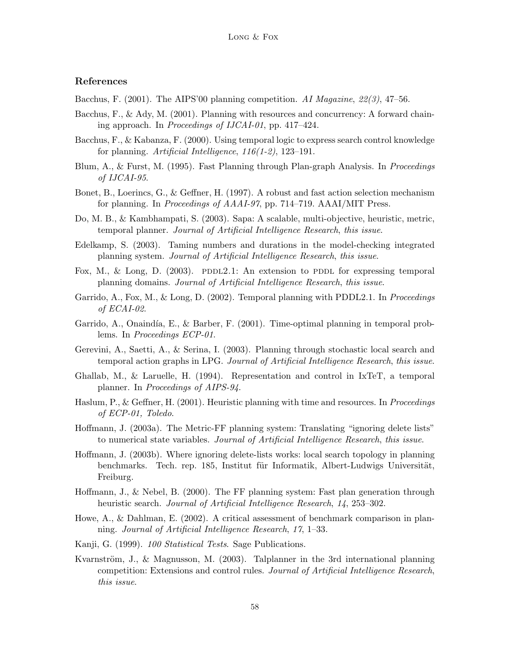## References

- Bacchus, F. (2001). The AIPS'00 planning competition. AI Magazine,  $22(3)$ , 47–56.
- Bacchus, F., & Ady, M. (2001). Planning with resources and concurrency: A forward chaining approach. In Proceedings of IJCAI-01, pp. 417–424.
- Bacchus, F., & Kabanza, F. (2000). Using temporal logic to express search control knowledge for planning. Artificial Intelligence, 116(1-2), 123–191.
- Blum, A., & Furst, M. (1995). Fast Planning through Plan-graph Analysis. In *Proceedings* of IJCAI-95.
- Bonet, B., Loerincs, G., & Geffner, H. (1997). A robust and fast action selection mechanism for planning. In Proceedings of AAAI-97, pp. 714–719. AAAI/MIT Press.
- Do, M. B., & Kambhampati, S. (2003). Sapa: A scalable, multi-objective, heuristic, metric, temporal planner. Journal of Artificial Intelligence Research, this issue.
- Edelkamp, S. (2003). Taming numbers and durations in the model-checking integrated planning system. Journal of Artificial Intelligence Research, this issue.
- Fox, M., & Long, D. (2003). PDDL2.1: An extension to PDDL for expressing temporal planning domains. Journal of Artificial Intelligence Research, this issue.
- Garrido, A., Fox, M., & Long, D. (2002). Temporal planning with PDDL2.1. In *Proceedings* of ECAI-02.
- Garrido, A., Onaindía, E., & Barber, F.  $(2001)$ . Time-optimal planning in temporal problems. In Proceedings ECP-01.
- Gerevini, A., Saetti, A., & Serina, I. (2003). Planning through stochastic local search and temporal action graphs in LPG. Journal of Artificial Intelligence Research, this issue.
- Ghallab, M., & Laruelle, H. (1994). Representation and control in IxTeT, a temporal planner. In Proceedings of AIPS-94.
- Haslum, P., & Geffner, H. (2001). Heuristic planning with time and resources. In *Proceedings* of ECP-01, Toledo.
- Hoffmann, J. (2003a). The Metric-FF planning system: Translating "ignoring delete lists" to numerical state variables. Journal of Artificial Intelligence Research, this issue.
- Hoffmann, J. (2003b). Where ignoring delete-lists works: local search topology in planning benchmarks. Tech. rep. 185, Institut für Informatik, Albert-Ludwigs Universität, Freiburg.
- Hoffmann, J., & Nebel, B. (2000). The FF planning system: Fast plan generation through heuristic search. Journal of Artificial Intelligence Research, 14, 253–302.
- Howe, A., & Dahlman, E. (2002). A critical assessment of benchmark comparison in planning. Journal of Artificial Intelligence Research, 17, 1–33.
- Kanji, G. (1999). 100 Statistical Tests. Sage Publications.
- Kvarnström, J., & Magnusson, M. (2003). Talplanner in the 3rd international planning competition: Extensions and control rules. Journal of Artificial Intelligence Research, this issue.